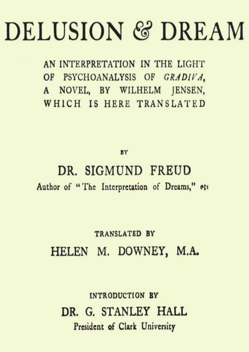# **DELUSION & DREAM**

AN INTERPRETATION IN THE LIGHT OF PSYCHOANALYSIS OF GRADIVA, A NOVEL, BY WILHELM JENSEN, WHICH IS HERE TRANSLATED

BY

DR. SIGMUND FREUD Author of "The Interpretation of Dreams," etc

# **TRANSLATED BY** HELEN M. DOWNEY, M.A.

**INTRODUCTION BY** DR. G. STANLEY HALL President of Clark University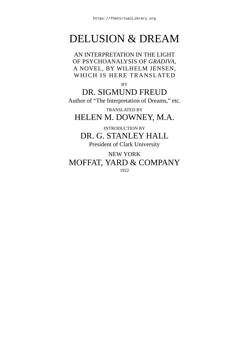# DELUSION & DREAM

AN INTERPRETATION IN THE LIGHT OF PSYCHOANALYSIS OF *GRADIVA*, A NOVEL, BY WILHELM JENSEN, WHICH IS HERE TRANSLATED

BY

DR. SIGMUND FREUD Author of "The Interpretation of Dreams," etc.

TRANSLATED BY HELEN M. DOWNEY, M.A.

INTRODUCTION BY DR. G. STANLEY HALL President of Clark University

NEW YORK MOFFAT, YARD & COMPANY 1922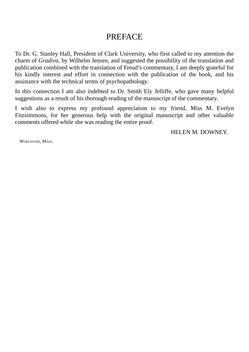#### PREFACE

<span id="page-2-0"></span>To Dr. G. Stanley Hall, President of Clark University, who first called to my attention the charm of *Gradiva*, by Wilhelm Jensen, and suggested the possibility of the translation and publication combined with the translation of Freud's commentary, I am deeply grateful for his kindly interest and effort in connection with the publication of the book, and his assistance with the technical terms of psychopathology.

In this connection I am also indebted to Dr. Smith Ely Jelliffe, who gave many helpful suggestions as a result of his thorough reading of the manuscript of the commentary.

I wish also to express my profound appreciation to my friend, Miss M. Evelyn Fitzsimmons, for her generous help with the original manuscript and other valuable comments offered while she was reading the entire proof.

HELEN M. DOWNEY.

WORCESTER, MASS.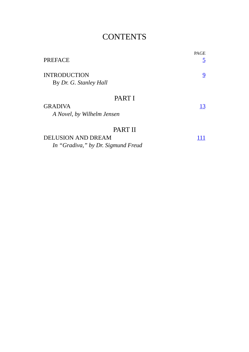## **CONTENTS**

| <b>PREFACE</b>                                                             | <b>PAGE</b><br><u>5</u> |
|----------------------------------------------------------------------------|-------------------------|
| <b>INTRODUCTION</b><br>By Dr. G. Stanley Hall                              | 9                       |
| PART I<br><b>GRADIVA</b><br>A Novel, by Wilhelm Jensen                     | 13                      |
| PART II<br><b>DELUSION AND DREAM</b><br>In "Gradiva," by Dr. Sigmund Freud |                         |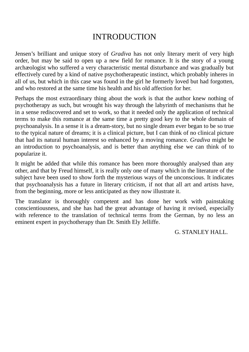### INTRODUCTION

Jensen's brilliant and unique story of *Gradiva* has not only literary merit of very high order, but may be said to open up a new field for romance. It is the story of a young archæologist who suffered a very characteristic mental disturbance and was gradually but effectively cured by a kind of native psychotherapeutic instinct, which probably inheres in all of us, but which in this case was found in the girl he formerly loved but had forgotten, and who restored at the same time his health and his old affection for her.

Perhaps the most extraordinary thing about the work is that the author knew nothing of psychotherapy as such, but wrought his way through the labyrinth of mechanisms that he in a sense rediscovered and set to work, so that it needed only the application of technical terms to make this romance at the same time a pretty good key to the whole domain of psychoanalysis. In a sense it is a dream-story, but no single dream ever began to be so true to the typical nature of dreams; it is a clinical picture, but I can think of no clinical picture that had its natural human interest so enhanced by a moving romance. *Gradiva* might be an introduction to psychoanalysis, and is better than anything else we can think of to popularize it.

It might be added that while this romance has been more thoroughly analysed than any other, and that by Freud himself, it is really only one of many which in the literature of the subject have been used to show forth the mysterious ways of the unconscious. It indicates that psychoanalysis has a future in literary criticism, if not that all art and artists have, from the beginning, more or less anticipated as they now illustrate it.

The translator is thoroughly competent and has done her work with painstaking conscientiousness, and she has had the great advantage of having it revised, especially with reference to the translation of technical terms from the German, by no less an eminent expert in psychotherapy than Dr. Smith Ely Jelliffe.

G. STANLEY HALL.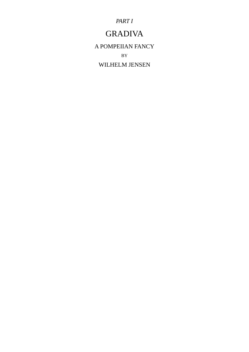*PART I*

## GRADIVA

A POMPEIIAN FANCY BY

WILHELM JENSEN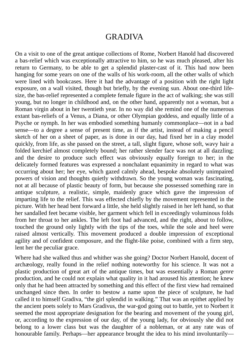#### GRADIVA

On a visit to one of the great antique collections of Rome, Norbert Hanold had discovered a bas-relief which was exceptionally attractive to him, so he was much pleased, after his return to Germany, to be able to get a splendid plaster-cast of it. This had now been hanging for some years on one of the walls of his work-room, all the other walls of which were lined with bookcases. Here it had the advantage of a position with the right light exposure, on a wall visited, though but briefly, by the evening sun. About one-third lifesize, the bas-relief represented a complete female figure in the act of walking; she was still young, but no longer in childhood and, on the other hand, apparently not a woman, but a Roman virgin about in her twentieth year. In no way did she remind one of the numerous extant bas-reliefs of a Venus, a Diana, or other Olympian goddess, and equally little of a Psyche or nymph. In her was embodied something humanly commonplace—not in a bad sense—to a degree a sense of present time, as if the artist, instead of making a pencil sketch of her on a sheet of paper, as is done in our day, had fixed her in a clay model quickly, from life, as she passed on the street, a tall, slight figure, whose soft, wavy hair a folded kerchief almost completely bound; her rather slender face was not at all dazzling; and the desire to produce such effect was obviously equally foreign to her; in the delicately formed features was expressed a nonchalant equanimity in regard to what was occurring about her; her eye, which gazed calmly ahead, bespoke absolutely unimpaired powers of vision and thoughts quietly withdrawn. So the young woman was fascinating, not at all because of plastic beauty of form, but because she possessed something rare in antique sculpture, a realistic, simple, maidenly grace which gave the impression of imparting life to the relief. This was effected chiefly by the movement represented in the picture. With her head bent forward a little, she held slightly raised in her left hand, so that her sandalled feet became visible, her garment which fell in exceedingly voluminous folds from her throat to her ankles. The left foot had advanced, and the right, about to follow, touched the ground only lightly with the tips of the toes, while the sole and heel were raised almost vertically. This movement produced a double impression of exceptional agility and of confident composure, and the flight-like poise, combined with a firm step, lent her the peculiar grace.

Where had she walked thus and whither was she going? Doctor Norbert Hanold, docent of archæology, really found in the relief nothing noteworthy for his science. It was not a plastic production of great art of the antique times, but was essentially a Roman *genre* production, and he could not explain what quality in it had aroused his attention; he knew only that he had been attracted by something and this effect of the first view had remained unchanged since then. In order to bestow a name upon the piece of sculpture, he had called it to himself Gradiva, "the girl splendid in walking." That was an epithet applied by the ancient poets solely to Mars Gradivus, the war-god going out to battle, yet to Norbert it seemed the most appropriate designation for the bearing and movement of the young girl, or, according to the expression of our day, of the young lady, for obviously she did not belong to a lower class but was the daughter of a nobleman, or at any rate was of honourable family. Perhaps—her appearance brought the idea to his mind involuntarily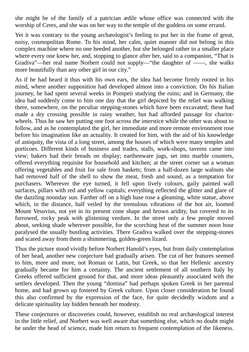she might be of the family of a patrician ædile whose office was connected with the worship of Ceres, and she was on her way to the temple of the goddess on some errand.

Yet it was contrary to the young archæologist's feeling to put her in the frame of great, noisy, cosmopolitan Rome. To his mind, her calm, quiet manner did not belong in this complex machine where no one heeded another, but she belonged rather in a smaller place where every one knew her, and, stopping to glance after her, said to a companion, "That is Gradiva"—her real name Norbert could not supply—"the daughter of ——, she walks more beautifully than any other girl in our city."

As if he had heard it thus with his own ears, the idea had become firmly rooted in his mind, where another supposition had developed almost into a conviction. On his Italian journey, he had spent several weeks in Pompeii studying the ruins; and in Germany, the idea had suddenly come to him one day that the girl depicted by the relief was walking there, somewhere, on the peculiar stepping-stones which have been excavated; these had made a dry crossing possible in rainy weather, but had afforded passage for chariotwheels. Thus he saw her putting one foot across the interstice while the other was about to follow, and as he contemplated the girl, her immediate and more remote environment rose before his imagination like an actuality. It created for him, with the aid of his knowledge of antiquity, the vista of a long street, among the houses of which were many temples and porticoes. Different kinds of business and trades, stalls, work-shops, taverns came into view; bakers had their breads on display; earthenware jugs, set into marble counters, offered everything requisite for household and kitchen; at the street corner sat a woman offering vegetables and fruit for sale from baskets; from a half-dozen large walnuts she had removed half of the shell to show the meat, fresh and sound, as a temptation for purchasers. Wherever the eye turned, it fell upon lively colours, gaily painted wall surfaces, pillars with red and yellow capitals; everything reflected the glitter and glare of the dazzling noonday sun. Farther off on a high base rose a gleaming, white statue, above which, in the distance, half veiled by the tremulous vibrations of the hot air, loomed Mount Vesuvius, not yet in its present cone shape and brown aridity, but covered to its furrowed, rocky peak with glistening verdure. In the street only a few people moved about, seeking shade wherever possible, for the scorching heat of the summer noon hour paralysed the usually bustling activities. There Gradiva walked over the stepping-stones and scared away from them a shimmering, golden-green lizard.

Thus the picture stood vividly before Norbert Hanold's eyes, but from daily contemplation of her head, another new conjecture had gradually arisen. The cut of her features seemed to him, more and more, not Roman or Latin, but Greek, so that her Hellenic ancestry gradually became for him a certainty. The ancient settlement of all southern Italy by Greeks offered sufficient ground for that, and more ideas pleasantly associated with the settlers developed. Then the young "domina" had perhaps spoken Greek in her parental home, and had grown up fostered by Greek culture. Upon closer consideration he found this also confirmed by the expression of the face, for quite decidedly wisdom and a delicate spirituality lay hidden beneath her modesty.

These conjectures or discoveries could, however, establish no real archæological interest in the little relief, and Norbert was well aware that something else, which no doubt might be under the head of science, made him return to frequent contemplation of the likeness.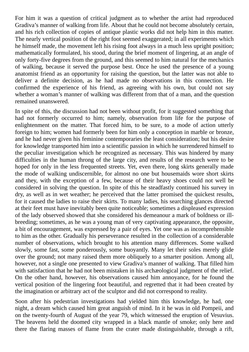For him it was a question of critical judgment as to whether the artist had reproduced Gradiva's manner of walking from life. About that he could not become absolutely certain, and his rich collection of copies of antique plastic works did not help him in this matter. The nearly vertical position of the right foot seemed exaggerated; in all experiments which he himself made, the movement left his rising foot always in a much less upright position; mathematically formulated, his stood, during the brief moment of lingering, at an angle of only forty-five degrees from the ground, and this seemed to him natural for the mechanics of walking, because it served the purpose best. Once he used the presence of a young anatomist friend as an opportunity for raising the question, but the latter was not able to deliver a definite decision, as he had made no observations in this connection. He confirmed the experience of his friend, as agreeing with his own, but could not say whether a woman's manner of walking was different from that of a man, and the question remained unanswered.

In spite of this, the discussion had not been without profit, for it suggested something that had not formerly occurred to him; namely, observation from life for the purpose of enlightenment on the matter. That forced him, to be sure, to a mode of action utterly foreign to him; women had formerly been for him only a conception in marble or bronze, and he had never given his feminine contemporaries the least consideration; but his desire for knowledge transported him into a scientific passion in which he surrendered himself to the peculiar investigation which he recognized as necessary. This was hindered by many difficulties in the human throng of the large city, and results of the research were to be hoped for only in the less frequented streets. Yet, even there, long skirts generally made the mode of walking undiscernible, for almost no one but housemaids wore short skirts and they, with the exception of a few, because of their heavy shoes could not well be considered in solving the question. In spite of this he steadfastly continued his survey in dry, as well as in wet weather; he perceived that the latter promised the quickest results, for it caused the ladies to raise their skirts. To many ladies, his searching glances directed at their feet must have inevitably been quite noticeable; sometimes a displeased expression of the lady observed showed that she considered his demeanour a mark of boldness or illbreeding; sometimes, as he was a young man of very captivating appearance, the opposite, a bit of encouragement, was expressed by a pair of eyes. Yet one was as incomprehensible to him as the other. Gradually his perseverance resulted in the collection of a considerable number of observations, which brought to his attention many differences. Some walked slowly, some fast, some ponderously, some buoyantly. Many let their soles merely glide over the ground; not many raised them more obliquely to a smarter position. Among all, however, not a single one presented to view Gradiva's manner of walking. That filled him with satisfaction that he had not been mistaken in his archæological judgment of the relief. On the other hand, however, his observations caused him annoyance, for he found the vertical position of the lingering foot beautiful, and regretted that it had been created by the imagination or arbitrary act of the sculptor and did not correspond to reality.

Soon after his pedestrian investigations had yielded him this knowledge, he had, one night, a dream which caused him great anguish of mind. In it he was in old Pompeii, and on the twenty-fourth of August of the year 79, which witnessed the eruption of Vesuvius. The heavens held the doomed city wrapped in a black mantle of smoke; only here and there the flaring masses of flame from the crater made distinguishable, through a rift,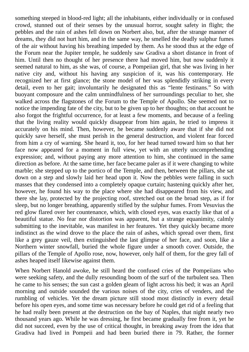something steeped in blood-red light; all the inhabitants, either individually or in confused crowd, stunned out of their senses by the unusual horror, sought safety in flight; the pebbles and the rain of ashes fell down on Norbert also, but, after the strange manner of dreams, they did not hurt him, and in the same way, he smelled the deadly sulphur fumes of the air without having his breathing impeded by them. As he stood thus at the edge of the Forum near the Jupiter temple, he suddenly saw Gradiva a short distance in front of him. Until then no thought of her presence there had moved him, but now suddenly it seemed natural to him, as she was, of course, a Pompeiian girl, that she was living in her native city and, without his having any suspicion of it, was his contemporary. He recognized her at first glance; the stone model of her was splendidly striking in every detail, even to her gait; involuntarily he designated this as "lente festinans." So with buoyant composure and the calm unmindfulness of her surroundings peculiar to her, she walked across the flagstones of the Forum to the Temple of Apollo. She seemed not to notice the impending fate of the city, but to be given up to her thoughts; on that account he also forgot the frightful occurrence, for at least a few moments, and because of a feeling that the living reality would quickly disappear from him again, he tried to impress it accurately on his mind. Then, however, he became suddenly aware that if she did not quickly save herself, she must perish in the general destruction, and violent fear forced from him a cry of warning. She heard it, too, for her head turned toward him so that her face now appeared for a moment in full view, yet with an utterly uncomprehending expression; and, without paying any more attention to him, she continued in the same direction as before. At the same time, her face became paler as if it were changing to white marble; she stepped up to the portico of the Temple, and then, between the pillars, she sat down on a step and slowly laid her head upon it. Now the pebbles were falling in such masses that they condensed into a completely opaque curtain; hastening quickly after her, however, he found his way to the place where she had disappeared from his view, and there she lay, protected by the projecting roof, stretched out on the broad step, as if for sleep, but no longer breathing, apparently stifled by the sulphur fumes. From Vesuvius the red glow flared over her countenance, which, with closed eyes, was exactly like that of a beautiful statue. No fear nor distortion was apparent, but a strange equanimity, calmly submitting to the inevitable, was manifest in her features. Yet they quickly became more indistinct as the wind drove to the place the rain of ashes, which spread over them, first like a grey gauze veil, then extinguished the last glimpse of her face, and soon, like a Northern winter snowfall, buried the whole figure under a smooth cover. Outside, the pillars of the Temple of Apollo rose, now, however, only half of them, for the grey fall of ashes heaped itself likewise against them.

When Norbert Hanold awoke, he still heard the confused cries of the Pompeiians who were seeking safety, and the dully resounding boom of the surf of the turbulent sea. Then he came to his senses; the sun cast a golden gleam of light across his bed; it was an April morning and outside sounded the various noises of the city, cries of venders, and the rumbling of vehicles. Yet the dream picture still stood most distinctly in every detail before his open eyes, and some time was necessary before he could get rid of a feeling that he had really been present at the destruction on the bay of Naples, that night nearly two thousand years ago. While he was dressing, he first became gradually free from it, yet he did not succeed, even by the use of critical thought, in breaking away from the idea that Gradiva had lived in Pompeii and had been buried there in 79. Rather, the former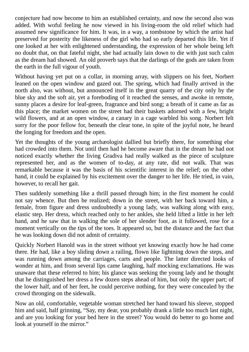conjecture had now become to him an established certainty, and now the second also was added. With woful feeling he now viewed in his living-room the old relief which had assumed new significance for him. It was, in a way, a tombstone by which the artist had preserved for posterity the likeness of the girl who had so early departed this life. Yet if one looked at her with enlightened understanding, the expression of her whole being left no doubt that, on that fateful night, she had actually lain down to die with just such calm as the dream had showed. An old proverb says that the darlings of the gods are taken from the earth in the full vigour of youth.

Without having yet put on a collar, in morning array, with slippers on his feet, Norbert leaned on the open window and gazed out. The spring, which had finally arrived in the north also, was without, but announced itself in the great quarry of the city only by the blue sky and the soft air, yet a foreboding of it reached the senses, and awoke in remote, sunny places a desire for leaf-green, fragrance and bird song; a breath of it came as far as this place; the market women on the street had their baskets adorned with a few, bright wild flowers, and at an open window, a canary in a cage warbled his song. Norbert felt sorry for the poor fellow for, beneath the clear tone, in spite of the joyful note, he heard the longing for freedom and the open.

Yet the thoughts of the young archæologist dallied but briefly there, for something else had crowded into them. Not until then had he become aware that in the dream he had not noticed exactly whether the living Gradiva had really walked as the piece of sculpture represented her, and as the women of to-day, at any rate, did not walk. That was remarkable because it was the basis of his scientific interest in the relief; on the other hand, it could be explained by his excitement over the danger to her life. He tried, in vain, however, to recall her gait.

Then suddenly something like a thrill passed through him; in the first moment he could not say whence. But then he realized; down in the street, with her back toward him, a female, from figure and dress undoubtedly a young lady, was walking along with easy, elastic step. Her dress, which reached only to her ankles, she held lifted a little in her left hand, and he saw that in walking the sole of her slender foot, as it followed, rose for a moment vertically on the tips of the toes. It appeared so, but the distance and the fact that he was looking down did not admit of certainty.

Quickly Norbert Hanold was in the street without yet knowing exactly how he had come there. He had, like a boy sliding down a railing, flown like lightning down the steps, and was running down among the carriages, carts and people. The latter directed looks of wonder at him, and from several lips came laughing, half mocking exclamations. He was unaware that these referred to him; his glance was seeking the young lady and he thought that he distinguished her dress a few dozen steps ahead of him, but only the upper part; of the lower half, and of her feet, he could perceive nothing, for they were concealed by the crowd thronging on the sidewalk.

Now an old, comfortable, vegetable woman stretched her hand toward his sleeve, stopped him and said, half grinning, "Say, my dear, you probably drank a little too much last night, and are you looking for your bed here in the street? You would do better to go home and look at yourself in the mirror."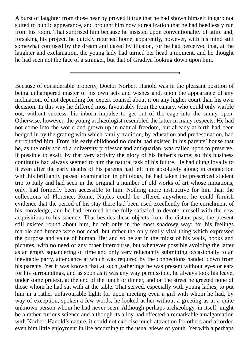A burst of laughter from those near by proved it true that he had shown himself in garb not suited to public appearance, and brought him now to realization that he had heedlessly run from his room. That surprised him because he insisted upon conventionality of attire and, forsaking his project, he quickly returned home, apparently, however, with his mind still somewhat confused by the dream and dazed by illusion, for he had perceived that, at the laughter and exclamation, the young lady had turned her head a moment, and he thought he had seen not the face of a stranger, but that of Gradiva looking down upon him.

Because of considerable property, Doctor Norbert Hanold was in the pleasant position of being unhampered master of his own acts and wishes and, upon the appearance of any inclination, of not depending for expert counsel about it on any higher court than his own decision. In this way he differed most favourably from the canary, who could only warble out, without success, his inborn impulse to get out of the cage into the sunny open. Otherwise, however, the young archæologist resembled the latter in many respects. He had not come into the world and grown up in natural freedom, but already at birth had been hedged in by the grating with which family tradition, by education and predestination, had surrounded him. From his early childhood no doubt had existed in his parents' house that he, as the only son of a university professor and antiquarian, was called upon to preserve, if possible to exalt, by that very activity the glory of his father's name; so this business continuity had always seemed to him the natural task of his future. He had clung loyally to it even after the early deaths of his parents had left him absolutely alone; in connection with his brilliantly passed examination in philology, he had taken the prescribed student trip to Italy and had seen in the original a number of old works of art whose imitations, only, had formerly been accessible to him. Nothing more instructive for him than the collections of Florence, Rome, Naples could be offered anywhere; he could furnish evidence that the period of his stay there had been used excellently for the enrichment of his knowledge, and he had returned home fully satisfied to devote himself with the new acquisitions to his science. That besides these objects from the distant past, the present still existed round about him, he felt only in the most shadowy way; for his feelings marble and bronze were not dead, but rather the only really vital thing which expressed the purpose and value of human life; and so he sat in the midst of his walls, books and pictures, with no need of any other intercourse, but whenever possible avoiding the latter as an empty squandering of time and only very reluctantly submitting occasionally to an inevitable party, attendance at which was required by the connections handed down from his parents. Yet it was known that at such gatherings he was present without eyes or ears for his surroundings, and as soon as it was any way permissible, he always took his leave, under some pretext, at the end of the lunch or dinner, and on the street he greeted none of those whom he had sat with at the table. That served, especially with young ladies, to put him in a rather unfavourable light; for upon meeting even a girl with whom he had, by way of exception, spoken a few words, he looked at her without a greeting as at a quite unknown person whom he had never seen. Although perhaps archæology, in itself, might be a rather curious science and although its alloy had effected a remarkable amalgamation with Norbert Hanold's nature, it could not exercise much attraction for others and afforded even him little enjoyment in life according to the usual views of youth. Yet with a perhaps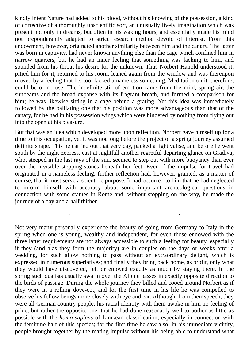kindly intent Nature had added to his blood, without his knowing of the possession, a kind of corrective of a thoroughly unscientific sort, an unusually lively imagination which was present not only in dreams, but often in his waking hours, and essentially made his mind not preponderantly adapted to strict research method devoid of interest. From this endowment, however, originated another similarity between him and the canary. The latter was born in captivity, had never known anything else than the cage which confined him in narrow quarters, but he had an inner feeling that something was lacking to him, and sounded from his throat his desire for the unknown. Thus Norbert Hanold understood it, pitied him for it, returned to his room, leaned again from the window and was thereupon moved by a feeling that he, too, lacked a nameless something. Meditation on it, therefore, could be of no use. The indefinite stir of emotion came from the mild, spring air, the sunbeams and the broad expanse with its fragrant breath, and formed a comparison for him; he was likewise sitting in a cage behind a grating. Yet this idea was immediately followed by the palliating one that his position was more advantageous than that of the canary, for he had in his possession wings which were hindered by nothing from flying out into the open at his pleasure.

But that was an idea which developed more upon reflection. Norbert gave himself up for a time to this occupation, yet it was not long before the project of a spring journey assumed definite shape. This he carried out that very day, packed a light valise, and before he went south by the night express, cast at nightfall another regretful departing glance on Gradiva, who, steeped in the last rays of the sun, seemed to step out with more buoyancy than ever over the invisible stepping-stones beneath her feet. Even if the impulse for travel had originated in a nameless feeling, further reflection had, however, granted, as a matter of course, that it must serve a scientific purpose. It had occurred to him that he had neglected to inform himself with accuracy about some important archæological questions in connection with some statues in Rome and, without stopping on the way, he made the journey of a day and a half thither.

Not very many personally experience the beauty of going from Germany to Italy in the spring when one is young, wealthy and independent, for even those endowed with the three latter requirements are not always accessible to such a feeling for beauty, especially if they (and alas they form the majority) are in couples on the days or weeks after a wedding, for such allow nothing to pass without an extraordinary delight, which is expressed in numerous superlatives; and finally they bring back home, as profit, only what they would have discovered, felt or enjoyed exactly as much by staying there. In the spring such dualists usually swarm over the Alpine passes in exactly opposite direction to the birds of passage. During the whole journey they billed and cooed around Norbert as if they were in a rolling dove-cot, and for the first time in his life he was compelled to observe his fellow beings more closely with eye and ear. Although, from their speech, they were all German country people, his racial identity with them awoke in him no feeling of pride, but rather the opposite one, that he had done reasonably well to bother as little as possible with the *homo sapiens* of Linnæan classification, especially in connection with the feminine half of this species; for the first time he saw also, in his immediate vicinity, people brought together by the mating impulse without his being able to understand what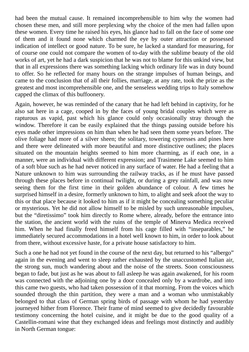had been the mutual cause. It remained incomprehensible to him why the women had chosen these men, and still more perplexing why the choice of the men had fallen upon these women. Every time he raised his eyes, his glance had to fall on the face of some one of them and it found none which charmed the eye by outer attraction or possessed indication of intellect or good nature. To be sure, he lacked a standard for measuring, for of course one could not compare the women of to-day with the sublime beauty of the old works of art, yet he had a dark suspicion that he was not to blame for this unkind view, but that in all expressions there was something lacking which ordinary life was in duty bound to offer. So he reflected for many hours on the strange impulses of human beings, and came to the conclusion that of all their follies, marriage, at any rate, took the prize as the greatest and most incomprehensible one, and the senseless wedding trips to Italy somehow capped the climax of this buffoonery.

Again, however, he was reminded of the canary that he had left behind in captivity, for he also sat here in a cage, cooped in by the faces of young bridal couples which were as rapturous as vapid, past which his glance could only occasionally stray through the window. Therefore it can be easily explained that the things passing outside before his eyes made other impressions on him than when he had seen them some years before. The olive foliage had more of a silver sheen; the solitary, towering cypresses and pines here and there were delineated with more beautiful and more distinctive outlines; the places situated on the mountain heights seemed to him more charming, as if each one, in a manner, were an individual with different expression; and Trasimene Lake seemed to him of a soft blue such as he had never noticed in any surface of water. He had a feeling that a Nature unknown to him was surrounding the railway tracks, as if he must have passed through these places before in continual twilight, or during a grey rainfall, and was now seeing them for the first time in their golden abundance of colour. A few times he surprised himself in a desire, formerly unknown to him, to alight and seek afoot the way to this or that place because it looked to him as if it might be concealing something peculiar or mysterious. Yet he did not allow himself to be misled by such unreasonable impulses, but the "diretissimo" took him directly to Rome where, already, before the entrance into the station, the ancient world with the ruins of the temple of Minerva Medica received him. When he had finally freed himself from his cage filled with "inseparables," he immediately secured accommodations in a hotel well known to him, in order to look about from there, without excessive haste, for a private house satisfactory to him.

Such a one he had not yet found in the course of the next day, but returned to his "albergo" again in the evening and went to sleep rather exhausted by the unaccustomed Italian air, the strong sun, much wandering about and the noise of the streets. Soon consciousness began to fade, but just as he was about to fall asleep he was again awakened, for his room was connected with the adjoining one by a door concealed only by a wardrobe, and into this came two guests, who had taken possession of it that morning. From the voices which sounded through the thin partition, they were a man and a woman who unmistakably belonged to that class of German spring birds of passage with whom he had yesterday journeyed hither from Florence. Their frame of mind seemed to give decidedly favourable testimony concerning the hotel cuisine, and it might be due to the good quality of a Castellin-romani wine that they exchanged ideas and feelings most distinctly and audibly in North German tongue: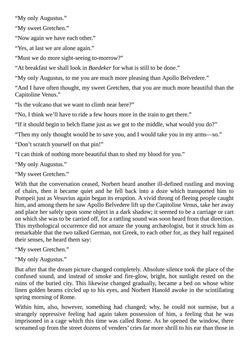"My only Augustus."

"My sweet Gretchen."

"Now again we have each other."

"Yes, at last we are alone again."

"Must we do more sight-seeing to-morrow?"

"At breakfast we shall look in *Baedeker* for what is still to be done."

"My only Augustus, to me you are much more pleasing than Apollo Belvedere."

"And I have often thought, my sweet Gretchen, that you are much more beautiful than the Capitoline Venus."

"Is the volcano that we want to climb near here?"

"No, I think we'll have to ride a few hours more in the train to get there."

"If it should begin to belch flame just as we got to the middle, what would you do?"

"Then my only thought would be to save you, and I would take you in my arms—so."

"Don't scratch yourself on that pin!"

"I can think of nothing more beautiful than to shed my blood for you."

"My only Augustus."

"My sweet Gretchen."

With that the conversation ceased, Norbert heard another ill-defined rustling and moving of chairs, then it became quiet and he fell back into a doze which transported him to Pompeii just as Vesuvius again began its eruption. A vivid throng of fleeing people caught him, and among them he saw Apollo Belvedere lift up the Capitoline Venus, take her away and place her safely upon some object in a dark shadow; it seemed to be a carriage or cart on which she was to be carried off, for a rattling sound was soon heard from that direction. This mythological occurrence did not amaze the young archæologist, but it struck him as remarkable that the two talked German, not Greek, to each other for, as they half regained their senses, he heard them say:

"My sweet Gretchen."

"My only Augustus."

But after that the dream picture changed completely. Absolute silence took the place of the confused sound, and instead of smoke and fire-glow, bright, hot sunlight rested on the ruins of the buried city. This likewise changed gradually, became a bed on whose white linen golden beams circled up to his eyes, and Norbert Hanold awoke in the scintillating spring morning of Rome.

Within him, also, however, something had changed; why, he could not surmise, but a strangely oppressive feeling had again taken possession of him, a feeling that he was imprisoned in a cage which this time was called Rome. As he opened the window, there screamed up from the street dozens of venders' cries far more shrill to his ear than those in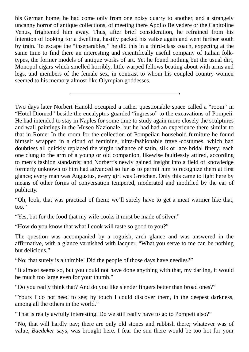his German home; he had come only from one noisy quarry to another, and a strangely uncanny horror of antique collections, of meeting there Apollo Belvedere or the Capitoline Venus, frightened him away. Thus, after brief consideration, he refrained from his intention of looking for a dwelling, hastily packed his valise again and went farther south by train. To escape the "inseparables," he did this in a third-class coach, expecting at the same time to find there an interesting and scientifically useful company of Italian folktypes, the former models of antique works of art. Yet he found nothing but the usual dirt, Monopol cigars which smelled horribly, little warped fellows beating about with arms and legs, and members of the female sex, in contrast to whom his coupled country-women seemed to his memory almost like Olympian goddesses.

Two days later Norbert Hanold occupied a rather questionable space called a "room" in "Hotel Diomed" beside the eucalyptus-guarded "ingresso" to the excavations of Pompeii. He had intended to stay in Naples for some time to study again more closely the sculptures and wall-paintings in the Museo Nazionale, but he had had an experience there similar to that in Rome. In the room for the collection of Pompeiian household furniture he found himself wrapped in a cloud of feminine, ultra-fashionable travel-costumes, which had doubtless all quickly replaced the virgin radiance of satin, silk or lace bridal finery; each one clung to the arm of a young or old companion, likewise faultlessly attired, according to men's fashion standards; and Norbert's newly gained insight into a field of knowledge formerly unknown to him had advanced so far as to permit him to recognize them at first glance; every man was Augustus, every girl was Gretchen. Only this came to light here by means of other forms of conversation tempered, moderated and modified by the ear of publicity.

"Oh, look, that was practical of them; we'll surely have to get a meat warmer like that, too."

"Yes, but for the food that my wife cooks it must be made of silver."

"How do you know that what I cook will taste so good to you?"

The question was accompanied by a roguish, arch glance and was answered in the affirmative, with a glance varnished with lacquer, "What you serve to me can be nothing but delicious."

"No; that surely is a thimble! Did the people of those days have needles?"

"It almost seems so, but you could not have done anything with that, my darling, it would be much too large even for your thumb."

"Do you really think that? And do you like slender fingers better than broad ones?"

"Yours I do not need to see; by touch I could discover them, in the deepest darkness, among all the others in the world."

"That is really awfully interesting. Do we still really have to go to Pompeii also?"

"No, that will hardly pay; there are only old stones and rubbish there; whatever was of value, *Baedeker* says, was brought here. I fear the sun there would be too hot for your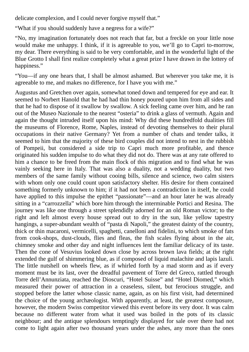delicate complexion, and I could never forgive myself that."

"What if you should suddenly have a negress for a wife?"

"No, my imagination fortunately does not reach that far, but a freckle on your little nose would make me unhappy. I think, if it is agreeable to you, we'll go to Capri to-morrow, my dear. There everything is said to be very comfortable, and in the wonderful light of the Blue Grotto I shall first realize completely what a great prize I have drawn in the lottery of happiness."

"You—if any one hears that, I shall be almost ashamed. But wherever you take me, it is agreeable to me, and makes no difference, for I have you with me."

Augustus and Gretchen over again, somewhat toned down and tempered for eye and ear. It seemed to Norbert Hanold that he had had thin honey poured upon him from all sides and that he had to dispose of it swallow by swallow. A sick feeling came over him, and he ran out of the Museo Nazionale to the nearest "osteria" to drink a glass of vermuth. Again and again the thought intruded itself upon his mind: Why did these hundredfold dualities fill the museums of Florence, Rome, Naples, instead of devoting themselves to their plural occupations in their native Germany? Yet from a number of chats and tender talks, it seemed to him that the majority of these bird couples did not intend to nest in the rubbish of Pompeii, but considered a side trip to Capri much more profitable, and thence originated his sudden impulse to do what they did not do. There was at any rate offered to him a chance to be freed from the main flock of this migration and to find what he was vainly seeking here in Italy. That was also a duality, not a wedding duality, but two members of the same family without cooing bills, silence and science, two calm sisters with whom only one could count upon satisfactory shelter. His desire for them contained something formerly unknown to him; if it had not been a contradiction in itself, he could have applied to this impulse the epithet "passionate"—and an hour later he was already sitting in a "carrozzella" which bore him through the interminable Portici and Resina. The journey was like one through a street splendidly adorned for an old Roman victor; to the right and left almost every house spread out to dry in the sun, like yellow tapestry hangings, a super-abundant wealth of "pasta di Napoli," the greatest dainty of the country, thick or thin macaroni, vermicelli, spaghetti, canelloni and fidelini, to which smoke of fats from cook-shops, dust-clouds, flies and fleas, the fish scales flying about in the air, chimney smoke and other day and night influences lent the familiar delicacy of its taste. Then the cone of Vesuvius looked down close by across brown lava fields; at the right extended the gulf of shimmering blue, as if composed of liquid malachite and lapis lazuli. The little nutshell on wheels flew, as if whirled forth by a mad storm and as if every moment must be its last, over the dreadful pavement of Torre del Greco, rattled through Torre dell'Annunziata, reached the Dioscuri, "Hotel Suisse" and "Hotel Diomed," which measured their power of attraction in a ceaseless, silent, but ferocious struggle, and stopped before the latter whose classic name, again, as on his first visit, had determined the choice of the young archæologist. With apparently, at least, the greatest composure, however, the modern Swiss competitor viewed this event before its very door. It was calm because no different water from what it used was boiled in the pots of its classic neighbour; and the antique splendours temptingly displayed for sale over there had not come to light again after two thousand years under the ashes, any more than the ones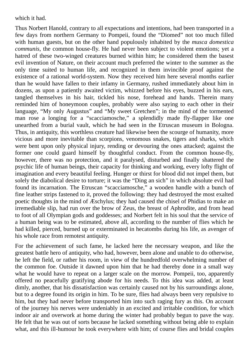which it had.

Thus Norbert Hanold, contrary to all expectations and intentions, had been transported in a few days from northern Germany to Pompeii, found the "Diomed" not too much filled with human guests, but on the other hand populously inhabited by the *musca domestica communis*, the common house-fly. He had never been subject to violent emotions; yet a hatred of these two-winged creatures burned within him; he considered them the basest evil invention of Nature, on their account much preferred the winter to the summer as the only time suited to human life, and recognized in them invincible proof against the existence of a rational world-system. Now they received him here several months earlier than he would have fallen to their infamy in Germany, rushed immediately about him in dozens, as upon a patiently awaited victim, whizzed before his eyes, buzzed in his ears, tangled themselves in his hair, tickled his nose, forehead and hands. Therein many reminded him of honeymoon couples, probably were also saying to each other in their language, "My only Augustus" and "My sweet Gretchen"; in the mind of the tormented man rose a longing for a "scacciamosche," a splendidly made fly-flapper like one unearthed from a burial vault, which he had seen in the Etruscan museum in Bologna. Thus, in antiquity, this worthless creature had likewise been the scourge of humanity, more vicious and more inevitable than scorpions, venomous snakes, tigers and sharks, which were bent upon only physical injury, rending or devouring the ones attacked; against the former one could guard himself by thoughtful conduct. From the common house-fly, however, there was no protection, and it paralysed, disturbed and finally shattered the psychic life of human beings, their capacity for thinking and working, every lofty flight of imagination and every beautiful feeling. Hunger or thirst for blood did not impel them, but solely the diabolical desire to torture; it was the "Ding an sich" in which absolute evil had found its incarnation. The Etruscan "scacciamosche," a wooden handle with a bunch of fine leather strips fastened to it, proved the following: they had destroyed the most exalted poetic thoughts in the mind of Æschylus; they had caused the chisel of Phidias to make an irremediable slip, had run over the brow of Zeus, the breast of Aphrodite, and from head to foot of all Olympian gods and goddesses; and Norbert felt in his soul that the service of a human being was to be estimated, above all, according to the number of flies which he had killed, pierced, burned up or exterminated in hecatombs during his life, as avenger of his whole race from remotest antiquity.

For the achievement of such fame, he lacked here the necessary weapon, and like the greatest battle hero of antiquity, who had, however, been alone and unable to do otherwise, he left the field, or rather his room, in view of the hundredfold overwhelming number of the common foe. Outside it dawned upon him that he had thereby done in a small way what he would have to repeat on a larger scale on the morrow. Pompeii, too, apparently offered no peacefully gratifying abode for his needs. To this idea was added, at least dimly, another, that his dissatisfaction was certainly caused not by his surroundings alone, but to a degree found its origin in him. To be sure, flies had always been very repulsive to him, but they had never before transported him into such raging fury as this. On account of the journey his nerves were undeniably in an excited and irritable condition, for which indoor air and overwork at home during the winter had probably begun to pave the way. He felt that he was out of sorts because he lacked something without being able to explain what, and this ill-humour he took everywhere with him; of course flies and bridal couples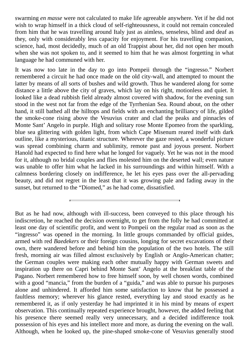swarming *en masse* were not calculated to make life agreeable anywhere. Yet if he did not wish to wrap himself in a thick cloud of self-righteousness, it could not remain concealed from him that he was travelling around Italy just as aimless, senseless, blind and deaf as they, only with considerably less capacity for enjoyment. For his travelling companion, science, had, most decidedly, much of an old Trappist about her, did not open her mouth when she was not spoken to, and it seemed to him that he was almost forgetting in what language he had communed with her.

It was now too late in the day to go into Pompeii through the "ingresso." Norbert remembered a circuit he had once made on the old city-wall, and attempted to mount the latter by means of all sorts of bushes and wild growth. Thus he wandered along for some distance a little above the city of graves, which lay on his right, motionless and quiet. It looked like a dead rubbish field already almost covered with shadow, for the evening sun stood in the west not far from the edge of the Tyrrhenian Sea. Round about, on the other hand, it still bathed all the hilltops and fields with an enchanting brilliancy of life, gilded the smoke-cone rising above the Vesuvius crater and clad the peaks and pinnacles of Monte Sant' Angelo in purple. High and solitary rose Monte Epomeo from the sparkling, blue sea glittering with golden light, from which Cape Misenum reared itself with dark outline, like a mysterious, titanic structure. Wherever the gaze rested, a wonderful picture was spread combining charm and sublimity, remote past and joyous present. Norbert Hanold had expected to find here what he longed for vaguely. Yet he was not in the mood for it, although no bridal couples and flies molested him on the deserted wall; even nature was unable to offer him what he lacked in his surroundings and within himself. With a calmness bordering closely on indifference, he let his eyes pass over the all-pervading beauty, and did not regret in the least that it was growing pale and fading away in the sunset, but returned to the "Diomed," as he had come, dissatisfied.

But as he had now, although with ill-success, been conveyed to this place through his indiscretion, he reached the decision overnight, to get from the folly he had committed at least one day of scientific profit, and went to Pompeii on the regular road as soon as the "ingresso" was opened in the morning. In little groups commanded by official guides, armed with red *Baedekers* or their foreign cousins, longing for secret excavations of their own, there wandered before and behind him the population of the two hotels. The still fresh, morning air was filled almost exclusively by English or Anglo-American chatter; the German couples were making each other mutually happy with German sweets and inspiration up there on Capri behind Monte Sant' Angelo at the breakfast table of the Pagano. Norbert remembered how to free himself soon, by well chosen words, combined with a good "mancia," from the burden of a "guida," and was able to pursue his purposes alone and unhindered. It afforded him some satisfaction to know that he possessed a faultless memory; wherever his glance rested, everything lay and stood exactly as he remembered it, as if only yesterday he had imprinted it in his mind by means of expert observation. This continually repeated experience brought, however, the added feeling that his presence there seemed really very unnecessary, and a decided indifference took possession of his eyes and his intellect more and more, as during the evening on the wall. Although, when he looked up, the pine-shaped smoke-cone of Vesuvius generally stood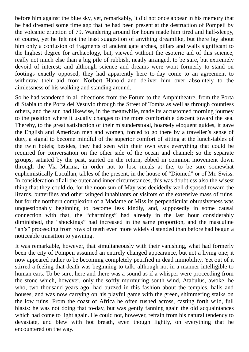before him against the blue sky, yet, remarkably, it did not once appear in his memory that he had dreamed some time ago that he had been present at the destruction of Pompeii by the volcanic eruption of 79. Wandering around for hours made him tired and half-sleepy, of course, yet he felt not the least suggestion of anything dreamlike, but there lay about him only a confusion of fragments of ancient gate arches, pillars and walls significant to the highest degree for archæology, but, viewed without the esoteric aid of this science, really not much else than a big pile of rubbish, neatly arranged, to be sure, but extremely devoid of interest; and although science and dreams were wont formerly to stand on footings exactly opposed, they had apparently here to-day come to an agreement to withdraw their aid from Norbert Hanold and deliver him over absolutely to the aimlessness of his walking and standing around.

So he had wandered in all directions from the Forum to the Amphitheatre, from the Porta di Stabia to the Porta del Vesuvio through the Street of Tombs as well as through countless others, and the sun had likewise, in the meanwhile, made its accustomed morning journey to the position where it usually changes to the more comfortable descent toward the sea. Thereby, to the great satisfaction of their misunderstood, hoarsely eloquent guides, it gave the English and American men and women, forced to go there by a traveller's sense of duty, a signal to become mindful of the superior comfort of sitting at the lunch-tables of the twin hotels; besides, they had seen with their own eyes everything that could be required for conversation on the other side of the ocean and channel; so the separate groups, satiated by the past, started on the return, ebbed in common movement down through the Via Marina, in order not to lose meals at the, to be sure somewhat euphemistically Lucullan, tables of the present, in the house of "Diomed" or of Mr. Swiss. In consideration of all the outer and inner circumstances, this was doubtless also the wisest thing that they could do, for the noon sun of May was decidedly well disposed toward the lizards, butterflies and other winged inhabitants or visitors of the extensive mass of ruins, but for the northern complexion of a Madame or Miss its perpendicular obtrusiveness was unquestionably beginning to become less kindly, and, supposedly in some causal connection with that, the "charmings" had already in the last hour considerably diminished, the "shockings" had increased in the same proportion, and the masculine "ah's" proceeding from rows of teeth even more widely distended than before had begun a noticeable transition to yawning.

It was remarkable, however, that simultaneously with their vanishing, what had formerly been the city of Pompeii assumed an entirely changed appearance, but not a living one; it now appeared rather to be becoming completely petrified in dead immobility. Yet out of it stirred a feeling that death was beginning to talk, although not in a manner intelligible to human ears. To be sure, here and there was a sound as if a whisper were proceeding from the stone which, however, only the softly murmuring south wind, Atabulus, awoke, he who, two thousand years ago, had buzzed in this fashion about the temples, halls and houses, and was now carrying on his playful game with the green, shimmering stalks on the low ruins. From the coast of Africa he often rushed across, casting forth wild, full blasts: he was not doing that to-day, but was gently fanning again the old acquaintances which had come to light again. He could not, however, refrain from his natural tendency to devastate, and blew with hot breath, even though lightly, on everything that he encountered on the way.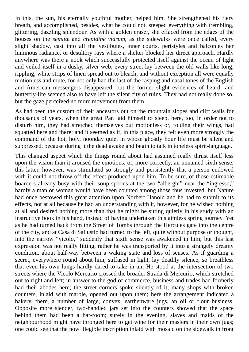In this, the sun, his eternally youthful mother, helped him. She strengthened his fiery breath, and accomplished, besides, what he could not, steeped everything with trembling, glittering, dazzling splendour. As with a golden eraser, she effaced from the edges of the houses on the *semitæ* and *crepidine viarum*, as the sidewalks were once called, every slight shadow, cast into all the vestibules, inner courts, peristyles and balconies her luminous radiance, or desultory rays where a shelter blocked her direct approach. Hardly anywhere was there a nook which successfully protected itself against the ocean of light and veiled itself in a dusky, silver web; every street lay between the old walls like long, rippling, white strips of linen spread out to bleach; and without exception all were equally motionless and mute, for not only had the last of the rasping and nasal tones of the English and American messengers disappeared, but the former slight evidences of lizard- and butterfly-life seemed also to have left the silent city of ruins. They had not really done so, but the gaze perceived no more movement from them.

As had been the custom of their ancestors out on the mountain slopes and cliff walls for thousands of years, when the great Pan laid himself to sleep, here, too, in order not to disturb him, they had stretched themselves out motionless or, folding their wings, had squatted here and there; and it seemed as if, in this place, they felt even more strongly the command of the hot, holy, noonday quiet in whose ghostly hour life must be silent and suppressed, because during it the dead awake and begin to talk in toneless spirit-language.

This changed aspect which the things round about had assumed really thrust itself less upon the vision than it aroused the emotions, or, more correctly, an unnamed sixth sense; this latter, however, was stimulated so strongly and persistently that a person endowed with it could not throw off the effect produced upon him. To be sure, of those estimable boarders already busy with their soup spoons at the two "alberghi" near the "ingresso," hardly a man or woman would have been counted among those thus invested, but Nature had once bestowed this great attention upon Norbert Hanold and he had to submit to its effects, not at all because he had an understanding with it, however, for he wished nothing at all and desired nothing more than that he might be sitting quietly in his study with an instructive book in his hand, instead of having undertaken this aimless spring journey. Yet as he had turned back from the Street of Tombs through the Hercules gate into the centre of the city, and at Casa di Sallustio had turned to the left, quite without purpose or thought, into the narrow "vicolo," suddenly that sixth sense was awakened in him; but this last expression was not really fitting, rather he was transported by it into a strangely dreamy condition, about half-way between a waking state and loss of senses. As if guarding a secret, everywhere round about him, suffused in light, lay deathly silence, so breathless that even his own lungs hardly dared to take in air. He stood at the intersection of two streets where the Vicolo Mercurio crossed the broader Strada di Mercurio, which stretched out to right and left; in answer to the god of commerce, business and trades had formerly had their abodes here; the street corners spoke silently of it; many shops with broken counters, inlaid with marble, opened out upon them; here the arrangement indicated a bakery, there, a number of large, convex, earthenware jugs, an oil or flour business. Opposite more slender, two-handled jars set into the counters showed that the space behind them had been a bar-room; surely in the evening, slaves and maids of the neighbourhood might have thronged here to get wine for their masters in their own jugs; one could see that the now illegible inscription inlaid with mosaic on the sidewalk in front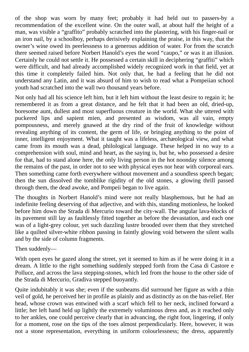of the shop was worn by many feet; probably it had held out to passers-by a recommendation of the excellent wine. On the outer wall, at about half the height of a man, was visible a "graffito" probably scratched into the plastering, with his finger-nail or an iron nail, by a schoolboy, perhaps derisively explaining the praise, in this way, that the owner's wine owed its peerlessness to a generous addition of water. For from the scratch there seemed raised before Norbert Hanold's eyes the word "caupo," or was it an illusion. Certainly he could not settle it. He possessed a certain skill in deciphering "graffiti" which were difficult, and had already accomplished widely recognized work in that field, yet at this time it completely failed him. Not only that, he had a feeling that he did not understand any Latin, and it was absurd of him to wish to read what a Pompeiian school youth had scratched into the wall two thousand years before.

Not only had all his science left him, but it left him without the least desire to regain it; he remembered it as from a great distance, and he felt that it had been an old, dried-up, boresome aunt, dullest and most superfluous creature in the world. What she uttered with puckered lips and sapient mien, and presented as wisdom, was all vain, empty pompousness, and merely gnawed at the dry rind of the fruit of knowledge without revealing anything of its content, the germ of life, or bringing anything to the point of inner, intelligent enjoyment. What it taught was a lifeless, archæological view, and what came from its mouth was a dead, philological language. These helped in no way to a comprehension with soul, mind and heart, as the saying is, but he, who possessed a desire for that, had to stand alone here, the only living person in the hot noonday silence among the remains of the past, in order not to see with physical eyes nor hear with corporeal ears. Then something came forth everywhere without movement and a soundless speech began; then the sun dissolved the tomblike rigidity of the old stones, a glowing thrill passed through them, the dead awoke, and Pompeii began to live again.

The thoughts in Norbert Hanold's mind were not really blasphemous, but he had an indefinite feeling deserving of that adjective, and with this, standing motionless, he looked before him down the Strada di Mercurio toward the city-wall. The angular lava-blocks of its pavement still lay as faultlessly fitted together as before the devastation, and each one was of a light-grey colour, yet such dazzling lustre brooded over them that they stretched like a quilted silver-white ribbon passing in faintly glowing void between the silent walls and by the side of column fragments.

#### Then suddenly—

With open eyes he gazed along the street, yet it seemed to him as if he were doing it in a dream. A little to the right something suddenly stepped forth from the Casa di Castore e Polluce, and across the lava stepping-stones, which led from the house to the other side of the Strada di Mercurio, Gradiva stepped buoyantly.

Quite indubitably it was she; even if the sunbeams did surround her figure as with a thin veil of gold, he perceived her in profile as plainly and as distinctly as on the bas-relief. Her head, whose crown was entwined with a scarf which fell to her neck, inclined forward a little; her left hand held up lightly the extremely voluminous dress and, as it reached only to her ankles, one could perceive clearly that in advancing, the right foot, lingering, if only for a moment, rose on the tips of the toes almost perpendicularly. Here, however, it was not a stone representation, everything in uniform colourlessness; the dress, apparently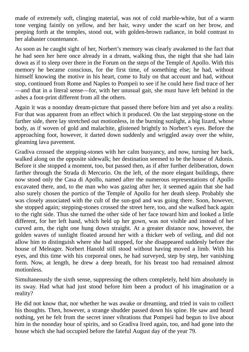made of extremely soft, clinging material, was not of cold marble-white, but of a warm tone verging faintly on yellow, and her hair, wavy under the scarf on her brow, and peeping forth at the temples, stood out, with golden-brown radiance, in bold contrast to her alabaster countenance.

As soon as he caught sight of her, Norbert's memory was clearly awakened to the fact that he had seen her here once already in a dream, walking thus, the night that she had lain down as if to sleep over there in the Forum on the steps of the Temple of Apollo. With this memory he became conscious, for the first time, of something else; he had, without himself knowing the motive in his heart, come to Italy on that account and had, without stop, continued from Rome and Naples to Pompeii to see if he could here find trace of her —and that in a literal sense—for, with her unusual gait, she must have left behind in the ashes a foot-print different from all the others.

Again it was a noonday dream-picture that passed there before him and yet also a reality. For that was apparent from an effect which it produced. On the last stepping-stone on the farther side, there lay stretched out motionless, in the burning sunlight, a big lizard, whose body, as if woven of gold and malachite, glistened brightly to Norbert's eyes. Before the approaching foot, however, it darted down suddenly and wriggled away over the white, gleaming lava pavement.

Gradiva crossed the stepping-stones with her calm buoyancy, and now, turning her back, walked along on the opposite sidewalk; her destination seemed to be the house of Adonis. Before it she stopped a moment, too, but passed then, as if after further deliberation, down farther through the Strada di Mercurio. On the left, of the more elegant buildings, there now stood only the Casa di Apollo, named after the numerous representations of Apollo excavated there, and, to the man who was gazing after her, it seemed again that she had also surely chosen the portico of the Temple of Apollo for her death sleep. Probably she was closely associated with the cult of the sun-god and was going there. Soon, however, she stopped again; stepping-stones crossed the street here, too, and she walked back again to the right side. Thus she turned the other side of her face toward him and looked a little different, for her left hand, which held up her gown, was not visible and instead of her curved arm, the right one hung down straight. At a greater distance now, however, the golden waves of sunlight floated around her with a thicker web of veiling, and did not allow him to distinguish where she had stopped, for she disappeared suddenly before the house of Meleager. Norbert Hanold still stood without having moved a limb. With his eyes, and this time with his corporeal ones, he had surveyed, step by step, her vanishing form. Now, at length, he drew a deep breath, for his breast too had remained almost motionless.

Simultaneously the sixth sense, suppressing the others completely, held him absolutely in its sway. Had what had just stood before him been a product of his imagination or a reality?

He did not know that, nor whether he was awake or dreaming, and tried in vain to collect his thoughts. Then, however, a strange shudder passed down his spine. He saw and heard nothing, yet he felt from the secret inner vibrations that Pompeii had begun to live about him in the noonday hour of spirits, and so Gradiva lived again, too, and had gone into the house which she had occupied before the fateful August day of the year 79.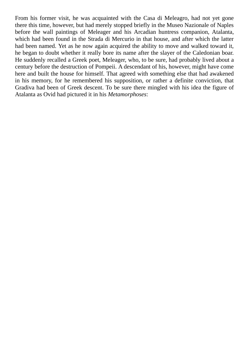From his former visit, he was acquainted with the Casa di Meleagro, had not yet gone there this time, however, but had merely stopped briefly in the Museo Nazionale of Naples before the wall paintings of Meleager and his Arcadian huntress companion, Atalanta, which had been found in the Strada di Mercurio in that house, and after which the latter had been named. Yet as he now again acquired the ability to move and walked toward it, he began to doubt whether it really bore its name after the slayer of the Caledonian boar. He suddenly recalled a Greek poet, Meleager, who, to be sure, had probably lived about a century before the destruction of Pompeii. A descendant of his, however, might have come here and built the house for himself. That agreed with something else that had awakened in his memory, for he remembered his supposition, or rather a definite conviction, that Gradiva had been of Greek descent. To be sure there mingled with his idea the figure of Atalanta as Ovid had pictured it in his *Metamorphoses*: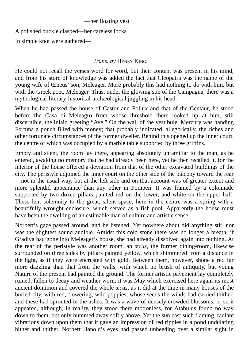#### —her floating vest

A polished buckle clasped—her careless locks In simple knot were gathered—

#### *Trans. by* HENRY KING.

He could not recall the verses word for word, but their content was present in his mind; and from his store of knowledge was added the fact that Cleopatra was the name of the young wife of Œneus' son, Meleager. More probably this had nothing to do with him, but with the Greek poet, Meleager. Thus, under the glowing sun of the Campagna, there was a mythological-literary-historical-archæological juggling in his head.

When he had passed the house of Castor and Pollux and that of the Centaur, he stood before the Casa di Meleagro from whose threshold there looked up at him, still discernible, the inlaid greeting "Ave." On the wall of the vestibule, Mercury was handing Fortuna a pouch filled with money; that probably indicated, allegorically, the riches and other fortunate circumstances of the former dweller. Behind this opened up the inner court, the centre of which was occupied by a marble table supported by three griffins.

Empty and silent, the room lay there, appearing absolutely unfamiliar to the man, as he entered, awaking no memory that he had already been here, yet he then recalled it, for the interior of the house offered a deviation from that of the other excavated buildings of the city. The peristyle adjoined the inner court on the other side of the balcony toward the rear —not in the usual way, but at the left side and on that account was of greater extent and more splendid appearance than any other in Pompeii. It was framed by a colonnade supported by two dozen pillars painted red on the lower, and white on the upper half. These lent solemnity to the great, silent space; here in the centre was a spring with a beautifully wrought enclosure, which served as a fish-pool. Apparently the house must have been the dwelling of an estimable man of culture and artistic sense.

Norbert's gaze passed around, and he listened. Yet nowhere about did anything stir, nor was the slightest sound audible. Amidst this cold stone there was no longer a breath; if Gradiva had gone into Meleager's house, she had already dissolved again into nothing. At the rear of the peristyle was another room, an *œcus*, the former dining-room, likewise surrounded on three sides by pillars painted yellow, which shimmered from a distance in the light, as if they were encrusted with gold. Between them, however, shone a red far more dazzling than that from the walls, with which no brush of antiquity, but young Nature of the present had painted the ground. The former artistic pavement lay completely ruined, fallen to decay and weather worn; it was May which exercised here again its most ancient dominion and covered the whole *œcus*, as it did at the time in many houses of the buried city, with red, flowering, wild poppies, whose seeds the winds had carried thither, and these had sprouted in the ashes. It was a wave of densely crowded blossoms, or so it appeared, although, in reality, they stood there motionless, for Atabulus found no way down to them, but only hummed away softly above. Yet the sun cast such flaming, radiant vibrations down upon them that it gave an impression of red ripples in a pond undulating hither and thither. Norbert Hanold's eyes had passed unheeding over a similar sight in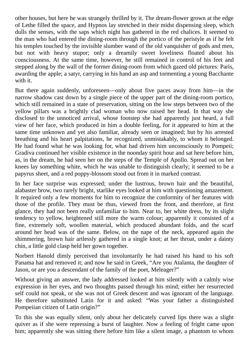other houses, but here he was strangely thrilled by it. The dream-flower grown at the edge of Lethe filled the space, and Hypnos lay stretched in their midst dispensing sleep, which dulls the senses, with the saps which night has gathered in the red chalices. It seemed to the man who had entered the dining-room through the portico of the peristyle as if he felt his temples touched by the invisible slumber wand of the old vanquisher of gods and men, but not with heavy stupor; only a dreamily sweet loveliness floated about his consciousness. At the same time, however, he still remained in control of his feet and stepped along by the wall of the former dining-room from which gazed old pictures: Paris, awarding the apple; a satyr, carrying in his hand an asp and tormenting a young Bacchante with it.

But there again suddenly, unforeseen—only about five paces away from him—in the narrow shadow cast down by a single piece of the upper part of the dining-room portico, which still remained in a state of preservation, sitting on the low steps between two of the yellow pillars was a brightly clad woman who now raised her head. In that way she disclosed to the unnoticed arrival, whose footstep she had apparently just heard, a full view of her face, which produced in him a double feeling, for it appeared to him at the same time unknown and yet also familiar, already seen or imagined; but by his arrested breathing and his heart palpitations, he recognized, unmistakably, to whom it belonged. He had found what he was looking for, what had driven him unconsciously to Pompeii; Gradiva continued her visible existence in the noonday spirit hour and sat here before him, as, in the dream, he had seen her on the steps of the Temple of Apollo. Spread out on her knees lay something white, which he was unable to distinguish clearly; it seemed to be a papyrus sheet, and a red poppy-blossom stood out from it in marked contrast.

In her face surprise was expressed; under the lustrous, brown hair and the beautiful, alabaster brow, two rarely bright, starlike eyes looked at him with questioning amazement. It required only a few moments for him to recognize the conformity of her features with those of the profile. They must be thus, viewed from the front, and therefore, at first glance, they had not been really unfamiliar to him. Near to, her white dress, by its slight tendency to yellow, heightened still more the warm colour; apparently it consisted of a fine, extremely soft, woollen material, which produced abundant folds, and the scarf around her head was of the same. Below, on the nape of the neck, appeared again the shimmering, brown hair artlessly gathered in a single knot; at her throat, under a dainty chin, a little gold clasp held her gown together.

Norbert Hanold dimly perceived that involuntarily he had raised his hand to his soft Panama hat and removed it; and now he said in Greek, "Are you Atalanta, the daughter of Jason, or are you a descendant of the family of the poet, Meleager?"

Without giving an answer, the lady addressed looked at him silently with a calmly wise expression in her eyes, and two thoughts passed through his mind; either her resurrected self could not speak, or she was not of Greek descent and was ignorant of the language. He therefore substituted Latin for it and asked: "Was your father a distinguished Pompeiian citizen of Latin origin?"

To this she was equally silent, only about her delicately curved lips there was a slight quiver as if she were repressing a burst of laughter. Now a feeling of fright came upon him; apparently she was sitting there before him like a silent image, a phantom to whom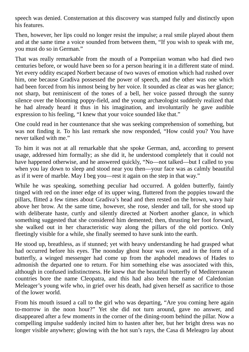speech was denied. Consternation at this discovery was stamped fully and distinctly upon his features.

Then, however, her lips could no longer resist the impulse; a real smile played about them and at the same time a voice sounded from between them, "If you wish to speak with me, you must do so in German."

That was really remarkable from the mouth of a Pompeiian woman who had died two centuries before, or would have been so for a person hearing it in a different state of mind. Yet every oddity escaped Norbert because of two waves of emotion which had rushed over him, one because Gradiva possessed the power of speech, and the other was one which had been forced from his inmost being by her voice. It sounded as clear as was her glance; not sharp, but reminiscent of the tones of a bell, her voice passed through the sunny silence over the blooming poppy-field, and the young archæologist suddenly realized that he had already heard it thus in his imagination, and involuntarily he gave audible expression to his feeling, "I knew that your voice sounded like that."

One could read in her countenance that she was seeking comprehension of something, but was not finding it. To his last remark she now responded, "How could you? You have never talked with me."

To him it was not at all remarkable that she spoke German, and, according to present usage, addressed him formally; as she did it, he understood completely that it could not have happened otherwise, and he answered quickly, "No—not talked—but I called to you when you lay down to sleep and stood near you then—your face was as calmly beautiful as if it were of marble. May I beg you—rest it again on the step in that way."

While he was speaking, something peculiar had occurred. A golden butterfly, faintly tinged with red on the inner edge of its upper wing, fluttered from the poppies toward the pillars, flitted a few times about Gradiva's head and then rested on the brown, wavy hair above her brow. At the same time, however, she rose, slender and tall, for she stood up with deliberate haste, curtly and silently directed at Norbert another glance, in which something suggested that she considered him demented; then, thrusting her foot forward, she walked out in her characteristic way along the pillars of the old portico. Only fleetingly visible for a while, she finally seemed to have sunk into the earth.

He stood up, breathless, as if stunned; yet with heavy understanding he had grasped what had occurred before his eyes. The noonday ghost hour was over, and in the form of a butterfly, a winged messenger had come up from the asphodel meadows of Hades to admonish the departed one to return. For him something else was associated with this, although in confused indistinctness. He knew that the beautiful butterfly of Mediterranean countries bore the name Cleopatra, and this had also been the name of Caledonian Meleager's young wife who, in grief over his death, had given herself as sacrifice to those of the lower world.

From his mouth issued a call to the girl who was departing, "Are you coming here again to-morrow in the noon hour?" Yet she did not turn around, gave no answer, and disappeared after a few moments in the corner of the dining-room behind the pillar. Now a compelling impulse suddenly incited him to hasten after her, but her bright dress was no longer visible anywhere; glowing with the hot sun's rays, the Casa di Meleagro lay about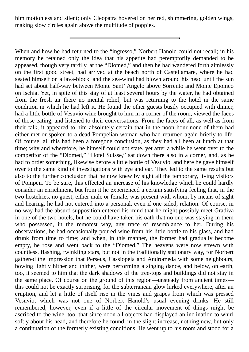him motionless and silent; only Cleopatra hovered on her red, shimmering, golden wings, making slow circles again above the multitude of poppies.

When and how he had returned to the "ingresso," Norbert Hanold could not recall; in his memory he retained only the idea that his appetite had peremptorily demanded to be appeased, though very tardily, at the "Diomed," and then he had wandered forth aimlessly on the first good street, had arrived at the beach north of Castellamare, where he had seated himself on a lava-block, and the sea-wind had blown around his head until the sun had set about half-way between Monte Sant' Angelo above Sorrento and Monte Epomeo on Ischia. Yet, in spite of this stay of at least several hours by the water, he had obtained from the fresh air there no mental relief, but was returning to the hotel in the same condition in which he had left it. He found the other guests busily occupied with dinner, had a little bottle of Vesuvio wine brought to him in a corner of the room, viewed the faces of those eating, and listened to their conversations. From the faces of all, as well as from their talk, it appeared to him absolutely certain that in the noon hour none of them had either met or spoken to a dead Pompeiian woman who had returned again briefly to life. Of course, all this had been a foregone conclusion, as they had all been at lunch at that time; why and wherefore, he himself could not state, yet after a while he went over to the competitor of the "Diomed," "Hotel Suisse," sat down there also in a corner, and, as he had to order something, likewise before a little bottle of Vesuvio, and here he gave himself over to the same kind of investigations with eye and ear. They led to the same results but also to the further conclusion that he now knew by sight all the temporary, living visitors of Pompeii. To be sure, this effected an increase of his knowledge which he could hardly consider an enrichment, but from it he experienced a certain satisfying feeling that, in the two hostelries, no guest, either male or female, was present with whom, by means of sight and hearing, he had not entered into a personal, even if one-sided, relation. Of course, in no way had the absurd supposition entered his mind that he might possibly meet Gradiva in one of the two hotels, but he could have taken his oath that no one was staying in them who possessed, in the remotest way, any trace of resemblance to her. During his observations, he had occasionally poured wine from his little bottle to his glass, and had drunk from time to time; and when, in this manner, the former had gradually become empty, he rose and went back to the "Diomed." The heavens were now strewn with countless, flashing, twinkling stars, but not in the traditionally stationary way, for Norbert gathered the impression that Perseus, Cassiopeia and Andromeda with some neighbours, bowing lightly hither and thither, were performing a singing dance, and below, on earth, too, it seemed to him that the dark shadows of the tree-tops and buildings did not stay in the same place. Of course on the ground of this region—unsteady from ancient times this could not be exactly surprising, for the subterranean glow lurked everywhere, after an eruption, and let a little of itself rise in the vines and grapes from which was pressed Vesuvio, which was not one of Norbert Hanold's usual evening drinks. He still remembered, however, even if a little of the circular movement of things might be ascribed to the wine, too, that since noon all objects had displayed an inclination to whirl softly about his head, and therefore he found, in the slight increase, nothing new, but only a continuation of the formerly existing conditions. He went up to his room and stood for a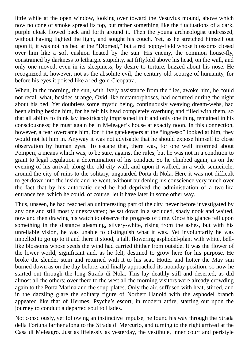little while at the open window, looking over toward the Vesuvius mound, above which now no cone of smoke spread its top, but rather something like the fluctuations of a dark, purple cloak flowed back and forth around it. Then the young archæologist undressed, without having lighted the light, and sought his couch. Yet, as he stretched himself out upon it, it was not his bed at the "Diomed," but a red poppy-field whose blossoms closed over him like a soft cushion heated by the sun. His enemy, the common house-fly, constrained by darkness to lethargic stupidity, sat fiftyfold above his head, on the wall, and only one moved, even in its sleepiness, by desire to torture, buzzed about his nose. He recognized it, however, not as the absolute evil, the century-old scourge of humanity, for before his eyes it poised like a red-gold Cleopatra.

When, in the morning, the sun, with lively assistance from the flies, awoke him, he could not recall what, besides strange, Ovid-like metamorphoses, had occurred during the night about his bed. Yet doubtless some mystic being, continuously weaving dream-webs, had been sitting beside him, for he felt his head completely overhung and filled with them, so that all ability to think lay inextricably imprisoned in it and only one thing remained in his consciousness; he must again be in Meleager's house at exactly noon. In this connection, however, a fear overcame him, for if the gatekeepers at the "ingresso" looked at him, they would not let him in. Anyway it was not advisable that he should expose himself to close observation by human eyes. To escape that, there was, for one well informed about Pompeii, a means which was, to be sure, against the rules, but he was not in a condition to grant to legal regulation a determination of his conduct. So he climbed again, as on the evening of his arrival, along the old city-wall, and upon it walked, in a wide semicircle, around the city of ruins to the solitary, unguarded Porta di Nola. Here it was not difficult to get down into the inside and he went, without burdening his conscience very much over the fact that by his autocratic deed he had deprived the administration of a two-lira entrance fee, which he could, of course, let it have later in some other way.

Thus, unseen, he had reached an uninteresting part of the city, never before investigated by any one and still mostly unexcavated; he sat down in a secluded, shady nook and waited, now and then drawing his watch to observe the progress of time. Once his glance fell upon something in the distance gleaming, silvery-white, rising from the ashes, but with his unreliable vision, he was unable to distinguish what it was. Yet involuntarily he was impelled to go up to it and there it stood, a tall, flowering asphodel-plant with white, belllike blossoms whose seeds the wind had carried thither from outside. It was the flower of the lower world, significant and, as he felt, destined to grow here for his purpose. He broke the slender stem and returned with it to his seat. Hotter and hotter the May sun burned down as on the day before, and finally approached its noonday position; so now he started out through the long Strada di Nola. This lay deathly still and deserted, as did almost all the others; over there to the west all the morning visitors were already crowding again to the Porta Marina and the soup-plates. Only the air, suffused with heat, stirred, and in the dazzling glare the solitary figure of Norbert Hanold with the asphodel branch appeared like that of Hermes, Psyche's escort, in modern attire, starting out upon the journey to conduct a departed soul to Hades.

Not consciously, yet following an instinctive impulse, he found his way through the Strada della Fortuna farther along to the Strada di Mercurio, and turning to the right arrived at the Casa di Meleagro. Just as lifelessly as yesterday, the vestibule, inner court and peristyle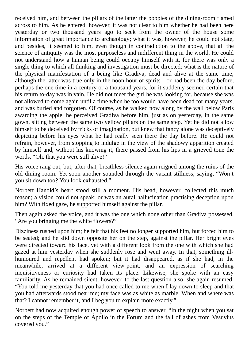received him, and between the pillars of the latter the poppies of the dining-room flamed across to him. As he entered, however, it was not clear to him whether he had been here yesterday or two thousand years ago to seek from the owner of the house some information of great importance to archæology; what it was, however, he could not state, and besides, it seemed to him, even though in contradiction to the above, that all the science of antiquity was the most purposeless and indifferent thing in the world. He could not understand how a human being could occupy himself with it, for there was only a single thing to which all thinking and investigation must be directed: what is the nature of the physical manifestation of a being like Gradiva, dead and alive at the same time, although the latter was true only in the noon hour of spirits—or had been the day before, perhaps the one time in a century or a thousand years, for it suddenly seemed certain that his return to-day was in vain. He did not meet the girl he was looking for, because she was not allowed to come again until a time when he too would have been dead for many years, and was buried and forgotten. Of course, as he walked now along by the wall below Paris awarding the apple, he perceived Gradiva before him, just as on yesterday, in the same gown, sitting between the same two yellow pillars on the same step. Yet he did not allow himself to be deceived by tricks of imagination, but knew that fancy alone was deceptively depicting before his eyes what he had really seen there the day before. He could not refrain, however, from stopping to indulge in the view of the shadowy apparition created by himself and, without his knowing it, there passed from his lips in a grieved tone the words, "Oh, that you were still alive!"

His voice rang out, but, after that, breathless silence again reigned among the ruins of the old dining-room. Yet soon another sounded through the vacant stillness, saying, "Won't you sit down too? You look exhausted."

Norbert Hanold's heart stood still a moment. His head, however, collected this much reason; a vision could not speak; or was an aural hallucination practising deception upon him? With fixed gaze, he supported himself against the pillar.

Then again asked the voice, and it was the one which none other than Gradiva possessed, "Are you bringing me the white flowers?"

Dizziness rushed upon him; he felt that his feet no longer supported him, but forced him to be seated; and he slid down opposite her on the step, against the pillar. Her bright eyes were directed toward his face, yet with a different look from the one with which she had gazed at him yesterday when she suddenly rose and went away. In that, something illhumoured and repellent had spoken; but it had disappeared, as if she had, in the meanwhile, arrived at a different view-point, and an expression of searching inquisitiveness or curiosity had taken its place. Likewise, she spoke with an easy familiarity. As he remained silent, however, to the last question also, she again resumed, "You told me yesterday that you had once called to me when I lay down to sleep and that you had afterwards stood near me; my face was as white as marble. When and where was that? I cannot remember it, and I beg you to explain more exactly."

Norbert had now acquired enough power of speech to answer, "In the night when you sat on the steps of the Temple of Apollo in the Forum and the fall of ashes from Vesuvius covered you."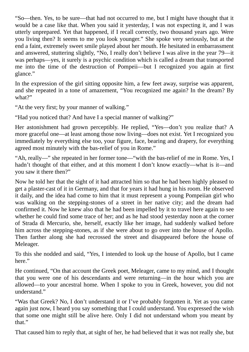"So—then. Yes, to be sure—that had not occurred to me, but I might have thought that it would be a case like that. When you said it yesterday, I was not expecting it, and I was utterly unprepared. Yet that happened, if I recall correctly, two thousand years ago. Were you living then? It seems to me you look younger." She spoke very seriously, but at the end a faint, extremely sweet smile played about her mouth. He hesitated in embarrassment and answered, stuttering slightly, "No, I really don't believe I was alive in the year 79—it was perhaps—yes, it surely is a psychic condition which is called a dream that transported me into the time of the destruction of Pompeii—but I recognized you again at first glance."

In the expression of the girl sitting opposite him, a few feet away, surprise was apparent, and she repeated in a tone of amazement, "You recognized me again? In the dream? By what?"

"At the very first; by your manner of walking."

"Had you noticed that? And have I a special manner of walking?"

Her astonishment had grown perceptibly. He replied, "Yes—don't you realize that? A more graceful one—at least among those now living—does not exist. Yet I recognized you immediately by everything else too, your figure, face, bearing and drapery, for everything agreed most minutely with the bas-relief of you in Rome."

"Ah, really—" she repeated in her former tone—"with the bas-relief of me in Rome. Yes, I hadn't thought of that either, and at this moment I don't know exactly—what is it—and you saw it there then?"

Now he told her that the sight of it had attracted him so that he had been highly pleased to get a plaster-cast of it in Germany, and that for years it had hung in his room. He observed it daily, and the idea had come to him that it must represent a young Pompeiian girl who was walking on the stepping-stones of a street in her native city; and the dream had confirmed it. Now he knew also that he had been impelled by it to travel here again to see whether he could find some trace of her; and as he had stood yesterday noon at the corner of Strada di Mercurio, she, herself, exactly like her image, had suddenly walked before him across the stepping-stones, as if she were about to go over into the house of Apollo. Then farther along she had recrossed the street and disappeared before the house of Meleager.

To this she nodded and said, "Yes, I intended to look up the house of Apollo, but I came here."

He continued, "On that account the Greek poet, Meleager, came to my mind, and I thought that you were one of his descendants and were returning—in the hour which you are allowed—to your ancestral home. When I spoke to you in Greek, however, you did not understand."

"Was that Greek? No, I don't understand it or I've probably forgotten it. Yet as you came again just now, I heard you say something that I could understand. You expressed the wish that some one might still be alive here. Only I did not understand whom you meant by that."

That caused him to reply that, at sight of her, he had believed that it was not really she, but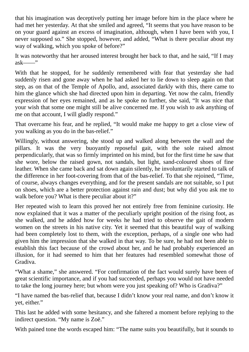that his imagination was deceptively putting her image before him in the place where he had met her yesterday. At that she smiled and agreed, "It seems that you have reason to be on your guard against an excess of imagination, although, when I have been with you, I never supposed so." She stopped, however, and added, "What is there peculiar about my way of walking, which you spoke of before?"

It was noteworthy that her aroused interest brought her back to that, and he said, "If I may ask——"

With that he stopped, for he suddenly remembered with fear that yesterday she had suddenly risen and gone away when he had asked her to lie down to sleep again on that step, as on that of the Temple of Apollo, and, associated darkly with this, there came to him the glance which she had directed upon him in departing. Yet now the calm, friendly expression of her eyes remained, and as he spoke no further, she said, "It was nice that your wish that some one might still be alive concerned me. If you wish to ask anything of me on that account, I will gladly respond."

That overcame his fear, and he replied, "It would make me happy to get a close view of you walking as you do in the bas-relief."

Willingly, without answering, she stood up and walked along between the wall and the pillars. It was the very buoyantly reposeful gait, with the sole raised almost perpendicularly, that was so firmly imprinted on his mind, but for the first time he saw that she wore, below the raised gown, not sandals, but light, sand-coloured shoes of fine leather. When she came back and sat down again silently, he involuntarily started to talk of the difference in her foot-covering from that of the bas-relief. To that she rejoined, "Time, of course, always changes everything, and for the present sandals are not suitable, so I put on shoes, which are a better protection against rain and dust; but why did you ask me to walk before you? What is there peculiar about it?"

Her repeated wish to learn this proved her not entirely free from feminine curiosity. He now explained that it was a matter of the peculiarly upright position of the rising foot, as she walked, and he added how for weeks he had tried to observe the gait of modern women on the streets in his native city. Yet it seemed that this beautiful way of walking had been completely lost to them, with the exception, perhaps, of a single one who had given him the impression that she walked in that way. To be sure, he had not been able to establish this fact because of the crowd about her, and he had probably experienced an illusion, for it had seemed to him that her features had resembled somewhat those of Gradiva.

"What a shame," she answered. "For confirmation of the fact would surely have been of great scientific importance, and if you had succeeded, perhaps you would not have needed to take the long journey here; but whom were you just speaking of? Who is Gradiva?"

"I have named the bas-relief that, because I didn't know your real name, and don't know it yet, either."

This last he added with some hesitancy, and she faltered a moment before replying to the indirect question. "My name is Zoë."

With pained tone the words escaped him: "The name suits you beautifully, but it sounds to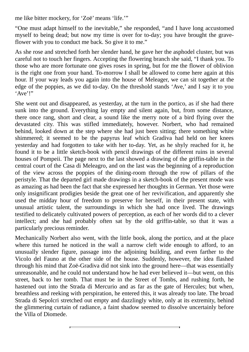me like bitter mockery, for 'Zoë' means 'life.'"

"One must adapt himself to the inevitable," she responded, "and I have long accustomed myself to being dead; but now my time is over for to-day; you have brought the graveflower with you to conduct me back. So give it to me."

As she rose and stretched forth her slender hand, he gave her the asphodel cluster, but was careful not to touch her fingers. Accepting the flowering branch she said, "I thank you. To those who are more fortunate one gives roses in spring, but for me the flower of oblivion is the right one from your hand. To-morrow I shall be allowed to come here again at this hour. If your way leads you again into the house of Meleager, we can sit together at the edge of the poppies, as we did to-day. On the threshold stands 'Ave,' and I say it to you 'Ave'!"

She went out and disappeared, as yesterday, at the turn in the portico, as if she had there sunk into the ground. Everything lay empty and silent again, but, from some distance, there once rang, short and clear, a sound like the merry note of a bird flying over the devastated city. This was stifled immediately, however. Norbert, who had remained behind, looked down at the step where she had just been sitting; there something white shimmered; it seemed to be the papyrus leaf which Gradiva had held on her knees yesterday and had forgotten to take with her to-day. Yet, as he shyly reached for it, he found it to be a little sketch-book with pencil drawings of the different ruins in several houses of Pompeii. The page next to the last showed a drawing of the griffin-table in the central court of the Casa di Meleagro, and on the last was the beginning of a reproduction of the view across the poppies of the dining-room through the row of pillars of the peristyle. That the departed girl made drawings in a sketch-book of the present mode was as amazing as had been the fact that she expressed her thoughts in German. Yet those were only insignificant prodigies beside the great one of her revivification, and apparently she used the midday hour of freedom to preserve for herself, in their present state, with unusual artistic talent, the surroundings in which she had once lived. The drawings testified to delicately cultivated powers of perception, as each of her words did to a clever intellect; and she had probably often sat by the old griffin-table, so that it was a particularly precious reminder.

Mechanically Norbert also went, with the little book, along the portico, and at the place where this turned he noticed in the wall a narrow cleft wide enough to afford, to an unusually slender figure, passage into the adjoining building, and even farther to the Vicolo del Fauno at the other side of the house. Suddenly, however, the idea flashed through his mind that Zoë-Gradiva did not sink into the ground here—that was essentially unreasonable, and he could not understand how he had ever believed it—but went, on this street, back to her tomb. That must be in the Street of Tombs, and rushing forth, he hastened out into the Strada di Mercurio and as far as the gate of Hercules; but when, breathless and reeking with perspiration, he entered this, it was already too late. The broad Strada di Sepolcri stretched out empty and dazzlingly white, only at its extremity, behind the glimmering curtain of radiance, a faint shadow seemed to dissolve uncertainly before the Villa of Diomede.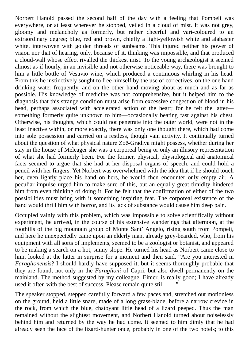Norbert Hanold passed the second half of the day with a feeling that Pompeii was everywhere, or at least wherever he stopped, veiled in a cloud of mist. It was not grey, gloomy and melancholy as formerly, but rather cheerful and vari-coloured to an extraordinary degree; blue, red and brown, chiefly a light-yellowish white and alabaster white, interwoven with golden threads of sunbeams. This injured neither his power of vision nor that of hearing, only, because of it, thinking was impossible, and that produced a cloud-wall whose effect rivalled the thickest mist. To the young archæologist it seemed almost as if hourly, in an invisible and not otherwise noticeable way, there was brought to him a little bottle of Vesuvio wine, which produced a continuous whirling in his head. From this he instinctively sought to free himself by the use of correctives, on the one hand drinking water frequently, and on the other hand moving about as much and as far as possible. His knowledge of medicine was not comprehensive, but it helped him to the diagnosis that this strange condition must arise from excessive congestion of blood in his head, perhaps associated with accelerated action of the heart; for he felt the latter something formerly quite unknown to him—occasionally beating fast against his chest. Otherwise, his thoughts, which could not penetrate into the outer world, were not in the least inactive within, or more exactly, there was only one thought there, which had come into sole possession and carried on a restless, though vain activity. It continually turned about the question of what physical nature Zoë-Gradiva might possess, whether during her stay in the house of Meleager she was a corporeal being or only an illusory representation of what she had formerly been. For the former, physical, physiological and anatomical facts seemed to argue that she had at her disposal organs of speech, and could hold a pencil with her fingers. Yet Norbert was overwhelmed with the idea that if he should touch her, even lightly place his hand on hers, he would then encounter only empty air. A peculiar impulse urged him to make sure of this, but an equally great timidity hindered him from even thinking of doing it. For he felt that the confirmation of either of the two possibilities must bring with it something inspiring fear. The corporeal existence of the hand would thrill him with horror, and its lack of substance would cause him deep pain.

Occupied vainly with this problem, which was impossible to solve scientifically without experiment, he arrived, in the course of his extensive wanderings that afternoon, at the foothills of the big mountain group of Monte Sant' Angelo, rising south from Pompeii, and here he unexpectedly came upon an elderly man, already grey-bearded, who, from his equipment with all sorts of implements, seemed to be a zoologist or botanist, and appeared to be making a search on a hot, sunny slope. He turned his head as Norbert came close to him, looked at the latter in surprise for a moment and then said, "Are you interested in *Faraglionensis*? I should hardly have supposed it, but it seems thoroughly probable that they are found, not only in the *Faraglioni* of Capri, but also dwell permanently on the mainland. The method suggested by my colleague, Eimer, is really good; I have already used it often with the best of success. Please remain quite still——"

The speaker stopped, stepped carefully forward a few paces and, stretched out motionless on the ground, held a little snare, made of a long grass-blade, before a narrow crevice in the rock, from which the blue, chatoyant little head of a lizard peeped. Thus the man remained without the slightest movement, and Norbert Hanold turned about noiselessly behind him and returned by the way he had come. It seemed to him dimly that he had already seen the face of the lizard-hunter once, probably in one of the two hotels; to this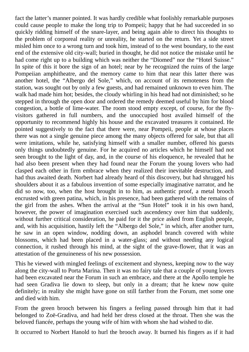fact the latter's manner pointed. It was hardly credible what foolishly remarkable purposes could cause people to make the long trip to Pompeii; happy that he had succeeded in so quickly ridding himself of the snare-layer, and being again able to direct his thoughts to the problem of corporeal reality or unreality, he started on the return. Yet a side street misled him once to a wrong turn and took him, instead of to the west boundary, to the east end of the extensive old city-wall; buried in thought, he did not notice the mistake until he had come right up to a building which was neither the "Diomed" nor the "Hotel Suisse." In spite of this it bore the sign of an hotel; near by he recognized the ruins of the large Pompeiian amphitheatre, and the memory came to him that near this latter there was another hotel, the "Albergo del Sole," which, on account of its remoteness from the station, was sought out by only a few guests, and had remained unknown to even him. The walk had made him hot; besides, the cloudy whirling in his head had not diminished; so he stepped in through the open door and ordered the remedy deemed useful by him for blood congestion, a bottle of lime-water. The room stood empty except, of course, for the flyvisitors gathered in full numbers, and the unoccupied host availed himself of the opportunity to recommend highly his house and the excavated treasures it contained. He pointed suggestively to the fact that there were, near Pompeii, people at whose places there was not a single genuine piece among the many objects offered for sale, but that all were imitations, while he, satisfying himself with a smaller number, offered his guests only things undoubtedly genuine. For he acquired no articles which he himself had not seen brought to the light of day, and, in the course of his eloquence, he revealed that he had also been present when they had found near the Forum the young lovers who had clasped each other in firm embrace when they realized their inevitable destruction, and had thus awaited death. Norbert had already heard of this discovery, but had shrugged his shoulders about it as a fabulous invention of some especially imaginative narrator, and he did so now, too, when the host brought in to him, as authentic proof, a metal brooch encrusted with green patina, which, in his presence, had been gathered with the remains of the girl from the ashes. When the arrival at the "Sun Hotel" took it in his own hand, however, the power of imagination exercised such ascendency over him that suddenly, without further critical consideration, he paid for it the price asked from English people, and, with his acquisition, hastily left the "Albergo del Sole," in which, after another turn, he saw in an open window, nodding down, an asphodel branch covered with white blossoms, which had been placed in a water-glass; and without needing any logical connection, it rushed through his mind, at the sight of the grave-flower, that it was an attestation of the genuineness of his new possession.

This he viewed with mingled feelings of excitement and shyness, keeping now to the way along the city-wall to Porta Marina. Then it was no fairy tale that a couple of young lovers had been excavated near the Forum in such an embrace, and there at the Apollo temple he had seen Gradiva lie down to sleep, but only in a dream; that he knew now quite definitely; in reality she might have gone on still farther from the Forum, met some one and died with him.

From the green brooch between his fingers a feeling passed through him that it had belonged to Zoë-Gradiva, and had held her dress closed at the throat. Then she was the beloved fiancée, perhaps the young wife of him with whom she had wished to die.

It occurred to Norbert Hanold to hurl the brooch away. It burned his fingers as if it had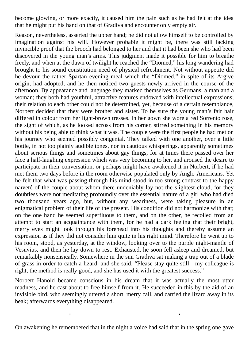become glowing, or more exactly, it caused him the pain such as he had felt at the idea that he might put his hand on that of Gradiva and encounter only empty air.

Reason, nevertheless, asserted the upper hand; he did not allow himself to be controlled by imagination against his will. However probable it might be, there was still lacking invincible proof that the brooch had belonged to her and that it had been she who had been discovered in the young man's arms. This judgment made it possible for him to breathe freely, and when at the dawn of twilight he reached the "Diomed," his long wandering had brought to his sound constitution need of physical refreshment. Not without appetite did he devour the rather Spartan evening meal which the "Diomed," in spite of its Argive origin, had adopted, and he then noticed two guests newly-arrived in the course of the afternoon. By appearance and language they marked themselves as Germans, a man and a woman; they both had youthful, attractive features endowed with intellectual expressions; their relation to each other could not be determined, yet, because of a certain resemblance, Norbert decided that they were brother and sister. To be sure the young man's fair hair differed in colour from her light-brown tresses. In her gown she wore a red Sorrento rose, the sight of which, as he looked across from his corner, stirred something in his memory without his being able to think what it was. The couple were the first people he had met on his journey who seemed possibly congenial. They talked with one another, over a little bottle, in not too plainly audible tones, nor in cautious whisperings, apparently sometimes about serious things and sometimes about gay things, for at times there passed over her face a half-laughing expression which was very becoming to her, and aroused the desire to participate in their conversation, or perhaps might have awakened it in Norbert, if he had met them two days before in the room otherwise populated only by Anglo-Americans. Yet he felt that what was passing through his mind stood in too strong contrast to the happy naïveté of the couple about whom there undeniably lay not the slightest cloud, for they doubtless were not meditating profoundly over the essential nature of a girl who had died two thousand years ago, but, without any weariness, were taking pleasure in an enigmatical problem of their life of the present. His condition did not harmonize with that; on the one hand he seemed superfluous to them, and on the other, he recoiled from an attempt to start an acquaintance with them, for he had a dark feeling that their bright, merry eyes might look through his forehead into his thoughts and thereby assume an expression as if they did not consider him quite in his right mind. Therefore he went up to his room, stood, as yesterday, at the window, looking over to the purple night-mantle of Vesuvius, and then he lay down to rest. Exhausted, he soon fell asleep and dreamed, but remarkably nonsensically. Somewhere in the sun Gradiva sat making a trap out of a blade of grass in order to catch a lizard, and she said, "Please stay quite still—my colleague is right; the method is really good, and she has used it with the greatest success."

Norbert Hanold became conscious in his dream that it was actually the most utter madness, and he cast about to free himself from it. He succeeded in this by the aid of an invisible bird, who seemingly uttered a short, merry call, and carried the lizard away in its beak; afterwards everything disappeared.

On awakening he remembered that in the night a voice had said that in the spring one gave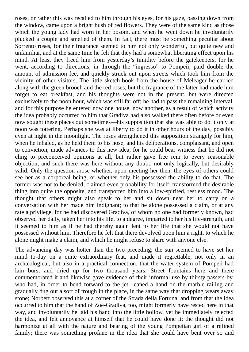roses, or rather this was recalled to him through his eyes, for his gaze, passing down from the window, came upon a bright bush of red flowers. They were of the same kind as those which the young lady had worn in her bosom, and when he went down he involuntarily plucked a couple and smelled of them. In fact, there must be something peculiar about Sorrento roses, for their fragrance seemed to him not only wonderful, but quite new and unfamiliar, and at the same time he felt that they had a somewhat liberating effect upon his mind. At least they freed him from yesterday's timidity before the gatekeepers, for he went, according to directions, in through the "ingresso" to Pompeii, paid double the amount of admission fee, and quickly struck out upon streets which took him from the vicinity of other visitors. The little sketch-book from the house of Meleager he carried along with the green brooch and the red roses, but the fragrance of the latter had made him forget to eat breakfast, and his thoughts were not in the present, but were directed exclusively to the noon hour, which was still far off; he had to pass the remaining interval, and for this purpose he entered now one house, now another, as a result of which activity the idea probably occurred to him that Gradiva had also walked there often before or even now sought these places out sometimes—his supposition that she was able to do it only at noon was tottering. Perhaps she was at liberty to do it in other hours of the day, possibly even at night in the moonlight. The roses strengthened this supposition strangely for him, when he inhaled, as he held them to his nose; and his deliberations, complaisant, and open to conviction, made advances to this new idea, for he could bear witness that he did not cling to preconceived opinions at all, but rather gave free rein to every reasonable objection, and such there was here without any doubt, not only logically, but desirably valid. Only the question arose whether, upon meeting her then, the eyes of others could see her as a corporeal being, or whether only his possessed the ability to do that. The former was not to be denied, claimed even probability for itself, transformed the desirable thing into quite the opposite, and transported him into a low-spirited, restless mood. The thought that others might also speak to her and sit down near her to carry on a conversation with her made him indignant; to that he alone possessed a claim, or at any rate a privilege, for he had discovered Gradiva, of whom no one had formerly known, had observed her daily, taken her into his life, to a degree, imparted to her his life-strength, and it seemed to him as if he had thereby again lent to her life that she would not have possessed without him. Therefore he felt that there devolved upon him a right, to which he alone might make a claim, and which he might refuse to share with anyone else.

The advancing day was hotter than the two preceding; the sun seemed to have set her mind to-day on a quite extraordinary feat, and made it regrettable, not only in an archæological, but also in a practical connection, that the water system of Pompeii had lain burst and dried up for two thousand years. Street fountains here and there commemorated it and likewise gave evidence of their informal use by thirsty passers-by, who had, in order to bend forward to the jet, leaned a hand on the marble railing and gradually dug out a sort of trough in the place, in the same way that dropping wears away stone; Norbert observed this at a corner of the Strada della Fortuna, and from that the idea occurred to him that the hand of Zoë-Gradiva, too, might formerly have rested here in that way, and involuntarily he laid his hand into the little hollow, yet he immediately rejected the idea, and felt annoyance at himself that he could have done it; the thought did not harmonize at all with the nature and bearing of the young Pompeiian girl of a refined family; there was something profane in the idea that she could have bent over so and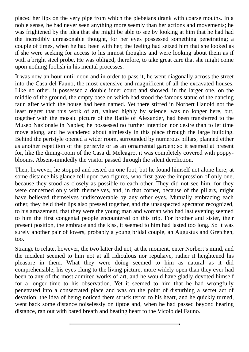placed her lips on the very pipe from which the plebeians drank with coarse mouths. In a noble sense, he had never seen anything more seemly than her actions and movements; he was frightened by the idea that she might be able to see by looking at him that he had had the incredibly unreasonable thought, for her eyes possessed something penetrating; a couple of times, when he had been with her, the feeling had seized him that she looked as if she were seeking for access to his inmost thoughts and were looking about them as if with a bright steel probe. He was obliged, therefore, to take great care that she might come upon nothing foolish in his mental processes.

It was now an hour until noon and in order to pass it, he went diagonally across the street into the Casa del Fauno, the most extensive and magnificent of all the excavated houses. Like no other, it possessed a double inner court and showed, in the larger one, on the middle of the ground, the empty base on which had stood the famous statue of the dancing faun after which the house had been named. Yet there stirred in Norbert Hanold not the least regret that this work of art, valued highly by science, was no longer here, but, together with the mosaic picture of the Battle of Alexander, had been transferred to the Museo Nazionale in Naples; he possessed no further intention nor desire than to let time move along, and he wandered about aimlessly in this place through the large building. Behind the peristyle opened a wider room, surrounded by numerous pillars, planned either as another repetition of the peristyle or as an ornamental garden; so it seemed at present for, like the dining-room of the Casa di Meleagro, it was completely covered with poppyblooms. Absent-mindedly the visitor passed through the silent dereliction.

Then, however, he stopped and rested on one foot; but he found himself not alone here; at some distance his glance fell upon two figures, who first gave the impression of only one, because they stood as closely as possible to each other. They did not see him, for they were concerned only with themselves, and, in that corner, because of the pillars, might have believed themselves undiscoverable by any other eyes. Mutually embracing each other, they held their lips also pressed together, and the unsuspected spectator recognized, to his amazement, that they were the young man and woman who had last evening seemed to him the first congenial people encountered on this trip. For brother and sister, their present position, the embrace and the kiss, it seemed to him had lasted too long. So it was surely another pair of lovers, probably a young bridal couple, an Augustus and Gretchen, too.

Strange to relate, however, the two latter did not, at the moment, enter Norbert's mind, and the incident seemed to him not at all ridiculous nor repulsive, rather it heightened his pleasure in them. What they were doing seemed to him as natural as it did comprehensible; his eyes clung to the living picture, more widely open than they ever had been to any of the most admired works of art, and he would have gladly devoted himself for a longer time to his observation. Yet it seemed to him that he had wrongfully penetrated into a consecrated place and was on the point of disturbing a secret act of devotion; the idea of being noticed there struck terror to his heart, and he quickly turned, went back some distance noiselessly on tiptoe and, when he had passed beyond hearing distance, ran out with bated breath and beating heart to the Vicolo del Fauno.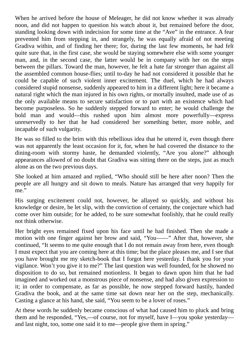When he arrived before the house of Meleager, he did not know whether it was already noon, and did not happen to question his watch about it, but remained before the door, standing looking down with indecision for some time at the "Ave" in the entrance. A fear prevented him from stepping in, and strangely, he was equally afraid of not meeting Gradiva within, and of finding her there; for, during the last few moments, he had felt quite sure that, in the first case, she would be staying somewhere else with some younger man, and, in the second case, the latter would be in company with her on the steps between the pillars. Toward the man, however, he felt a hate far stronger than against all the assembled common house-flies; until to-day he had not considered it possible that he could be capable of such violent inner excitement. The duel, which he had always considered stupid nonsense, suddenly appeared to him in a different light; here it became a natural right which the man injured in his own rights, or mortally insulted, made use of as the only available means to secure satisfaction or to part with an existence which had become purposeless. So he suddenly stepped forward to enter; he would challenge the bold man and would—this rushed upon him almost more powerfully—express unreservedly to her that he had considered her something better, more noble, and incapable of such vulgarity.

He was so filled to the brim with this rebellious idea that he uttered it, even though there was not apparently the least occasion for it, for, when he had covered the distance to the dining-room with stormy haste, he demanded violently, "Are you alone?" although appearances allowed of no doubt that Gradiva was sitting there on the steps, just as much alone as on the two previous days.

She looked at him amazed and replied, "Who should still be here after noon? Then the people are all hungry and sit down to meals. Nature has arranged that very happily for me."

His surging excitement could not, however, be allayed so quickly, and without his knowledge or desire, he let slip, with the conviction of certainty, the conjecture which had come over him outside; for he added, to be sure somewhat foolishly, that he could really not think otherwise.

Her bright eyes remained fixed upon his face until he had finished. Then she made a motion with one finger against her brow and said, "You——" After that, however, she continued, "It seems to me quite enough that I do not remain away from here, even though I must expect that you are coming here at this time; but the place pleases me, and I see that you have brought me my sketch-book that I forgot here yesterday. I thank you for your vigilance. Won't you give it to me?" The last question was well founded, for he showed no disposition to do so, but remained motionless. It began to dawn upon him that he had imagined and worked out a monstrous piece of nonsense, and had also given expression to it; in order to compensate, as far as possible, he now stepped forward hastily, handed Gradiva the book, and at the same time sat down near her on the step, mechanically. Casting a glance at his hand, she said, "You seem to be a lover of roses."

At these words he suddenly became conscious of what had caused him to pluck and bring them and he responded, "Yes,—of course, not for myself, have I—you spoke yesterday and last night, too, some one said it to me—people give them in spring."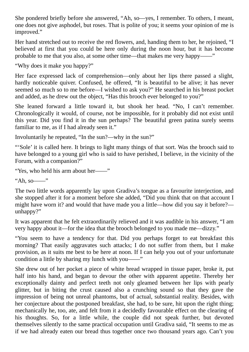She pondered briefly before she answered, "Ah, so—yes, I remember. To others, I meant, one does not give asphodel, but roses. That is polite of you; it seems your opinion of me is improved."

Her hand stretched out to receive the red flowers, and, handing them to her, he rejoined, "I believed at first that you could be here only during the noon hour, but it has become probable to me that you also, at some other time—that makes me very happy——"

"Why does it make you happy?"

Her face expressed lack of comprehension—only about her lips there passed a slight, hardly noticeable quiver. Confused, he offered, "It is beautiful to be alive; it has never seemed so much so to me before—I wished to ask you?" He searched in his breast pocket and added, as he drew out the object, "Has this brooch ever belonged to you?"

She leaned forward a little toward it, but shook her head. "No, I can't remember. Chronologically it would, of course, not be impossible, for it probably did not exist until this year. Did you find it in the sun perhaps? The beautiful green patina surely seems familiar to me, as if I had already seen it."

Involuntarily he repeated, "In the sun?—why in the sun?"

"'Sole' it is called here. It brings to light many things of that sort. Was the brooch said to have belonged to a young girl who is said to have perished, I believe, in the vicinity of the Forum, with a companion?"

"Yes, who held his arm about her——"

"Ah, so——"

The two little words apparently lay upon Gradiva's tongue as a favourite interjection, and she stopped after it for a moment before she added, "Did you think that on that account I might have worn it? and would that have made you a little—how did you say it before? unhappy?"

It was apparent that he felt extraordinarily relieved and it was audible in his answer, "I am very happy about it—for the idea that the brooch belonged to you made me—dizzy."

"You seem to have a tendency for that. Did you perhaps forget to eat breakfast this morning? That easily aggravates such attacks; I do not suffer from them, but I make provision, as it suits me best to be here at noon. If I can help you out of your unfortunate condition a little by sharing my lunch with you——"

She drew out of her pocket a piece of white bread wrapped in tissue paper, broke it, put half into his hand, and began to devour the other with apparent appetite. Thereby her exceptionally dainty and perfect teeth not only gleamed between her lips with pearly glitter, but in biting the crust caused also a crunching sound so that they gave the impression of being not unreal phantoms, but of actual, substantial reality. Besides, with her conjecture about the postponed breakfast, she had, to be sure, hit upon the right thing; mechanically he, too, ate, and felt from it a decidedly favourable effect on the clearing of his thoughts. So, for a little while, the couple did not speak further, but devoted themselves silently to the same practical occupation until Gradiva said, "It seems to me as if we had already eaten our bread thus together once two thousand years ago. Can't you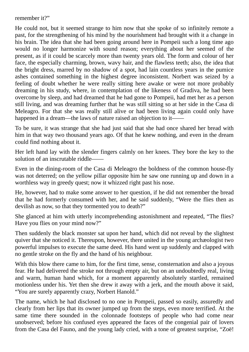remember it?"

He could not, but it seemed strange to him now that she spoke of so infinitely remote a past, for the strengthening of his mind by the nourishment had brought with it a change in his brain. The idea that she had been going around here in Pompeii such a long time ago would no longer harmonize with sound reason; everything about her seemed of the present, as if it could be scarcely more than twenty years old. The form and colour of her face, the especially charming, brown, wavy hair, and the flawless teeth; also, the idea that the bright dress, marred by no shadow of a spot, had lain countless years in the pumice ashes contained something in the highest degree inconsistent. Norbert was seized by a feeling of doubt whether he were really sitting here awake or were not more probably dreaming in his study, where, in contemplation of the likeness of Gradiva, he had been overcome by sleep, and had dreamed that he had gone to Pompeii, had met her as a person still living, and was dreaming further that he was still sitting so at her side in the Casa di Meleagro. For that she was really still alive or had been living again could only have happened in a dream—the laws of nature raised an objection to it-

To be sure, it was strange that she had just said that she had once shared her bread with him in that way two thousand years ago. Of that he knew nothing, and even in the dream could find nothing about it.

Her left hand lay with the slender fingers calmly on her knees. They bore the key to the solution of an inscrutable riddle-

Even in the dining-room of the Casa di Meleagro the boldness of the common house-fly was not deterred; on the yellow pillar opposite him he saw one running up and down in a worthless way in greedy quest; now it whizzed right past his nose.

He, however, had to make some answer to her question, if he did not remember the bread that he had formerly consumed with her, and he said suddenly, "Were the flies then as devilish as now, so that they tormented you to death?"

She glanced at him with utterly incomprehending astonishment and repeated, "The flies? Have you flies on your mind now?"

Then suddenly the black monster sat upon her hand, which did not reveal by the slightest quiver that she noticed it. Thereupon, however, there united in the young archæologist two powerful impulses to execute the same deed. His hand went up suddenly and clapped with no gentle stroke on the fly and the hand of his neighbour.

With this blow there came to him, for the first time, sense, consternation and also a joyous fear. He had delivered the stroke not through empty air, but on an undoubtedly real, living and warm, human hand which, for a moment apparently absolutely startled, remained motionless under his. Yet then she drew it away with a jerk, and the mouth above it said, "You are surely apparently crazy, Norbert Hanold."

The name, which he had disclosed to no one in Pompeii, passed so easily, assuredly and clearly from her lips that its owner jumped up from the steps, even more terrified. At the same time there sounded in the colonnade footsteps of people who had come near unobserved; before his confused eyes appeared the faces of the congenial pair of lovers from the Casa del Fauno, and the young lady cried, with a tone of greatest surprise, "Zoë!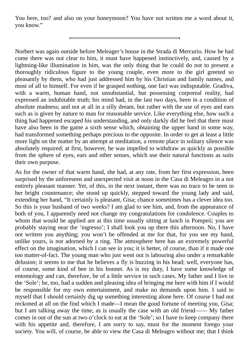You here, too? and also on your honeymoon? You have not written me a word about it, you know."

Norbert was again outside before Meleager's house in the Strada di Mercurio. How he had come there was not clear to him, it must have happened instinctively, and, caused by a lightning-like illumination in him, was the only thing that he could do not to present a thoroughly ridiculous figure to the young couple, even more to the girl greeted so pleasantly by them, who had just addressed him by his Christian and family names, and most of all to himself. For even if he grasped nothing, one fact was indisputable. Gradiva, with a warm, human hand, not unsubstantial, but possessing corporeal reality, had expressed an indubitable truth; his mind had, in the last two days, been in a condition of absolute madness; and not at all in a silly dream, but rather with the use of eyes and ears such as is given by nature to man for reasonable service. Like everything else, how such a thing had happened escaped his understanding, and only darkly did he feel that there must have also been in the game a sixth sense which, obtaining the upper hand in some way, had transformed something perhaps precious to the opposite. In order to get at least a little more light on the matter by an attempt at meditation, a remote place in solitary silence was absolutely required; at first, however, he was impelled to withdraw as quickly as possible from the sphere of eyes, ears and other senses, which use their natural functions as suits their own purpose.

As for the owner of that warm hand, she had, at any rate, from her first expression, been surprised by the unforeseen and unexpected visit at noon in the Casa di Meleagro in a not entirely pleasant manner. Yet, of this, in the next instant, there was no trace to be seen in her bright countenance; she stood up quickly, stepped toward the young lady and said, extending her hand, "It certainly is pleasant, Gisa; chance sometimes has a clever idea too. So this is your husband of two weeks? I am glad to see him, and, from the appearance of both of you, I apparently need not change my congratulations for condolence. Couples to whom that would be applied are at this time usually sitting at lunch in Pompeii; you are probably staying near the 'ingresso'; I shall look you up there this afternoon. No, I have not written you anything; you won't be offended at me for that, for you see my hand, unlike yours, is not adorned by a ring. The atmosphere here has an extremely powerful effect on the imagination, which I can see in you; it is better, of course, than if it made one too matter-of-fact. The young man who just went out is labouring also under a remarkable delusion; it seems to me that he believes a fly is buzzing in his head; well, everyone has, of course, some kind of bee in his bonnet. As is my duty, I have some knowledge of entomology and can, therefore, be of a little service in such cases. My father and I live in the 'Sole'; he, too, had a sudden and pleasing idea of bringing me here with him if I would be responsible for my own entertainment, and make no demands upon him. I said to myself that I should certainly dig up something interesting alone here. Of course I had not reckoned at all on the find which I made—I mean the good fortune of meeting you, Gisa; but I am talking away the time, as is usually the case with an old friend—— My father comes in out of the sun at two o'clock to eat at the 'Sole'; so I have to keep company there with his appetite and, therefore, I am sorry to say, must for the moment forego your society. You will, of course, be able to view the Casa di Meleagro without me; that I think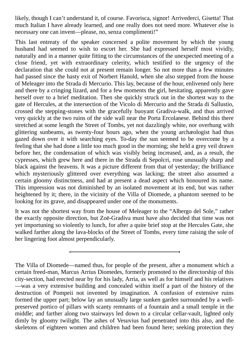likely, though I can't understand it, of course. Favorisca, signor! Arrivederci, Gisetta! That much Italian I have already learned, and one really does not need more. Whatever else is necessary one can invent—please, no, senza complimenti!"

This last entreaty of the speaker concerned a polite movement by which the young husband had seemed to wish to escort her. She had expressed herself most vividly, naturally and in a manner quite fitting to the circumstances of the unexpected meeting of a close friend, yet with extraordinary celerity, which testified to the urgency of the declaration that she could not at present remain longer. So not more than a few minutes had passed since the hasty exit of Norbert Hanold, when she also stepped from the house of Meleager into the Strada di Mercurio. This lay, because of the hour, enlivened only here and there by a cringing lizard, and for a few moments the girl, hesitating, apparently gave herself over to a brief meditation. Then she quickly struck out in the shortest way to the gate of Hercules, at the intersection of the Vicolo di Mercurio and the Strada di Sallustio, crossed the stepping-stones with the gracefully buoyant Gradiva-walk, and thus arrived very quickly at the two ruins of the side wall near the Porta Ercolanese. Behind this there stretched at some length the Street of Tombs, yet not dazzlingly white, nor overhung with glittering sunbeams, as twenty-four hours ago, when the young archæologist had thus gazed down over it with searching eyes. To-day the sun seemed to be overcome by a feeling that she had done a little too much good in the morning; she held a grey veil drawn before her, the condensation of which was visibly being increased, and, as a result, the cypresses, which grew here and there in the Strada di Sepolcri, rose unusually sharp and black against the heavens. It was a picture different from that of yesterday; the brilliance which mysteriously glittered over everything was lacking; the street also assumed a certain gloomy distinctness, and had at present a dead aspect which honoured its name. This impression was not diminished by an isolated movement at its end, but was rather heightened by it; there, in the vicinity of the Villa of Diomede, a phantom seemed to be looking for its grave, and disappeared under one of the monuments.

It was not the shortest way from the house of Meleager to the "Albergo del Sole," rather the exactly opposite direction, but Zoë-Gradiva must have also decided that time was not yet importuning so violently to lunch, for after a quite brief stop at the Hercules Gate, she walked farther along the lava-blocks of the Street of Tombs, every time raising the sole of her lingering foot almost perpendicularly.

The Villa of Diomede—named thus, for people of the present, after a monument which a certain freed-man, Marcus Arrius Diomedes, formerly promoted to the directorship of this city-section, had erected near by for his lady, Arria, as well as for himself and his relatives —was a very extensive building and concealed within itself a part of the history of the destruction of Pompeii not invented by imagination. A confusion of extensive ruins formed the upper part; below lay an unusually large sunken garden surrounded by a wellpreserved portico of pillars with scanty remnants of a fountain and a small temple in the middle; and farther along two stairways led down to a circular cellar-vault, lighted only dimly by gloomy twilight. The ashes of Vesuvius had penetrated into this also, and the skeletons of eighteen women and children had been found here; seeking protection they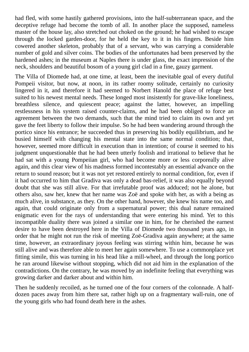had fled, with some hastily gathered provisions, into the half-subterranean space, and the deceptive refuge had become the tomb of all. In another place the supposed, nameless master of the house lay, also stretched out choked on the ground; he had wished to escape through the locked garden-door, for he held the key to it in his fingers. Beside him cowered another skeleton, probably that of a servant, who was carrying a considerable number of gold and silver coins. The bodies of the unfortunates had been preserved by the hardened ashes; in the museum at Naples there is under glass, the exact impression of the neck, shoulders and beautiful bosom of a young girl clad in a fine, gauzy garment.

The Villa of Diomede had, at one time, at least, been the inevitable goal of every dutiful Pompeii visitor, but now, at noon, in its rather roomy solitude, certainly no curiosity lingered in it, and therefore it had seemed to Norbert Hanold the place of refuge best suited to his newest mental needs. These longed most insistently for grave-like loneliness, breathless silence, and quiescent peace; against the latter, however, an impelling restlessness in his system raised counter-claims, and he had been obliged to force an agreement between the two demands, such that the mind tried to claim its own and yet gave the feet liberty to follow their impulse. So he had been wandering around through the portico since his entrance; he succeeded thus in preserving his bodily equilibrium, and he busied himself with changing his mental state into the same normal condition; that, however, seemed more difficult in execution than in intention; of course it seemed to his judgment unquestionable that he had been utterly foolish and irrational to believe that he had sat with a young Pompeiian girl, who had become more or less corporeally alive again, and this clear view of his madness formed incontestably an essential advance on the return to sound reason; but it was not yet restored entirely to normal condition, for, even if it had occurred to him that Gradiva was only a dead bas-relief, it was also equally beyond doubt that she was still alive. For that irrefutable proof was adduced; not he alone, but others also, saw her, knew that her name was Zoë and spoke with her, as with a being as much alive, in substance, as they. On the other hand, however, she knew his name too, and again, that could originate only from a supernatural power; this dual nature remained enigmatic even for the rays of understanding that were entering his mind. Yet to this incompatible duality there was joined a similar one in him, for he cherished the earnest desire to have been destroyed here in the Villa of Diomede two thousand years ago, in order that he might not run the risk of meeting Zoë-Gradiva again anywhere; at the same time, however, an extraordinary joyous feeling was stirring within him, because he was still alive and was therefore able to meet her again somewhere. To use a commonplace yet fitting simile, this was turning in his head like a mill-wheel, and through the long portico he ran around likewise without stopping, which did not aid him in the explanation of the contradictions. On the contrary, he was moved by an indefinite feeling that everything was growing darker and darker about and within him.

Then he suddenly recoiled, as he turned one of the four corners of the colonnade. A halfdozen paces away from him there sat, rather high up on a fragmentary wall-ruin, one of the young girls who had found death here in the ashes.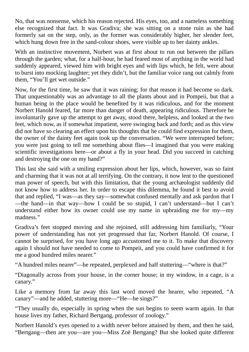No, that was nonsense, which his reason rejected. His eyes, too, and a nameless something else recognized that fact. It was Gradiva; she was sitting on a stone ruin as she had formerly sat on the step, only, as the former was considerably higher, her slender feet, which hung down free in the sand-colour shoes, were visible up to her dainty ankles.

With an instinctive movement, Norbert was at first about to run out between the pillars through the garden; what, for a half-hour, he had feared most of anything in the world had suddenly appeared, viewed him with bright eyes and with lips which, he felt, were about to burst into mocking laughter; yet they didn't, but the familiar voice rang out calmly from them, "You'll get wet outside."

Now, for the first time, he saw that it was raining; for that reason it had become so dark. That unquestionably was an advantage to all the plants about and in Pompeii, but that a human being in the place would be benefited by it was ridiculous, and for the moment Norbert Hanold feared, far more than danger of death, appearing ridiculous. Therefore he involuntarily gave up the attempt to get away, stood there, helpless, and looked at the two feet, which now, as if somewhat impatient, were swinging back and forth; and as this view did not have so clearing an effect upon his thoughts that he could find expression for them, the owner of the dainty feet again took up the conversation. "We were interrupted before; you were just going to tell me something about flies—I imagined that you were making scientific investigations here—or about a fly in your head. Did you succeed in catching and destroying the one on my hand?"

This last she said with a smiling expression about her lips, which, however, was so faint and charming that it was not at all terrifying. On the contrary, it now lent to the questioned man power of speech, but with this limitation, that the young archæologist suddenly did not know how to address her. In order to escape this dilemma, he found it best to avoid that and replied, "I was—as they say—somewhat confused mentally and ask pardon that I —the hand—in that way—how I could be so stupid, I can't understand—but I can't understand either how its owner could use my name in upbraiding me for my—my madness."

Gradiva's feet stopped moving and she rejoined, still addressing him familiarly, "Your power of understanding has not yet progressed that far, Norbert Hanold. Of course, I cannot be surprised, for you have long ago accustomed me to it. To make that discovery again I should not have needed to come to Pompeii, and you could have confirmed it for me a good hundred miles nearer."

"A hundred miles nearer"—he repeated, perplexed and half stuttering—"where is that?"

"Diagonally across from your house, in the corner house; in my window, in a cage, is a canary."

Like a memory from far away this last word moved the hearer, who repeated, "A canary"—and he added, stuttering more—"He—he sings?"

"They usually do, especially in spring when the sun begins to seem warm again. In that house lives my father, Richard Bertgang, professor of zoology."

Norbert Hanold's eyes opened to a width never before attained by them, and then he said, "Bertgang—then are you—are you—Miss Zoë Bertgang? But she looked quite different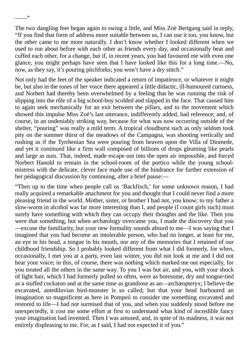The two dangling feet began again to swing a little, and Miss Zoë Bertgang said in reply, "If you find that form of address more suitable between us, I can use it too, you know, but the other came to me more naturally. I don't know whether I looked different when we used to run about before with each other as friends every day, and occasionally beat and cuffed each other, for a change, but if, in recent years, you had favoured me with even one glance, you might perhaps have seen that I have looked like this for a long time.—No, now, as they say, it's pouring pitchforks; you won't have a dry stitch."

 $, ,$ 

Not only had the feet of the speaker indicated a return of impatience, or whatever it might be, but also in the tones of her voice there appeared a little didactic, ill-humoured curtness, and Norbert had thereby been overwhelmed by a feeling that he was running the risk of slipping into the rôle of a big school-boy scolded and slapped in the face. That caused him to again seek mechanically for an exit between the pillars, and to the movement which showed this impulse Miss Zoë's last utterance, indifferently added, had reference; and, of course, in an undeniably striking way, because for what was now occurring outside of the shelter, "pouring" was really a mild term. A tropical cloudburst such as only seldom took pity on the summer thirst of the meadows of the Campagna, was shooting vertically and rushing as if the Tyrrhenian Sea were pouring from heaven upon the Villa of Diomede, and yet it continued like a firm wall composed of billions of drops gleaming like pearls and large as nuts. That, indeed, made escape out into the open air impossible, and forced Norbert Hanold to remain in the school-room of the portico while the young schoolmistress with the delicate, clever face made use of the hindrance for further extension of her pedagogical discussion by continuing, after a brief pause:—

"Then up to the time when people call us 'Backfisch,' for some unknown reason, I had really acquired a remarkable attachment for you and thought that I could never find a more pleasing friend in the world. Mother, sister, or brother I had not, you know; to my father a slow-worm in alcohol was far more interesting than I, and people (I count girls such) must surely have something with which they can occupy their thoughts and the like. Then you were that something, but when archæology overcame you, I made the discovery that you —excuse the familiarity, but your new formality sounds absurd to me—I was saying that I imagined that you had become an intolerable person, who had no longer, at least for me, an eye in his head, a tongue in his mouth, nor any of the memories that I retained of our childhood friendship. So I probably looked different from what I did formerly, for when, occasionally, I met you at a party, even last winter, you did not look at me and I did not hear your voice; in this, of course, there was nothing which marked me out especially, for you treated all the others in the same way. To you I was but air, and you, with your shock of light hair, which I had formerly pulled so often, were as boresome, dry and tongue-tied as a stuffed cockatoo and at the same time as grandiose as an—archæopteryx; I believe the excavated, antediluvian bird-monster is so called; but that your head harboured an imagination so magnificent as here in Pompeii to consider me something excavated and restored to life—I had not surmised that of you, and when you suddenly stood before me unexpectedly, it cost me some effort at first to understand what kind of incredible fancy your imagination had invented. Then I was amused, and, in spite of its madness, it was not entirely displeasing to me. For, as I said, I had not expected it of you."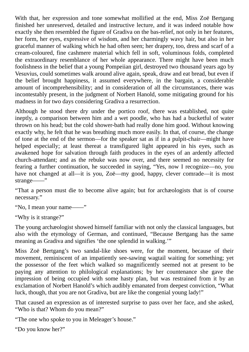With that, her expression and tone somewhat mollified at the end, Miss Zoë Bertgang finished her unreserved, detailed and instructive lecture, and it was indeed notable how exactly she then resembled the figure of Gradiva on the bas-relief, not only in her features, her form, her eyes, expressive of wisdom, and her charmingly wavy hair, but also in her graceful manner of walking which he had often seen; her drapery, too, dress and scarf of a cream-coloured, fine cashmere material which fell in soft, voluminous folds, completed the extraordinary resemblance of her whole appearance. There might have been much foolishness in the belief that a young Pompeiian girl, destroyed two thousand years ago by Vesuvius, could sometimes walk around alive again, speak, draw and eat bread, but even if the belief brought happiness, it assumed everywhere, in the bargain, a considerable amount of incomprehensibility; and in consideration of all the circumstances, there was incontestably present, in the judgment of Norbert Hanold, some mitigating ground for his madness in for two days considering Gradiva a resurrection.

Although he stood there dry under the portico roof, there was established, not quite ineptly, a comparison between him and a wet poodle, who has had a bucketful of water thrown on his head; but the cold shower-bath had really done him good. Without knowing exactly why, he felt that he was breathing much more easily. In that, of course, the change of tone at the end of the sermon—for the speaker sat as if in a pulpit-chair—might have helped especially; at least thereat a transfigured light appeared in his eyes, such as awakened hope for salvation through faith produces in the eyes of an ardently affected church-attendant; and as the rebuke was now over, and there seemed no necessity for fearing a further continuation, he succeeded in saying, "Yes, now I recognize—no, you have not changed at all—it is you, Zoë—my good, happy, clever comrade—it is most strange——"

"That a person must die to become alive again; but for archæologists that is of course necessary."

"No, I mean your name——"

"Why is it strange?"

The young archæologist showed himself familiar with not only the classical languages, but also with the etymology of German, and continued, "Because Bertgang has the same meaning as Gradiva and signifies 'the one splendid in walking.'"

Miss Zoë Bertgang's two sandal-like shoes were, for the moment, because of their movement, reminiscent of an impatiently see-sawing wagtail waiting for something; yet the possessor of the feet which walked so magnificently seemed not at present to be paying any attention to philological explanations; by her countenance she gave the impression of being occupied with some hasty plan, but was restrained from it by an exclamation of Norbert Hanold's which audibly emanated from deepest conviction, "What luck, though, that you are not Gradiva, but are like the congenial young lady!"

That caused an expression as of interested surprise to pass over her face, and she asked, "Who is that? Whom do you mean?"

"The one who spoke to you in Meleager's house."

"Do you know her?"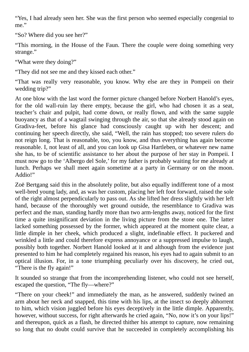"Yes, I had already seen her. She was the first person who seemed especially congenial to me."

"So? Where did you see her?"

"This morning, in the House of the Faun. There the couple were doing something very strange."

"What were they doing?"

"They did not see me and they kissed each other."

"That was really very reasonable, you know. Why else are they in Pompeii on their wedding trip?"

At one blow with the last word the former picture changed before Norbert Hanold's eyes, for the old wall-ruin lay there empty, because the girl, who had chosen it as a seat, teacher's chair and pulpit, had come down, or really flown, and with the same supple buoyancy as that of a wagtail swinging through the air, so that she already stood again on Gradiva-feet, before his glance had consciously caught up with her descent; and continuing her speech directly, she said, "Well, the rain has stopped; too severe rulers do not reign long. That is reasonable, too, you know, and thus everything has again become reasonable. I, not least of all, and you can look up Gisa Hartleben, or whatever new name she has, to be of scientific assistance to her about the purpose of her stay in Pompeii. I must now go to the 'Albergo del Sole,' for my father is probably waiting for me already at lunch. Perhaps we shall meet again sometime at a party in Germany or on the moon. Addio!"

Zoë Bertgang said this in the absolutely polite, but also equally indifferent tone of a most well-bred young lady, and, as was her custom, placing her left foot forward, raised the sole of the right almost perpendicularly to pass out. As she lifted her dress slightly with her left hand, because of the thoroughly wet ground outside, the resemblance to Gradiva was perfect and the man, standing hardly more than two arm-lengths away, noticed for the first time a quite insignificant deviation in the living picture from the stone one. The latter lacked something possessed by the former, which appeared at the moment quite clear, a little dimple in her cheek, which produced a slight, indefinable effect. It puckered and wrinkled a little and could therefore express annoyance or a suppressed impulse to laugh, possibly both together. Norbert Hanold looked at it and although from the evidence just presented to him he had completely regained his reason, his eyes had to again submit to an optical illusion. For, in a tone triumphing peculiarly over his discovery, he cried out, "There is the fly again!"

It sounded so strange that from the incomprehending listener, who could not see herself, escaped the question, "The fly—where?"

"There on your cheek!" and immediately the man, as he answered, suddenly twined an arm about her neck and snapped, this time with his lips, at the insect so deeply abhorrent to him, which vision juggled before his eyes deceptively in the little dimple. Apparently, however, without success, for right afterwards he cried again, "No, now it's on your lips!" and thereupon, quick as a flash, he directed thither his attempt to capture, now remaining so long that no doubt could survive that he succeeded in completely accomplishing his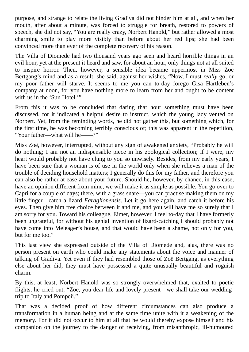purpose, and strange to relate the living Gradiva did not hinder him at all, and when her mouth, after about a minute, was forced to struggle for breath, restored to powers of speech, she did not say, "You are really crazy, Norbert Hanold," but rather allowed a most charming smile to play more visibly than before about her red lips; she had been convinced more than ever of the complete recovery of his reason.

The Villa of Diomede had two thousand years ago seen and heard horrible things in an evil hour, yet at the present it heard and saw, for about an hour, only things not at all suited to inspire horror. Then, however, a sensible idea became uppermost in Miss Zoë Bertgang's mind and as a result, she said, against her wishes, "Now, I must *really* go, or my poor father will starve. It seems to me you can to-day forego Gisa Hartleben's company at noon, for you have nothing more to learn from her and ought to be content with us in the 'Sun Hotel.'"

From this it was to be concluded that daring that hour something must have been discussed, for it indicated a helpful desire to instruct, which the young lady vented on Norbert. Yet, from the reminding words, he did not gather this, but something which, for the first time, he was becoming terribly conscious of; this was apparent in the repetition, "Your father—what will he——?"

Miss Zoë, however, interrupted, without any sign of awakened anxiety, "Probably he will do nothing; I am not an indispensable piece in his zoological collection; if I were, my heart would probably not have clung to you so unwisely. Besides, from my early years, I have been sure that a woman is of use in the world only when she relieves a man of the trouble of deciding household matters; I generally do this for my father, and therefore you can also be rather at ease about your future. Should he, however, by chance, in this case, have an opinion different from mine, we will make it as simple as possible. You go over to Capri for a couple of days; there, with a grass snare—you can practise making them on my little finger—catch a lizard *Faraglionensis*. Let it go here again, and catch it before his eyes. Then give him free choice between it and me, and you will have me so surely that I am sorry for you. Toward his colleague, Eimer, however, I feel to-day that I have formerly been ungrateful, for without his genial invention of lizard-catching I should probably not have come into Meleager's house, and that would have been a shame, not only for you, but for me too."

This last view she expressed outside of the Villa of Diomede and, alas, there was no person present on earth who could make any statements about the voice and manner of talking of Gradiva. Yet even if they had resembled those of Zoë Bertgang, as everything else about her did, they must have possessed a quite unusually beautiful and roguish charm.

By this, at least, Norbert Hanold was so strongly overwhelmed that, exalted to poetic flights, he cried out, "Zoë, you dear life and lovely present—we shall take our weddingtrip to Italy and Pompeii."

That was a decided proof of how different circumstances can also produce a transformation in a human being and at the same time unite with it a weakening of the memory. For it did not occur to him at all that he would thereby expose himself and his companion on the journey to the danger of receiving, from misanthropic, ill-humoured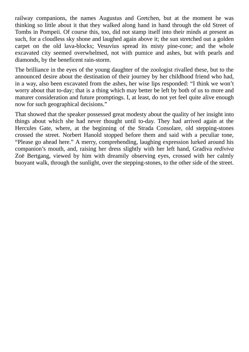railway companions, the names Augustus and Gretchen, but at the moment he was thinking so little about it that they walked along hand in hand through the old Street of Tombs in Pompeii. Of course this, too, did not stamp itself into their minds at present as such, for a cloudless sky shone and laughed again above it; the sun stretched out a golden carpet on the old lava-blocks; Vesuvius spread its misty pine-cone; and the whole excavated city seemed overwhelmed, not with pumice and ashes, but with pearls and diamonds, by the beneficent rain-storm.

The brilliance in the eyes of the young daughter of the zoologist rivalled these, but to the announced desire about the destination of their journey by her childhood friend who had, in a way, also been excavated from the ashes, her wise lips responded: "I think we won't worry about that to-day; that is a thing which may better be left by both of us to more and maturer consideration and future promptings. I, at least, do not yet feel quite alive enough now for such geographical decisions."

That showed that the speaker possessed great modesty about the quality of her insight into things about which she had never thought until to-day. They had arrived again at the Hercules Gate, where, at the beginning of the Strada Consolare, old stepping-stones crossed the street. Norbert Hanold stopped before them and said with a peculiar tone, "Please go ahead here." A merry, comprehending, laughing expression lurked around his companion's mouth, and, raising her dress slightly with her left hand, Gradiva *rediviva* Zoë Bertgang, viewed by him with dreamily observing eyes, crossed with her calmly buoyant walk, through the sunlight, over the stepping-stones, to the other side of the street.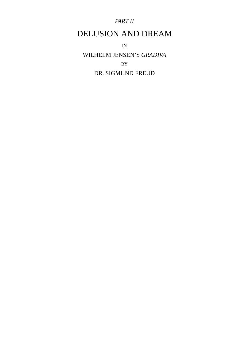## *PART II*

## DELUSION AND DREAM

IN

WILHELM JENSEN'S *GRADIVA* BY DR. SIGMUND FREUD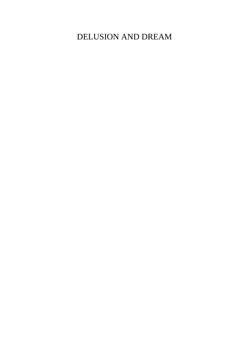DELUSION AND DREAM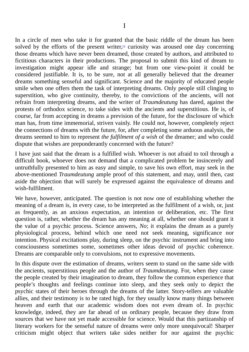In a circle of men who take it for granted that the basic riddle of the dream has been solved by the efforts of the present writer,<sup>[1]</sup> curiosity was aroused one day concerning those dreams which have never been dreamed, those created by authors, and attributed to fictitious characters in their productions. The proposal to submit this kind of dream to investigation might appear idle and stra[ng](#page-99-0)e; but from one view-point it could be considered justifiable. It is, to be sure, not at all generally believed that the dreamer dreams something senseful and significant. Science and the majority of educated people smile when one offers them the task of interpreting dreams. Only people still clinging to superstition, who give continuity, thereby, to the convictions of the ancients, will not refrain from interpreting dreams, and the writer of *Traumdeutung* has dared, against the protests of orthodox science, to take sides with the ancients and superstitious. He is, of course, far from accepting in dreams a prevision of the future, for the disclosure of which man has, from time immemorial, striven vainly. He could not, however, completely reject the connections of dreams with the future, for, after completing some arduous analysis, the dreams seemed to him to represent *the fulfilment of a wish* of the dreamer; and who could dispute that wishes are preponderantly concerned with the future?

I have just said that the dream is a fulfilled wish. Whoever is not afraid to toil through a difficult book, whoever does not demand that a complicated problem be insincerely and untruthfully presented to him as easy and simple, to save his own effort, may seek in the above-mentioned *Traumdeutung* ample proof of this statement, and may, until then, cast aside the objection that will surely be expressed against the equivalence of dreams and wish-fulfilment.

We have, however, anticipated. The question is not now one of establishing whether the meaning of a dream is, in every case, to be interpreted as the fulfilment of a wish, or, just as frequently, as an anxious expectation, an intention or deliberation, etc. The first question is, rather, whether the dream has any meaning at all, whether one should grant it the value of a psychic process. Science answers, *No*; it explains the dream as a purely physiological process, behind which one need not seek meaning, significance nor intention. Physical excitations play, during sleep, on the psychic instrument and bring into consciousness sometimes some, sometimes other ideas devoid of psychic coherence. Dreams are comparable only to convulsions, not to expressive movements.

In this dispute over the estimation of dreams, writers seem to stand on the same side with the ancients, superstitious people and the author of *Traumdeutung*. For, when they cause the people created by their imagination to dream, they follow the common experience that people's thoughts and feelings continue into sleep, and they seek only to depict the psychic states of their heroes through the dreams of the latter. Story-tellers are valuable allies, and their testimony is to be rated high, for they usually know many things between heaven and earth that our academic wisdom does not even dream of. In psychic knowledge, indeed, they are far ahead of us ordinary people, because they draw from sources that we have not yet made accessible for science. Would that this partizanship of literary workers for the senseful nature of dreams were only more unequivocal! Sharper criticism might object that writers take sides neither for nor against the psychic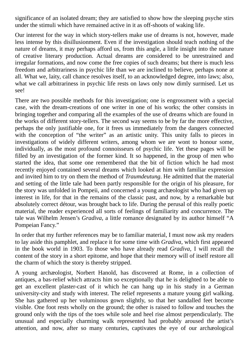significance of an isolated dream; they are satisfied to show how the sleeping psyche stirs under the stimuli which have remained active in it as off-shoots of waking life.

Our interest for the way in which story-tellers make use of dreams is not, however, made less intense by this disillusionment. Even if the investigation should teach nothing of the nature of dreams, it may perhaps afford us, from this angle, a little insight into the nature of creative literary production. Actual dreams are considered to be unrestrained and irregular formations, and now come the free copies of such dreams; but there is much less freedom and arbitrariness in psychic life than we are inclined to believe, perhaps none at all. What we, laity, call chance resolves itself, to an acknowledged degree, into laws; also, what we call arbitrariness in psychic life rests on laws only now dimly surmised. Let us see!

There are two possible methods for this investigation; one is engrossment with a special case, with the dream-creations of one writer in one of his works; the other consists in bringing together and comparing all the examples of the use of dreams which are found in the works of different story-tellers. The second way seems to be by far the more effective, perhaps the only justifiable one, for it frees us immediately from the dangers connected with the conception of "the writer" as an artistic unity. This unity falls to pieces in investigations of widely different writers, among whom we are wont to honour some, individually, as the most profound connoisseurs of psychic life. Yet these pages will be filled by an investigation of the former kind. It so happened, in the group of men who started the idea, that some one remembered that the bit of fiction which he had most recently enjoyed contained several dreams which looked at him with familiar expression and invited him to try on them the method of *Traumdeutung*. He admitted that the material and setting of the little tale had been partly responsible for the origin of his pleasure, for the story was unfolded in Pompeii, and concerned a young archæologist who had given up interest in life, for that in the remains of the classic past, and now, by a remarkable but absolutely correct détour, was brought back to life. During the perusal of this really poetic material, the reader experienced all sorts of feelings of familiarity and concurrence. The tale was Wilhelm Jensen's *Gradiva*, a little romance designated by its author himself "A Pompeian Fancy."

In order that my further references may be to familiar material, I must now ask my readers to lay aside this pamphlet, and replace it for some time with *Gradiva*, which first appeared in the book world in 1903. To those who have already read *Gradiva*, I will recall the content of the story in a short epitome, and hope that their memory will of itself restore all the charm of which the story is thereby stripped.

A young archæologist, Norbert Hanold, has discovered at Rome, in a collection of antiques, a bas-relief which attracts him so exceptionally that he is delighted to be able to get an excellent plaster-cast of it which he can hang up in his study in a German university-city and study with interest. The relief represents a mature young girl walking. She has gathered up her voluminous gown slightly, so that her sandalled feet become visible. One foot rests wholly on the ground; the other is raised to follow and touches the ground only with the tips of the toes while sole and heel rise almost perpendicularly. The unusual and especially charming walk represented had probably aroused the artist's attention, and now, after so many centuries, captivates the eye of our archæological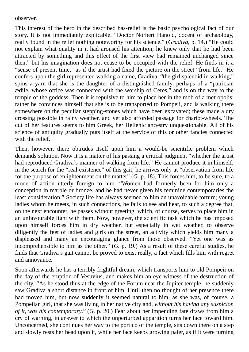observer.

This interest of the hero in the described bas-relief is the basic psychological fact of our story. It is not immediately explicable. "Doctor Norbert Hanold, docent of archæology, really found in the relief nothing noteworthy for his science." (*Gradiva*, p. 14.) "He could not explain what quality in it had aroused his attention; he knew only that he had been attracted by something and this effect of the first view had remained unchanged since then," but his imagination does not cease to be occupied with the relief. He finds in it a "sense of present time," as if the artist had fixed the picture on the street "from life." He confers upon the girl represented walking a name, Gradiva, "the girl splendid in walking," spins a yarn that she is the daughter of a distinguished family, perhaps of a "patrician ædile, whose office was connected with the worship of Ceres," and is on the way to the temple of the goddess. Then it is repulsive to him to place her in the mob of a metropolis; rather he convinces himself that she is to be transported to Pompeii, and is walking there somewhere on the peculiar stepping-stones which have been excavated; these made a dry crossing possible in rainy weather, and yet also afforded passage for chariot-wheels. The cut of her features seems to him Greek, her Hellenic ancestry unquestionable. All of his science of antiquity gradually puts itself at the service of this or other fancies connected with the relief.

Then, however, there obtrudes itself upon him a would-be scientific problem which demands solution. Now it is a matter of his passing a critical judgment "whether the artist had reproduced Gradiva's manner of walking from life." He cannot produce it in himself; in the search for the "real existence" of this gait, he arrives only at "observation from life for the purpose of enlightenment on the matter" (*G.* p. 18). This forces him, to be sure, to a mode of action utterly foreign to him. "Women had formerly been for him only a conception in marble or bronze, and he had never given his feminine contemporaries the least consideration." Society life has always seemed to him an unavoidable torture; young ladies whom he meets, in such connections, he fails to see and hear, to such a degree that, on the next encounter, he passes without greeting, which, of course, serves to place him in an unfavourable light with them. Now, however, the scientific task which he has imposed upon himself forces him in dry weather, but especially in wet weather, to observe diligently the feet of ladies and girls on the street, an activity which yields him many a displeased and many an encouraging glance from those observed. "Yet one was as incomprehensible to him as the other." (*G.* p. 19.) As a result of these careful studies, he finds that Gradiva's gait cannot be proved to exist really, a fact which fills him with regret and annoyance.

Soon afterwards he has a terribly frightful dream, which transports him to old Pompeii on the day of the eruption of Vesuvius, and makes him an eye-witness of the destruction of the city. "As he stood thus at the edge of the Forum near the Jupiter temple, he suddenly saw Gradiva a short distance in front of him. Until then no thought of her presence there had moved him, but now suddenly it seemed natural to him, as she was, of course, a Pompeiian girl, that she was living in her native city and, *without his having any suspicion of it, was his contemporary*." (*G.* p. 20.) Fear about her impending fate draws from him a cry of warning, in answer to which the unperturbed apparition turns her face toward him. Unconcerned, she continues her way to the portico of the temple, sits down there on a step and slowly rests her head upon it, while her face keeps growing paler, as if it were turning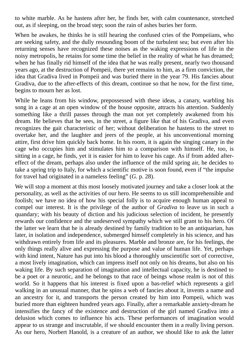to white marble. As he hastens after her, he finds her, with calm countenance, stretched out, as if sleeping, on the broad step; soon the rain of ashes buries her form.

When he awakes, he thinks he is still hearing the confused cries of the Pompeiians, who are seeking safety, and the dully resounding boom of the turbulent sea; but even after his returning senses have recognized these noises as the waking expressions of life in the noisy metropolis, he retains for some time the belief in the reality of what he has dreamed; when he has finally rid himself of the idea that he was really present, nearly two thousand years ago, at the destruction of Pompeii, there yet remains to him, as a firm conviction, the idea that Gradiva lived in Pompeii and was buried there in the year 79. His fancies about Gradiva, due to the after-effects of this dream, continue so that he now, for the first time, begins to mourn her as lost.

While he leans from his window, prepossessed with these ideas, a canary, warbling his song in a cage at an open window of the house opposite, attracts his attention. Suddenly something like a thrill passes through the man not yet completely awakened from his dream. He believes that he sees, in the street, a figure like that of his Gradiva, and even recognizes the gait characteristic of her; without deliberation he hastens to the street to overtake her, and the laughter and jeers of the people, at his unconventional morning attire, first drive him quickly back home. In his room, it is again the singing canary in the cage who occupies him and stimulates him to a comparison with himself. He, too, is sitting in a cage, he finds, yet it is easier for him to leave his cage. As if from added aftereffect of the dream, perhaps also under the influence of the mild spring air, he decides to take a spring trip to Italy, for which a scientific motive is soon found, even if "the impulse for travel had originated in a nameless feeling" (*G.* p. 28).

We will stop a moment at this most loosely motivated journey and take a closer look at the personality, as well as the activities of our hero. He seems to us still incomprehensible and foolish; we have no idea of how his special folly is to acquire enough human appeal to compel our interest. It is the privilege of the author of *Gradiva* to leave us in such a quandary; with his beauty of diction and his judicious selection of incident, he presently rewards our confidence and the undeserved sympathy which we still grant to his hero. Of the latter we learn that he is already destined by family tradition to be an antiquarian, has later, in isolation and independence, submerged himself completely in his science, and has withdrawn entirely from life and its pleasures. Marble and bronze are, for his feelings, the only things really alive and expressing the purpose and value of human life. Yet, perhaps with kind intent, Nature has put into his blood a thoroughly unscientific sort of corrective, a most lively imagination, which can impress itself not only on his dreams, but also on his waking life. By such separation of imagination and intellectual capacity, he is destined to be a poet or a neurotic, and he belongs to that race of beings whose realm is not of this world. So it happens that his interest is fixed upon a bas-relief which represents a girl walking in an unusual manner, that he spins a web of fancies about it, invents a name and an ancestry for it, and transports the person created by him into Pompeii, which was buried more than eighteen hundred years ago. Finally, after a remarkable anxiety-dream he intensifies the fancy of the existence and destruction of the girl named Gradiva into a delusion which comes to influence his acts. These performances of imagination would appear to us strange and inscrutable, if we should encounter them in a really living person. As our hero, Norbert Hanold, is a creature of an author, we should like to ask the latter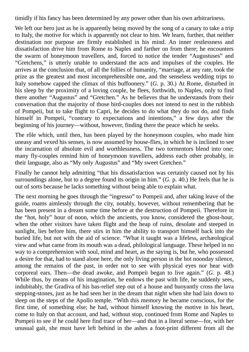timidly if his fancy has been determined by any power other than his own arbitrariness.

We left our hero just as he is apparently being moved by the song of a canary to take a trip to Italy, the motive for which is apparently not clear to him. We learn, further, that neither destination nor purpose are firmly established in his mind. An inner restlessness and dissatisfaction drive him from Rome to Naples and farther on from there; he encounters the swarm of honeymoon travellers, and, forced to notice the tender "Augustuses" and "Gretchens," is utterly unable to understand the acts and impulses of the couples. He arrives at the conclusion that, of all the follies of humanity, "marriage, at any rate, took the prize as the greatest and most incomprehensible one, and the senseless wedding trips to Italy somehow capped the climax of this buffoonery." (*G.* p. 30.) At Rome, disturbed in his sleep by the proximity of a loving couple, he flees, forthwith, to Naples, only to find there another "Augustus" and "Gretchen." As he believes that he understands from their conversation that the majority of those bird-couples does not intend to nest in the rubbish of Pompeii, but to take flight to Capri, he decides to do what they do not do, and finds himself in Pompeii, "contrary to expectations and intentions," a few days after the beginning of his journey—without, however, finding there the peace which he seeks.

The rôle which, until then, has been played by the honeymoon couples, who made him uneasy and vexed his senses, is now assumed by house-flies, in which he is inclined to see the incarnation of absolute evil and worthlessness. The two tormentors blend into one; many fly-couples remind him of honeymoon travellers, address each other probably, in their language, also as "My only Augustus" and "My sweet Gretchen."

Finally he cannot help admitting "that his dissatisfaction was certainly caused not by his surroundings alone, but to a degree found its origin in him." (*G.* p. 40.) He feels that he is out of sorts because he lacks something without being able to explain what.

The next morning he goes through the "ingresso" to Pompeii and, after taking leave of the guide, roams aimlessly through the city, notably, however, without remembering that he has been present in a dream some time before at the destruction of Pompeii. Therefore in the "hot, holy" hour of noon, which the ancients, you know, considered the ghost-hour, when the other visitors have taken flight and the heap of ruins, desolate and steeped in sunlight, lies before him, there stirs in him the ability to transport himself back into the buried life, but not with the aid of science. "What it taught was a lifeless, archæological view and what came from its mouth was a dead, philological language. These helped in no way to a comprehension with soul, mind and heart, as the saying is, but he, who possessed a desire for that, had to stand alone here, the only living person in the hot noonday silence, among the remains of the past, in order not to see with physical eyes nor hear with corporeal ears. Then—the dead awoke, and Pompeii began to live again." (*G.* p. 48.) While thus, by means of his imagination, he endows the past with life, he suddenly sees, indubitably, the Gradiva of his bas-relief step out of a house and buoyantly cross the lava stepping-stones, just as he had seen her in the dream that night when she had lain down to sleep on the steps of the Apollo temple. "With this memory he became conscious, for the first time, of something else; he had, without himself knowing the motive in his heart, come to Italy on that account, and had, without stop, continued from Rome and Naples to Pompeii to see if he could here find trace of her—and that in a literal sense—for, with her unusual gait, she must have left behind in the ashes a foot-print different from all the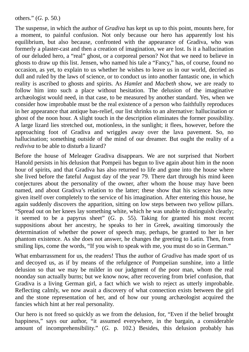others." (*G.* p. 50.)

The suspense, in which the author of *Gradiva* has kept us up to this point, mounts here, for a moment, to painful confusion. Not only because our hero has apparently lost his equilibrium, but also because, confronted with the appearance of Gradiva, who was formerly a plaster-cast and then a creation of imagination, we are lost. Is it a hallucination of our deluded hero, a "real" ghost, or a corporeal person? Not that we need to believe in ghosts to draw up this list. Jensen, who named his tale a "Fancy," has, of course, found no occasion, as yet, to explain to us whether he wishes to leave us in our world, decried as dull and ruled by the laws of science, or to conduct us into another fantastic one, in which reality is ascribed to ghosts and spirits. As *Hamlet* and *Macbeth* show, we are ready to follow him into such a place without hesitation. The delusion of the imaginative archæologist would need, in that case, to be measured by another standard. Yes, when we consider how improbable must be the real existence of a person who faithfully reproduces in her appearance that antique bas-relief, our list shrinks to an alternative: hallucination or ghost of the noon hour. A slight touch in the description eliminates the former possibility. A large lizard lies stretched out, motionless, in the sunlight; it flees, however, before the approaching foot of Gradiva and wriggles away over the lava pavement. So, no hallucination; something outside of the mind of our dreamer. But ought the reality of a *rediviva* to be able to disturb a lizard?

Before the house of Meleager Gradiva disappears. We are not surprised that Norbert Hanold persists in his delusion that Pompeii has begun to live again about him in the noon hour of spirits, and that Gradiva has also returned to life and gone into the house where she lived before the fateful August day of the year 79. There dart through his mind keen conjectures about the personality of the owner, after whom the house may have been named, and about Gradiva's relation to the latter; these show that his science has now given itself over completely to the service of his imagination. After entering this house, he again suddenly discovers the apparition, sitting on low steps between two yellow pillars. "Spread out on her knees lay something white, which he was unable to distinguish clearly; it seemed to be a papyrus sheet" (*G.* p. 55). Taking for granted his most recent suppositions about her ancestry, he speaks to her in Greek, awaiting timorously the determination of whether the power of speech may, perhaps, be granted to her in her phantom existence. As she does not answer, he changes the greeting to Latin. Then, from smiling lips, come the words, "If you wish to speak with me, you must do so in German."

What embarrassment for us, the readers! Thus the author of *Gradiva* has made sport of us and decoyed us, as if by means of the refulgence of Pompeiian sunshine, into a little delusion so that we may be milder in our judgment of the poor man, whom the real noonday sun actually burns; but we know now, after recovering from brief confusion, that Gradiva is a living German girl, a fact which we wish to reject as utterly improbable. Reflecting calmly, we now await a discovery of what connection exists between the girl and the stone representation of her, and of how our young archæologist acquired the fancies which hint at her real personality.

Our hero is not freed so quickly as we from the delusion, for, "Even if the belief brought happiness," says our author, "it assumed everywhere, in the bargain, a considerable amount of incomprehensibility." (*G.* p. 102.) Besides, this delusion probably has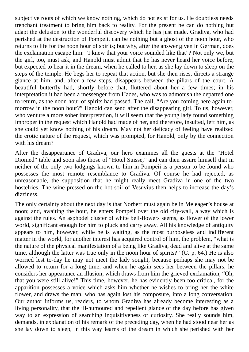subjective roots of which we know nothing, which do not exist for us. He doubtless needs trenchant treatment to bring him back to reality. For the present he can do nothing but adapt the delusion to the wonderful discovery which he has just made. Gradiva, who had perished at the destruction of Pompeii, can be nothing but a ghost of the noon hour, who returns to life for the noon hour of spirits; but why, after the answer given in German, does the exclamation escape him: "I knew that your voice sounded like that"? Not only we, but the girl, too, must ask, and Hanold must admit that he has never heard her voice before, but expected to hear it in the dream, when he called to her, as she lay down to sleep on the steps of the temple. He begs her to repeat that action, but she then rises, directs a strange glance at him, and, after a few steps, disappears between the pillars of the court. A beautiful butterfly had, shortly before that, fluttered about her a few times; in his interpretation it had been a messenger from Hades, who was to admonish the departed one to return, as the noon hour of spirits had passed. The call, "Are you coming here again tomorrow in the noon hour?" Hanold can send after the disappearing girl. To us, however, who venture a more sober interpretation, it will seem that the young lady found something improper in the request which Hanold had made of her, and therefore, insulted, left him, as she could yet know nothing of his dream. May not her delicacy of feeling have realized the erotic nature of the request, which was prompted, for Hanold, only by the connection with his dream?

After the disappearance of Gradiva, our hero examines all the guests at the "Hotel Diomed" table and soon also those of "Hotel Suisse," and can then assure himself that in neither of the only two lodgings known to him in Pompeii is a person to be found who possesses the most remote resemblance to Gradiva. Of course he had rejected, as unreasonable, the supposition that he might really meet Gradiva in one of the two hostelries. The wine pressed on the hot soil of Vesuvius then helps to increase the day's dizziness.

The only certainty about the next day is that Norbert must again be in Meleager's house at noon; and, awaiting the hour, he enters Pompeii over the old city-wall, a way which is against the rules. An asphodel cluster of white bell-flowers seems, as flower of the lower world, significant enough for him to pluck and carry away. All his knowledge of antiquity appears to him, however, while he is waiting, as the most purposeless and indifferent matter in the world, for another interest has acquired control of him, the problem, "what is the nature of the physical manifestation of a being like Gradiva, dead and alive at the same time, although the latter was true only in the noon hour of spirits?" (*G.* p. 64.) He is also worried lest to-day he may not meet the lady sought, because perhaps she may not be allowed to return for a long time, and when he again sees her between the pillars, he considers her appearance an illusion, which draws from him the grieved exclamation, "Oh, that you were still alive!" This time, however, he has evidently been too critical, for the apparition possesses a voice which asks him whether he wishes to bring her the white flower, and draws the man, who has again lost his composure, into a long conversation. Our author informs us, readers, to whom Gradiva has already become interesting as a living personality, that the ill-humoured and repellent glance of the day before has given way to an expression of searching inquisitiveness or curiosity. She really sounds him, demands, in explanation of his remark of the preceding day, when he had stood near her as she lay down to sleep, in this way learns of the dream in which she perished with her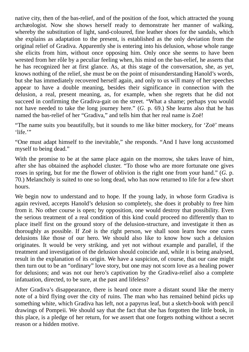native city, then of the bas-relief, and of the position of the foot, which attracted the young archæologist. Now she shows herself ready to demonstrate her manner of walking, whereby the substitution of light, sand-coloured, fine leather shoes for the sandals, which she explains as adaptation to the present, is established as the only deviation from the original relief of Gradiva. Apparently she is entering into his delusion, whose whole range she elicits from him, without once opposing him. Only once she seems to have been wrested from her rôle by a peculiar feeling when, his mind on the bas-relief, he asserts that he has recognized her at first glance. As, at this stage of the conversation, she, as yet, knows nothing of the relief, she must be on the point of misunderstanding Hanold's words, but she has immediately recovered herself again, and only to us will many of her speeches appear to have a double meaning, besides their significance in connection with the delusion, a real, present meaning, as, for example, when she regrets that he did not succeed in confirming the Gradiva-gait on the street. "What a shame; perhaps you would not have needed to take the long journey here." (*G.* p. 69.) She learns also that he has named the bas-relief of her "Gradiva," and tells him that her real name is Zoë!

"The name suits you beautifully, but it sounds to me like bitter mockery, for 'Zoë' means 'life."

"One must adapt himself to the inevitable," she responds. "And I have long accustomed myself to being dead."

With the promise to be at the same place again on the morrow, she takes leave of him, after she has obtained the asphodel cluster. "To those who are more fortunate one gives roses in spring, but for me the flower of oblivion is the right one from your hand." (*G.* p. 70.) Melancholy is suited to one so long dead, who has now returned to life for a few short hours.

We begin now to understand and to hope. If the young lady, in whose form Gradiva is again revived, accepts Hanold's delusion so completely, she does it probably to free him from it. No other course is open; by opposition, one would destroy that possibility. Even the serious treatment of a real condition of this kind could proceed no differently than to place itself first on the ground story of the delusion-structure, and investigate it then as thoroughly as possible. If Zoë is the right person, we shall soon learn how one cures delusions like those of our hero. We should also like to know how such a delusion originates. It would be very striking, and yet not without example and parallel, if the treatment and investigation of the delusion should coincide and, while it is being analysed, result in the explanation of its origin. We have a suspicion, of course, that our case might then turn out to be an "ordinary" love story, but one may not scorn love as a healing power for delusions; and was not our hero's captivation by the Gradiva-relief also a complete infatuation, directed, to be sure, at the past and lifeless?

After Gradiva's disappearance, there is heard once more a distant sound like the merry note of a bird flying over the city of ruins. The man who has remained behind picks up something white, which Gradiva has left, not a papyrus leaf, but a sketch-book with pencil drawings of Pompeii. We should say that the fact that she has forgotten the little book, in this place, is a pledge of her return, for we assert that one forgets nothing without a secret reason or a hidden motive.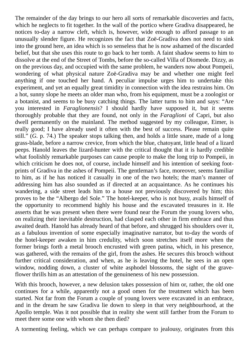The remainder of the day brings to our hero all sorts of remarkable discoveries and facts, which he neglects to fit together. In the wall of the portico where Gradiva disappeared, he notices to-day a narrow cleft, which is, however, wide enough to afford passage to an unusually slender figure. He recognizes the fact that Zoë-Gradiva does not need to sink into the ground here, an idea which is so senseless that he is now ashamed of the discarded belief, but that she uses this route to go back to her tomb. A faint shadow seems to him to dissolve at the end of the Street of Tombs, before the so-called Villa of Diomede. Dizzy, as on the previous day, and occupied with the same problem, he wanders now about Pompeii, wondering of what physical nature Zoë-Gradiva may be and whether one might feel anything if one touched her hand. A peculiar impulse urges him to undertake this experiment, and yet an equally great timidity in connection with the idea restrains him. On a hot, sunny slope he meets an older man who, from his equipment, must be a zoologist or a botanist, and seems to be busy catching things. The latter turns to him and says: "Are you interested in *Faraglionensis*? I should hardly have supposed it, but it seems thoroughly probable that they are found, not only in the *Faraglioni* of Capri, but also dwell permanently on the mainland. The method suggested by my colleague, Eimer, is really good; I have already used it often with the best of success. Please remain quite still." (*G.* p. 74.) The speaker stops talking then, and holds a little snare, made of a long grass-blade, before a narrow crevice, from which the blue, chatoyant, little head of a lizard peeps. Hanold leaves the lizard-hunter with the critical thought that it is hardly credible what foolishly remarkable purposes can cause people to make the long trip to Pompeii, in which criticism he does not, of course, include himself and his intention of seeking footprints of Gradiva in the ashes of Pompeii. The gentleman's face, moreover, seems familiar to him, as if he has noticed it casually in one of the two hotels; the man's manner of addressing him has also sounded as if directed at an acquaintance. As he continues his wandering, a side street leads him to a house not previously discovered by him; this proves to be the "Albergo del Sole." The hotel-keeper, who is not busy, avails himself of the opportunity to recommend highly his house and the excavated treasures in it. He asserts that he was present when there were found near the Forum the young lovers who, on realizing their inevitable destruction, had clasped each other in firm embrace and thus awaited death. Hanold has already heard of that before, and shrugged his shoulders over it, as a fabulous invention of some especially imaginative narrator, but to-day the words of the hotel-keeper awaken in him credulity, which soon stretches itself more when the former brings forth a metal brooch encrusted with green patina, which, in his presence, was gathered, with the remains of the girl, from the ashes. He secures this brooch without further critical consideration, and when, as he is leaving the hotel, he sees in an open window, nodding down, a cluster of white asphodel blossoms, the sight of the graveflower thrills him as an attestation of the genuineness of his new possession.

With this brooch, however, a new delusion takes possession of him or, rather, the old one continues for a while, apparently not a good omen for the treatment which has been started. Not far from the Forum a couple of young lovers were excavated in an embrace, and in the dream he saw Gradiva lie down to sleep in that very neighbourhood, at the Apollo temple. Was it not possible that in reality she went still farther from the Forum to meet there some one with whom she then died?

A tormenting feeling, which we can perhaps compare to jealousy, originates from this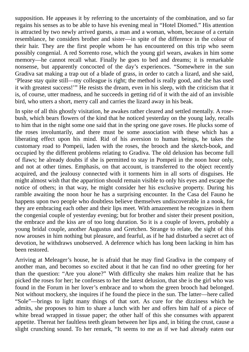supposition. He appeases it by referring to the uncertainty of the combination, and so far regains his senses as to be able to have his evening meal in "Hotel Diomed." His attention is attracted by two newly arrived guests, a man and a woman, whom, because of a certain resemblance, he considers brother and sister—in spite of the difference in the colour of their hair. They are the first people whom he has encountered on this trip who seem possibly congenial. A red Sorrento rose, which the young girl wears, awakes in him some memory—he cannot recall what. Finally he goes to bed and dreams; it is remarkable nonsense, but apparently concocted of the day's experiences. "Somewhere in the sun Gradiva sat making a trap out of a blade of grass, in order to catch a lizard, and she said, 'Please stay quite still—my colleague is right; the method is really good, and she has used it with greatest success!'" He resists the dream, even in his sleep, with the criticism that it is, of course, utter madness, and he succeeds in getting rid of it with the aid of an invisible bird, who utters a short, merry call and carries the lizard away in his beak.

In spite of all this ghostly visitation, he awakes rather cleared and settled mentally. A rosebush, which bears flowers of the kind that he noticed yesterday on the young lady, recalls to him that in the night some one said that in the spring one gave roses. He plucks some of the roses involuntarily, and there must be some association with these which has a liberating effect upon his mind. Rid of his aversion to human beings, he takes the customary road to Pompeii, laden with the roses, the brooch and the sketch-book, and occupied by the different problems relating to Gradiva. The old delusion has become full of flaws; he already doubts if she is permitted to stay in Pompeii in the noon hour only, and not at other times. Emphasis, on that account, is transferred to the object recently acquired, and the jealousy connected with it torments him in all sorts of disguises. He might almost wish that the apparition should remain visible to only his eyes and escape the notice of others; in that way, he might consider her his exclusive property. During his ramble awaiting the noon hour he has a surprising encounter. In the Casa del Fauno he happens upon two people who doubtless believe themselves undiscoverable in a nook, for they are embracing each other and their lips meet. With amazement he recognizes in them the congenial couple of yesterday evening; but for brother and sister their present position, the embrace and the kiss are of too long duration. So it is a couple of lovers, probably a young bridal couple, another Augustus and Gretchen. Strange to relate, the sight of this now arouses in him nothing but pleasure, and fearful, as if he had disturbed a secret act of devotion, he withdraws unobserved. A deference which has long been lacking in him has been restored.

Arriving at Meleager's house, he is afraid that he may find Gradiva in the company of another man, and becomes so excited about it that he can find no other greeting for her than the question: "Are you alone?" With difficulty she makes him realize that he has picked the roses for her; he confesses to her the latest delusion, that she is the girl who was found in the Forum in her lover's embrace and to whom the green brooch had belonged. Not without mockery, she inquires if he found the piece in the sun. The latter—here called "Sole"—brings to light many things of that sort. As cure for the dizziness which he admits, she proposes to him to share a lunch with her and offers him half of a piece of white bread wrapped in tissue paper; the other half of this she consumes with apparent appetite. Thereat her faultless teeth gleam between her lips and, in biting the crust, cause a slight crunching sound. To her remark, "It seems to me as if we had already eaten our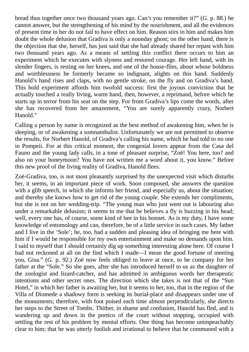bread thus together once two thousand years ago. Can't you remember it?" (*G.* p. 88.) he cannot answer, but the strengthening of his mind by the nourishment, and all the evidences of present time in her do not fail to have effect on him. Reason stirs in him and makes him doubt the whole delusion that Gradiva is only a noonday ghost; on the other hand, there is the objection that she, herself, has just said that she had already shared her repast with him two thousand years ago. As a means of settling this conflict there occurs to him an experiment which he executes with slyness and restored courage. Her left hand, with its slender fingers, is resting on her knees, and one of the house-flies, about whose boldness and worthlessness he formerly became so indignant, alights on this hand. Suddenly Hanold's hand rises and claps, with no gentle stroke, on the fly and on Gradiva's hand. This bold experiment affords him twofold success: first the joyous conviction that he actually touched a really living, warm hand, then, however, a reprimand, before which he starts up in terror from his seat on the step. For from Gradiva's lips come the words, after she has recovered from her amazement, "You are surely apparently crazy, Norbert Hanold."

Calling a person by name is recognized as the best method of awakening him, when he is sleeping, or of awakening a somnambulist. Unfortunately we are not permitted to observe the results, for Norbert Hanold, of Gradiva's calling his name, which he had told to no one in Pompeii. For at this critical moment, the congenial lovers appear from the Casa del Fauno and the young lady calls, in a tone of pleasant surprise, "Zoë! You here, too? and also on your honeymoon? You have not written me a word about it, you know." Before this new proof of the living reality of Gradiva, Hanold flees.

Zoë-Gradiva, too, is not most pleasantly surprised by the unexpected visit which disturbs her, it seems, in an important piece of work. Soon composed, she answers the question with a glib speech, in which she informs her friend, and especially us, about the situation; and thereby she knows how to get rid of the young couple. She extends her compliments, but she is not on her wedding-trip. "The young man who just went out is labouring also under a remarkable delusion; it seems to me that he believes a fly is buzzing in his head; well, every one has, of course, some kind of bee in his bonnet. As is my duty, I have some knowledge of entomology and can, therefore, be of a little service in such cases. My father and I live in the 'Sole'; he, too, had a sudden and pleasing idea of bringing me here with him if I would be responsible for my own entertainment and make no demands upon him. I said to myself that I should certainly dig up something interesting alone here. Of course I had not reckoned at all on the find which I made—I mean the good fortune of meeting you, Gisa." (*G.* p. 92.) Zoë now feels obliged to leave at once, to be company for her father at the "Sole." So she goes, after she has introduced herself to us as the daughter of the zoologist and lizard-catcher, and has admitted in ambiguous words her therapeutic intentions and other secret ones. The direction which she takes is not that of the "Sun Hotel," in which her father is awaiting her, but it seems to her, too, that in the region of the Villa of Diomede a shadowy form is seeking its burial-place and disappears under one of the monuments; therefore, with foot poised each time almost perpendicularly, she directs her steps to the Street of Tombs. Thither, in shame and confusion, Hanold has fled, and is wandering up and down in the portico of the court without stopping, occupied with settling the rest of his problem by mental efforts. One thing has become unimpeachably clear to him; that he was utterly foolish and irrational to believe that he communed with a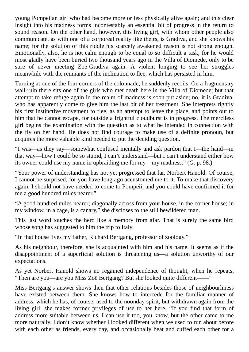young Pompeiian girl who had become more or less physically alive again; and this clear insight into his madness forms incontestably an essential bit of progress in the return to sound reason. On the other hand, however, this living girl, with whom other people also communicate, as with one of a corporeal reality like theirs, is Gradiva, and she knows his name; for the solution of this riddle his scarcely awakened reason is not strong enough. Emotionally, also, he is not calm enough to be equal to so difficult a task, for he would most gladly have been buried two thousand years ago in the Villa of Diomede, only to be sure of never meeting Zoë-Gradiva again. A violent longing to see her struggles meanwhile with the remnants of the inclination to flee, which has persisted in him.

Turning at one of the four corners of the colonnade, he suddenly recoils. On a fragmentary wall-ruin there sits one of the girls who met death here in the Villa of Diomede; but that attempt to take refuge again in the realm of madness is soon put aside; no, it is Gradiva, who has apparently come to give him the last bit of her treatment. She interprets rightly his first instinctive movement to flee, as an attempt to leave the place, and points out to him that he cannot escape, for outside a frightful cloudburst is in progress. The merciless girl begins the examination with the question as to what he intended in connection with the fly on her hand. He does not find courage to make use of a definite pronoun, but acquires the more valuable kind needed to put the deciding question.

"I was—as they say—somewhat confused mentally and ask pardon that I—the hand—in that way—how I could be so stupid, I can't understand—but I can't understand either how its owner could use my name in upbraiding me for my—my madness." (*G.* p. 98.)

"Your power of understanding has not yet progressed that far, Norbert Hanold. Of course, I cannot be surprised, for you have long ago accustomed me to it. To make that discovery again, I should not have needed to come to Pompeii, and you could have confirmed it for me a good hundred miles nearer."

"A good hundred miles nearer; diagonally across from your house, in the corner house; in my window, in a cage, is a canary," she discloses to the still bewildered man.

This last word touches the hero like a memory from afar. That is surely the same bird whose song has suggested to him the trip to Italy.

"In that house lives my father, Richard Bertgang, professor of zoology."

As his neighbour, therefore, she is acquainted with him and his name. It seems as if the disappointment of a superficial solution is threatening us—a solution unworthy of our expectations.

As yet Norbert Hanold shows no regained independence of thought, when he repeats, "Then are you—are you Miss Zoë Bertgang? But she looked quite different——"

Miss Bertgang's answer shows then that other relations besides those of neighbourliness have existed between them. She knows how to intercede for the familiar manner of address, which he has, of course, used to the noonday spirit, but withdrawn again from the living girl; she makes former privileges of use to her here. "If you find that form of address more suitable between us, I can use it too, you know, but the other came to me more naturally. I don't know whether I looked different when we used to run about before with each other as friends, every day, and occasionally beat and cuffed each other for a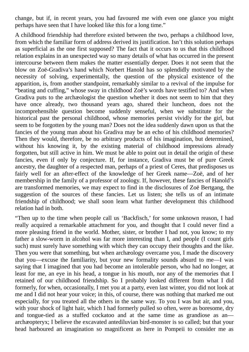change, but if, in recent years, you had favoured me with even one glance you might perhaps have seen that I have looked like this for a long time."

A childhood friendship had therefore existed between the two, perhaps a childhood love, from which the familiar form of address derived its justification. Isn't this solution perhaps as superficial as the one first supposed? The fact that it occurs to us that this childhood relation explains in an unexpected way so many details of what has occurred in the present intercourse between them makes the matter essentially deeper. Does it not seem that the blow on Zoë-Gradiva's hand which Norbert Hanold has so splendidly motivated by the necessity of solving, experimentally, the question of the physical existence of the apparition, is, from another standpoint, remarkably similar to a revival of the impulse for "beating and cuffing," whose sway in childhood Zoë's words have testified to? And when Gradiva puts to the archæologist the question whether it does not seem to him that they have once already, two thousand years ago, shared their luncheon, does not the incomprehensible question become suddenly senseful, when we substitute for the historical past the personal childhood, whose memories persist vividly for the girl, but seem to be forgotten by the young man? Does not the idea suddenly dawn upon us that the fancies of the young man about his Gradiva may be an echo of his childhood memories? Then they would, therefore, be no arbitrary products of his imagination, but determined, without his knowing it, by the existing material of childhood impressions already forgotten, but still active in him. We must be able to point out in detail the origin of these fancies, even if only by conjecture. If, for instance, Gradiva must be of pure Greek ancestry, the daughter of a respected man, perhaps of a priest of Ceres, that predisposes us fairly well for an after-effect of the knowledge of her Greek name—Zoë, and of her membership in the family of a professor of zoology. If, however, these fancies of Hanold's are transformed memories, we may expect to find in the disclosures of Zoë Bertgang, the suggestion of the sources of these fancies. Let us listen; she tells us of an intimate friendship of childhood; we shall soon learn what further development this childhood relation had in both.

"Then up to the time when people call us 'Backfisch,' for some unknown reason, I had really acquired a remarkable attachment for you, and thought that I could never find a more pleasing friend in the world. Mother, sister, or brother I had not, you know; to my father a slow-worm in alcohol was far more interesting than I, and people (I count girls such) must surely have something with which they can occupy their thoughts and the like. Then you were that something, but when archæology overcame you, I made the discovery that you—excuse the familiarity, but your new formality sounds absurd to me—I was saying that I imagined that you had become an intolerable person, who had no longer, at least for me, an eye in his head, a tongue in his mouth, nor any of the memories that I retained of our childhood friendship. So I probably looked different from what I did formerly, for when, occasionally, I met you at a party, even last winter, you did not look at me and I did not hear your voice; in this, of course, there was nothing that marked me out especially, for you treated all the others in the same way. To you I was but air, and you, with your shock of light hair, which I had formerly pulled so often, were as boresome, dry and tongue-tied as a stuffed cockatoo and at the same time as grandiose as an archæopteryx; I believe the excavated antediluvian bird-monster is so called; but that your head harboured an imagination so magnificent as here in Pompeii to consider me as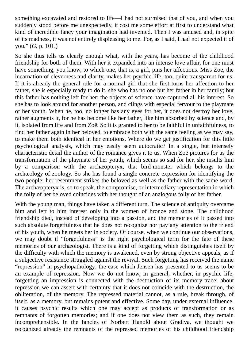something excavated and restored to life—I had not surmised that of you, and when you suddenly stood before me unexpectedly, it cost me some effort at first to understand what kind of incredible fancy your imagination had invented. Then I was amused and, in spite of its madness, it was not entirely displeasing to me. For, as I said, I had not expected it of you." (*G.* p. 101.)

So she thus tells us clearly enough what, with the years, has become of the childhood friendship for both of them. With her it expanded into an intense love affair, for one must have something, you know, to which one, that is, a girl, pins her affections. Miss Zoë, the incarnation of cleverness and clarity, makes her psychic life, too, quite transparent for us. If it is already the general rule for a normal girl that she first turns her affection to her father, she is especially ready to do it, she who has no one but her father in her family; but this father has nothing left for her; the objects of science have captured all his interest. So she has to look around for another person, and clings with especial fervour to the playmate of her youth. When he, too, no longer has any eyes for her, it does not destroy her love, rather augments it, for he has become like her father, like him absorbed by science and, by it, isolated from life and from Zoë. So it is granted to her to be faithful in unfaithfulness, to find her father again in her beloved, to embrace both with the same feeling as we may say, to make them both identical in her emotions. Where do we get justification for this little psychological analysis, which may easily seem autocratic? In a single, but intensely characteristic detail the author of the romance gives it to us. When Zoë pictures for us the transformation of the playmate of her youth, which seems so sad for her, she insults him by a comparison with the archæopteryx, that bird-monster which belongs to the archæology of zoology. So she has found a single concrete expression for identifying the two people; her resentment strikes the beloved as well as the father with the same word. The archæopteryx is, so to speak, the compromise, or intermediary representation in which the folly of her beloved coincides with her thought of an analogous folly of her father.

With the young man, things have taken a different turn. The science of antiquity overcame him and left to him interest only in the women of bronze and stone. The childhood friendship died, instead of developing into a passion, and the memories of it passed into such absolute forgetfulness that he does not recognize nor pay any attention to the friend of his youth, when he meets her in society. Of course, when we continue our observations, we may doubt if "forgetfulness" is the right psychological term for the fate of these memories of our archæologist. There is a kind of forgetting which distinguishes itself by the difficulty with which the memory is awakened, even by strong objective appeals, as if a subjective resistance struggled against the revival. Such forgetting has received the name "repression" in psychopathology; the case which Jensen has presented to us seems to be an example of repression. Now we do not know, in general, whether, in psychic life, forgetting an impression is connected with the destruction of its memory-trace; about repression we can assert with certainty that it does not coincide with the destruction, the obliteration, of the memory. The repressed material cannot, as a rule, break through, of itself, as a memory, but remains potent and effective. Some day, under external influence, it causes psychic results which one may accept as products of transformation or as remnants of forgotten memories; and if one does not view them as such, they remain incomprehensible. In the fancies of Norbert Hanold about Gradiva, we thought we recognized already the remnants of the repressed memories of his childhood friendship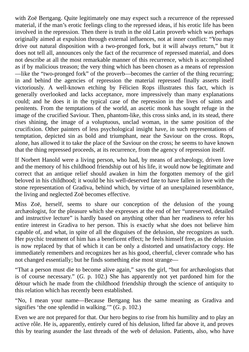with Zoë Bertgang. Quite legitimately one may expect such a recurrence of the repressed material, if the man's erotic feelings cling to the repressed ideas, if his erotic life has been involved in the repression. Then there is truth in the old Latin proverb which was perhaps originally aimed at expulsion through external influences, not at inner conflict: "You may drive out natural disposition with a two-pronged fork, but it will always return," but it does not tell all, announces only the fact of the recurrence of repressed material, and does not describe at all the most remarkable manner of this recurrence, which is accomplished as if by malicious treason; the very thing which has been chosen as a means of repression —like the "two-pronged fork" of the proverb—becomes the carrier of the thing recurring; in and behind the agencies of repression the material repressed finally asserts itself victoriously. A well-known etching by Félicien Rops illustrates this fact, which is generally overlooked and lacks acceptance, more impressively than many explanations could; and he does it in the typical case of the repression in the lives of saints and penitents. From the temptations of the world, an ascetic monk has sought refuge in the image of the crucified Saviour. Then, phantom-like, this cross sinks and, in its stead, there rises shining, the image of a voluptuous, unclad woman, in the same position of the crucifixion. Other painters of less psychological insight have, in such representations of temptation, depicted sin as bold and triumphant, near the Saviour on the cross. Rops, alone, has allowed it to take the place of the Saviour on the cross; he seems to have known that the thing repressed proceeds, at its recurrence, from the agency of repression itself.

If Norbert Hanold were a living person, who had, by means of archæology, driven love and the memory of his childhood friendship out of his life, it would now be legitimate and correct that an antique relief should awaken in him the forgotten memory of the girl beloved in his childhood; it would be his well-deserved fate to have fallen in love with the stone representation of Gradiva, behind which, by virtue of an unexplained resemblance, the living and neglected Zoë becomes effective.

Miss Zoë, herself, seems to share our conception of the delusion of the young archæologist, for the pleasure which she expresses at the end of her "unreserved, detailed and instructive lecture" is hardly based on anything other than her readiness to refer his entire interest in Gradiva to her person. This is exactly what she does not believe him capable of, and what, in spite of all the disguises of the delusion, she recognizes as such. Her psychic treatment of him has a beneficent effect; he feels himself free, as the delusion is now replaced by that of which it can be only a distorted and unsatisfactory copy. He immediately remembers and recognizes her as his good, cheerful, clever comrade who has not changed essentially; but he finds something else most strange—

"That a person must die to become alive again," says the girl, "but for archæologists that is of course necessary." (*G.* p. 102.) She has apparently not yet pardoned him for the détour which he made from the childhood friendship through the science of antiquity to this relation which has recently been established.

"No, I mean your name—Because Bertgang has the same meaning as Gradiva and signifies 'the one splendid in walking.'" (*G.* p. 102.)

Even we are not prepared for that. Our hero begins to rise from his humility and to play an active rôle. He is, apparently, entirely cured of his delusion, lifted far above it, and proves this by tearing asunder the last threads of the web of delusion. Patients, also, who have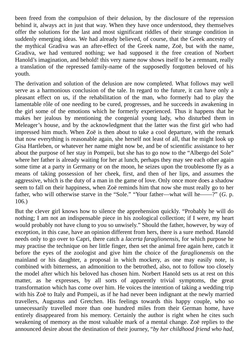been freed from the compulsion of their delusion, by the disclosure of the repression behind it, always act in just that way. When they have once understood, they themselves offer the solutions for the last and most significant riddles of their strange condition in suddenly emerging ideas. We had already believed, of course, that the Greek ancestry of the mythical Gradiva was an after-effect of the Greek name, Zoë, but with the name, Gradiva, we had ventured nothing; we had supposed it the free creation of Norbert Hanold's imagination, and behold! this very name now shows itself to be a remnant, really a translation of the repressed family-name of the supposedly forgotten beloved of his youth.

The derivation and solution of the delusion are now completed. What follows may well serve as a harmonious conclusion of the tale. In regard to the future, it can have only a pleasant effect on us, if the rehabilitation of the man, who formerly had to play the lamentable rôle of one needing to be cured, progresses, and he succeeds in awakening in the girl some of the emotions which he formerly experienced. Thus it happens that he makes her jealous by mentioning the congenial young lady, who disturbed them in Meleager's house, and by the acknowledgment that the latter was the first girl who had impressed him much. When Zoë is then about to take a cool departure, with the remark that now everything is reasonable again, she herself not least of all, that he might look up Gisa Hartleben, or whatever her name might now be, and be of scientific assistance to her about the purpose of her stay in Pompeii, but she has to go now to the "Albergo del Sole" where her father is already waiting for her at lunch, perhaps they may see each other again some time at a party in Germany or on the moon, he seizes upon the troublesome fly as a means of taking possession of her cheek, first, and then of her lips, and assumes the aggressive, which is the duty of a man in the game of love. Only once more does a shadow seem to fall on their happiness, when Zoë reminds him that now she must really go to her father, who will otherwise starve in the "Sole." "Your father—what will he——?" (*G.* p. 106.)

But the clever girl knows how to silence the apprehension quickly. "Probably he will do nothing; I am not an indispensable piece in his zoological collection; if I were, my heart would probably not have clung to you so unwisely." Should the father, however, by way of exception, in this case, have an opinion different from hers, there is a sure method. Hanold needs only to go over to Capri, there catch a *lacerta faraglionensis*, for which purpose he may practise the technique on her little finger, then set the animal free again here, catch it before the eyes of the zoologist and give him the choice of the *faraglionensis* on the mainland or his daughter, a proposal in which mockery, as one may easily note, is combined with bitterness, an admonition to the betrothed, also, not to follow too closely the model after which his beloved has chosen him. Norbert Hanold sets us at rest on this matter, as he expresses, by all sorts of apparently trivial symptoms, the great transformation which has come over him. He voices the intention of taking a wedding trip with his Zoë to Italy and Pompeii, as if he had never been indignant at the newly married travellers, Augustus and Gretchen. His feelings towards this happy couple, who so unnecessarily travelled more than one hundred miles from their German home, have entirely disappeared from his memory. Certainly the author is right when he cites such weakening of memory as the most valuable mark of a mental change. Zoë replies to the announced desire about the destination of their journey, "*by her childhood friend who had,*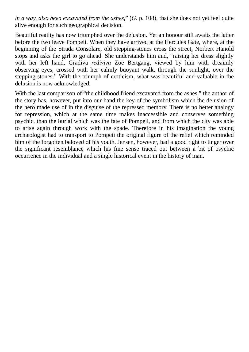*in a way, also been excavated from the ashes*," (*G.* p. 108), that she does not yet feel quite alive enough for such geographical decision.

Beautiful reality has now triumphed over the delusion. Yet an honour still awaits the latter before the two leave Pompeii. When they have arrived at the Hercules Gate, where, at the beginning of the Strada Consolare, old stepping-stones cross the street, Norbert Hanold stops and asks the girl to go ahead. She understands him and, "raising her dress slightly with her left hand, Gradiva *rediviva* Zoë Bertgang, viewed by him with dreamily observing eyes, crossed with her calmly buoyant walk, through the sunlight, over the stepping-stones." With the triumph of eroticism, what was beautiful and valuable in the delusion is now acknowledged.

With the last comparison of "the childhood friend excavated from the ashes," the author of the story has, however, put into our hand the key of the symbolism which the delusion of the hero made use of in the disguise of the repressed memory. There is no better analogy for repression, which at the same time makes inaccessible and conserves something psychic, than the burial which was the fate of Pompeii, and from which the city was able to arise again through work with the spade. Therefore in his imagination the young archæologist had to transport to Pompeii the original figure of the relief which reminded him of the forgotten beloved of his youth. Jensen, however, had a good right to linger over the significant resemblance which his fine sense traced out between a bit of psychic occurrence in the individual and a single historical event in the history of man.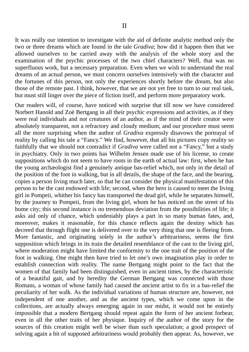It was really our intention to investigate with the aid of definite analytic method only the two or three dreams which are found in the tale *Gradiva*; how did it happen then that we allowed ourselves to be carried away with the analysis of the whole story and the examination of the psychic processes of the two chief characters? Well, that was no superfluous work, but a necessary preparation. Even when we wish to understand the real dreams of an actual person, we must concern ourselves intensively with the character and the fortunes of this person, not only the experiences shortly before the dream, but also those of the remote past. I think, however, that we are not yet free to turn to our real task, but must still linger over the piece of fiction itself, and perform more preparatory work.

Our readers will, of course, have noticed with surprise that till now we have considered Norbert Hanold and Zoë Bertgang in all their psychic expressions and activities, as if they were real individuals and not creatures of an author, as if the mind of their creator were absolutely transparent, not a refractory and cloudy medium; and our procedure must seem all the more surprising when the author of *Gradiva* expressly disavows the portrayal of reality by calling his tale a "Fancy." We find, however, that all his pictures copy reality so faithfully that we should not contradict if *Gradiva* were called not a "Fancy," but a study in psychiatry. Only in two points has Wilhelm Jensen made use of his license, to create suppositions which do not seem to have roots in the earth of actual law: first, when he has the young archæologist find a genuinely antique bas-relief which, not only in the detail of the position of the foot in walking, but in all details, the shape of the face, and the bearing, copies a person living much later, so that he can consider the physical manifestation of this person to be the cast endowed with life; second, when the hero is caused to meet the living girl in Pompeii, whither his fancy has transported the dead girl, while he separates himself, by the journey to Pompeii, from the living girl, whom he has noticed on the street of his home city; this second instance is no tremendous deviation from the possibilities of life; it asks aid only of chance, which undeniably plays a part in so many human fates, and, moreover, makes it reasonable, for this chance reflects again the destiny which has decreed that through flight one is delivered over to the very thing that one is fleeing from. More fantastic, and originating solely in the author's arbitrariness, seems the first supposition which brings in its train the detailed resemblance of the cast to the living girl, where moderation might have limited the conformity to the one trait of the position of the foot in walking. One might then have tried to let one's own imagination play in order to establish connection with reality. The name Bertgang might point to the fact that the women of that family had been distinguished, even in ancient times, by the characteristic of a beautiful gait, and by heredity the German Bertgang was connected with those Romans, a woman of whose family had caused the ancient artist to fix in a bas-relief the peculiarity of her walk. As the individual variations of human structure are, however, not independent of one another, and as the ancient types, which we come upon in the collections, are actually always emerging again in our midst, it would not be entirely impossible that a modern Bertgang should repeat again the form of her ancient forbear, even in all the other traits of her physique. Inquiry of the author of the story for the sources of this creation might well be wiser than such speculation; a good prospect of solving again a bit of supposed arbitrariness would probably then appear. As, however, we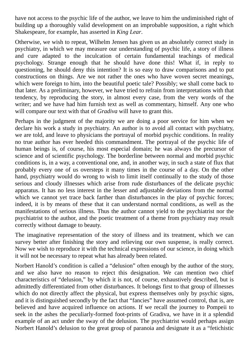have not access to the psychic life of the author, we leave to him the undiminished right of building up a thoroughly valid development on an improbable supposition, a right which Shakespeare, for example, has asserted in *King Lear*.

Otherwise, we wish to repeat, Wilhelm Jensen has given us an absolutely correct study in psychiatry, in which we may measure our understanding of psychic life, a story of illness and cure adapted to the inculcation of certain fundamental teachings of medical psychology. Strange enough that he should have done this! What if, in reply to questioning, he should deny this intention? It is so easy to draw comparisons and to put constructions on things. Are we not rather the ones who have woven secret meanings, which were foreign to him, into the beautiful poetic tale? Possibly; we shall come back to that later. As a preliminary, however, we have tried to refrain from interpretations with that tendency, by reproducing the story, in almost every case, from the very words of the writer; and we have had him furnish text as well as commentary, himself. Any one who will compare our text with that of *Gradiva* will have to grant this.

Perhaps in the judgment of the majority we are doing a poor service for him when we declare his work a study in psychiatry. An author is to avoid all contact with psychiatry, we are told, and leave to physicians the portrayal of morbid psychic conditions. In reality no true author has ever heeded this commandment. The portrayal of the psychic life of human beings is, of course, his most especial domain; he was always the precursor of science and of scientific psychology. The borderline between normal and morbid psychic conditions is, in a way, a conventional one, and, in another way, in such a state of flux that probably every one of us oversteps it many times in the course of a day. On the other hand, psychiatry would do wrong to wish to limit itself continually to the study of those serious and cloudy illnesses which arise from rude disturbances of the delicate psychic apparatus. It has no less interest in the lesser and adjustable deviations from the normal which we cannot yet trace back farther than disturbances in the play of psychic forces; indeed, it is by means of these that it can understand normal conditions, as well as the manifestations of serious illness. Thus the author cannot yield to the psychiatrist nor the psychiatrist to the author, and the poetic treatment of a theme from psychiatry may result correctly without damage to beauty.

The imaginative representation of the story of illness and its treatment, which we can survey better after finishing the story and relieving our own suspense, is really correct. Now we wish to reproduce it with the technical expressions of our science, in doing which it will not be necessary to repeat what has already been related.

Norbert Hanold's condition is called a "delusion" often enough by the author of the story, and we also have no reason to reject this designation. We can mention two chief characteristics of "delusion," by which it is not, of course, exhaustively described, but is admittedly differentiated from other disturbances. It belongs first to that group of illnesses which do not directly affect the physical, but express themselves only by psychic signs, and it is distinguished secondly by the fact that "fancies" have assumed control, that is, are believed and have acquired influence on actions. If we recall the journey to Pompeii to seek in the ashes the peculiarly-formed foot-prints of Gradiva, we have in it a splendid example of an act under the sway of the delusion. The psychiatrist would perhaps assign Norbert Hanold's delusion to the great group of paranoia and designate it as a "fetichistic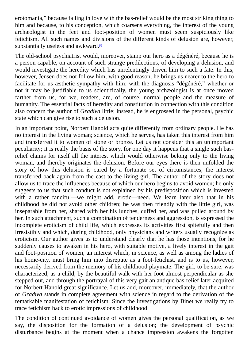erotomania," because falling in love with the bas-relief would be the most striking thing to him and because, to his conception, which coarsens everything, the interest of the young archæologist in the feet and foot-position of women must seem suspiciously like fetichism. All such names and divisions of the different kinds of delusion are, however, substantially useless and awkward.¤

<span id="page-72-0"></span>The old-school psychiatrist would, moreover, stamp our hero as a dégénéré, because he is a person capable, on account of such strange predilections, of developing a delusion, and would investigate the heredity wh[ic](#page-99-0)h has unrelentingly driven him to such a fate. In this, however, Jensen does not follow him; with good reason, he brings us nearer to the hero to facilitate for us æsthetic sympathy with him; with the diagnosis "dégénéré," whether or not it may be justifiable to us scientifically, the young archæologist is at once moved farther from us, for we, readers, are, of course, normal people and the measure of humanity. The essential facts of heredity and constitution in connection with this condition also concern the author of *Gradiva* little; instead, he is engrossed in the personal, psychic state which can give rise to such a delusion.

In an important point, Norbert Hanold acts quite differently from ordinary people. He has no interest in the living woman; science, which he serves, has taken this interest from him and transferred it to women of stone or bronze. Let us not consider this an unimportant peculiarity; it is really the basis of the story, for one day it happens that a single such basrelief claims for itself all the interest which would otherwise belong only to the living woman, and thereby originates the delusion. Before our eyes there is then unfolded the story of how this delusion is cured by a fortunate set of circumstances, the interest transferred back again from the cast to the living girl. The author of the story does not allow us to trace the influences because of which our hero begins to avoid women; he only suggests to us that such conduct is not explained by his predisposition which is invested with a rather fanciful—we might add, erotic—need. We learn later also that in his childhood he did not avoid other children; he was then friendly with the little girl, was inseparable from her, shared with her his lunches, cuffed her, and was pulled around by her. In such attachment, such a combination of tenderness and aggression, is expressed the incomplete eroticism of child life, which expresses its activities first spitefully and then irresistibly and which, during childhood, only physicians and writers usually recognize as eroticism. Our author gives us to understand clearly that he has those intentions, for he suddenly causes to awaken in his hero, with suitable motive, a lively interest in the gait and foot-position of women, an interest which, in science, as well as among the ladies of his home-city, must bring him into disrepute as a foot-fetichist, and is to us, however, necessarily derived from the memory of his childhood playmate. The girl, to be sure, was characterized, as a child, by the beautiful walk with her foot almost perpendicular as she stepped out, and through the portrayal of this very gait an antique bas-relief later acquired for Norbert Hanold great significance. Let us add, moreover, immediately, that the author of *Gradiva* stands in complete agreement with science in regard to the derivation of the remarkable manifestation of fetichism. Since the investigations by Binet we really try to trace fetichism back to erotic impressions of childhood.

The condition of continued avoidance of women gives the personal qualification, as we say, the disposition for the formation of a delusion; the development of psychic disturbance begins at the moment when a chance impression awakens the forgotten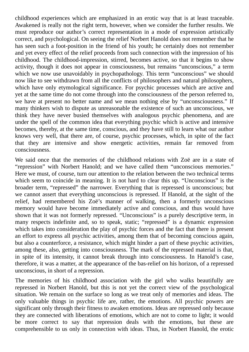childhood experiences which are emphasized in an erotic way that is at least traceable. Awakened is really not the right term, however, when we consider the further results. We must reproduce our author's correct representation in a mode of expression artistically correct, and psychological. On seeing the relief Norbert Hanold does not remember that he has seen such a foot-position in the friend of his youth; he certainly does not remember and yet every effect of the relief proceeds from such connection with the impression of his childhood. The childhood-impression, stirred, becomes active, so that it begins to show activity, though it does not appear in consciousness, but remains "unconscious," a term which we now use unavoidably in psychopathology. This term "unconscious" we should now like to see withdrawn from all the conflicts of philosophers and natural philosophers, which have only etymological significance. For psychic processes which are active and yet at the same time do not come through into the consciousness of the person referred to, we have at present no better name and we mean nothing else by "unconsciousness." If many thinkers wish to dispute as unreasonable the existence of such an unconscious, we think they have never busied themselves with analogous psychic phenomena, and are under the spell of the common idea that everything psychic which is active and intensive becomes, thereby, at the same time, conscious, and they have still to learn what our author knows very well, that there are, of course, psychic processes, which, in spite of the fact that they are intensive and show energetic activities, remain far removed from consciousness.

We said once that the memories of the childhood relations with Zoë are in a state of "repression" with Norbert Hanold; and we have called them "unconscious memories." Here we must, of course, turn our attention to the relation between the two technical terms which seem to coincide in meaning. It is not hard to clear this up. "Unconscious" is the broader term, "repressed" the narrower. Everything that is repressed is unconscious; but we cannot assert that everything unconscious is repressed. If Hanold, at the sight of the relief, had remembered his Zoë's manner of walking, then a formerly unconscious memory would have become immediately active and conscious, and thus would have shown that it was not formerly repressed. "Unconscious" is a purely descriptive term, in many respects indefinite and, so to speak, static; "repressed" is a dynamic expression which takes into consideration the play of psychic forces and the fact that there is present an effort to express all psychic activities, among them that of becoming conscious again, but also a counterforce, a resistance, which might hinder a part of these psychic activities, among these, also, getting into consciousness. The mark of the repressed material is that, in spite of its intensity, it cannot break through into consciousness. In Hanold's case, therefore, it was a matter, at the appearance of the bas-relief on his horizon, of a repressed unconscious, in short of a repression.

The memories of his childhood association with the girl who walks beautifully are repressed in Norbert Hanold, but this is not yet the correct view of the psychological situation. We remain on the surface so long as we treat only of memories and ideas. The only valuable things in psychic life are, rather, the emotions. All psychic powers are significant only through their fitness to awaken emotions. Ideas are repressed only because they are connected with liberations of emotions, which are not to come to light; it would be more correct to say that repression deals with the emotions, but these are comprehensible to us only in connection with ideas. Thus, in Norbert Hanold, the erotic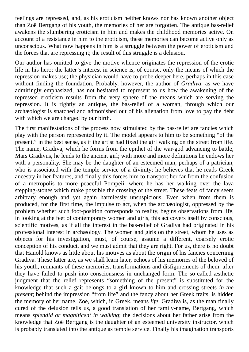feelings are repressed, and, as his eroticism neither knows nor has known another object than Zoë Bertgang of his youth, the memories of her are forgotten. The antique bas-relief awakens the slumbering eroticism in him and makes the childhood memories active. On account of a resistance in him to the eroticism, these memories can become active only as unconscious. What now happens in him is a struggle between the power of eroticism and the forces that are repressing it; the result of this struggle is a delusion.

Our author has omitted to give the motive whence originates the repression of the erotic life in his hero; the latter's interest in science is, of course, only the means of which the repression makes use; the physician would have to probe deeper here, perhaps in this case without finding the foundation. Probably, however, the author of *Gradiva*, as we have admiringly emphasized, has not hesitated to represent to us how the awakening of the repressed eroticism results from the very sphere of the means which are serving the repression. It is rightly an antique, the bas-relief of a woman, through which our archæologist is snatched and admonished out of his alienation from love to pay the debt with which we are charged by our birth.

The first manifestations of the process now stimulated by the bas-relief are fancies which play with the person represented by it. The model appears to him to be something "of the present," in the best sense, as if the artist had fixed the girl walking on the street from life. The name, Gradiva, which he forms from the epithet of the war-god advancing to battle, Mars Gradivus, he lends to the ancient girl; with more and more definitions he endows her with a personality. She may be the daughter of an esteemed man, perhaps of a patrician, who is associated with the temple service of a divinity; he believes that he reads Greek ancestry in her features, and finally this forces him to transport her far from the confusion of a metropolis to more peaceful Pompeii, where he has her walking over the lava stepping-stones which make possible the crossing of the street. These feats of fancy seem arbitrary enough and yet again harmlessly unsuspicious. Even when from them is produced, for the first time, the impulse to act, when the archæologist, oppressed by the problem whether such foot-position corresponds to reality, begins observations from life, in looking at the feet of contemporary women and girls, this act covers itself by conscious, scientific motives, as if all the interest in the bas-relief of Gradiva had originated in his professional interest in archæology. The women and girls on the street, whom he uses as objects for his investigation, must, of course, assume a different, coarsely erotic conception of his conduct, and we must admit that they are right. For us, there is no doubt that Hanold knows as little about his motives as about the origin of his fancies concerning Gradiva. These latter are, as we shall learn later, echoes of his memories of the beloved of his youth, remnants of these memories, transformations and disfigurements of them, after they have failed to push into consciousness in unchanged form. The so-called æsthetic judgment that the relief represents "something of the present" is substituted for the knowledge that such a gait belongs to a girl known to him and crossing streets *in the present*; behind the impression "from life" and the fancy about her Greek traits, is hidden the memory of her name, Zoë, which, in Greek, means *life*; Gradiva is, as the man finally cured of the delusion tells us, a good translation of her family-name, Bertgang, which means *splendid or magnificent in walking*; the decisions about her father arise from the knowledge that Zoë Bertgang is the daughter of an esteemed university instructor, which is probably translated into the antique as temple service. Finally his imagination transports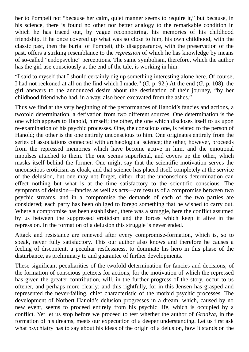her to Pompeii not "because her calm, quiet manner seems to require it," but because, in his science, there is found no other nor better analogy to the remarkable condition in which he has traced out, by vague reconnoitring, his memories of his childhood friendship. If he once covered up what was so close to him, his own childhood, with the classic past, then the burial of Pompeii, this disappearance, with the preservation of the past, offers a striking resemblance to the *repression* of which he has knowledge by means of so-called "endopsychic" perceptions. The same symbolism, therefore, which the author has the girl use consciously at the end of the tale, is working in him.

"I said to myself that I should certainly dig up something interesting alone here. Of course, I had not reckoned at all on the find which I made." (*G.* p. 92.) At the end (*G.* p. 108), the girl answers to the announced desire about the destination of their journey, "by her childhood friend who had, in a way, also been excavated from the ashes."

Thus we find at the very beginning of the performances of Hanold's fancies and actions, a twofold determination, a derivation from two different sources. One determination is the one which appears to Hanold, himself; the other, the one which discloses itself to us upon re-examination of his psychic processes. One, the conscious one, is related to the person of Hanold; the other is the one entirely unconscious to him. One originates entirely from the series of associations connected with archæological science; the other, however, proceeds from the repressed memories which have become active in him, and the emotional impulses attached to them. The one seems superficial, and covers up the other, which masks itself behind the former. One might say that the scientific motivation serves the unconscious eroticism as cloak, and that science has placed itself completely at the service of the delusion, but one may not forget, either, that the unconscious determination can effect nothing but what is at the time satisfactory to the scientific conscious. The symptoms of delusion—fancies as well as acts—are results of a compromise between two psychic streams, and in a compromise the demands of each of the two parties are considered; each party has been obliged to forego something that he wished to carry out. Where a compromise has been established, there was a struggle, here the conflict assumed by us between the suppressed eroticism and the forces which keep it alive in the repression. In the formation of a delusion this struggle is never ended.

Attack and resistance are renewed after every compromise-formation, which is, so to speak, never fully satisfactory. This our author also knows and therefore he causes a feeling of discontent, a peculiar restlessness, to dominate his hero in this phase of the disturbance, as preliminary to and guarantee of further developments.

These significant peculiarities of the twofold determination for fancies and decisions, of the formation of conscious pretexts for actions, for the motivation of which the repressed has given the greater contribution, will, in the further progress of the story, occur to us oftener, and perhaps more clearly; and this rightfully, for in this Jensen has grasped and represented the never-failing, chief characteristic of the morbid psychic processes. The development of Norbert Hanold's delusion progresses in a dream, which, caused by no new event, seems to proceed entirely from his psychic life, which is occupied by a conflict. Yet let us stop before we proceed to test whether the author of *Gradiva*, in the formation of his dreams, meets our expectation of a deeper understanding. Let us first ask what psychiatry has to say about his ideas of the origin of a delusion, how it stands on the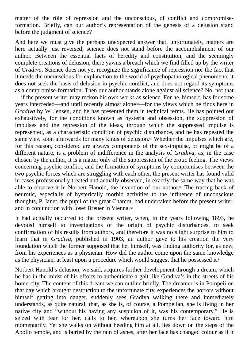matter of the rôle of repression and the unconscious, of conflict and compromiseformation. Briefly, can our author's representation of the genesis of a delusion stand before the judgment of science?

And here we must give the perhaps unexpected answer that, unfortunately, matters are here actually just reversed; science does not stand before the accomplishment of our author. Between the essential facts of heredity and constitution, and the seemingly complete creations of delusion, there yawns a breach which we find filled up by the writer of *Gradiva*. Science does not yet recognize the significance of repression nor the fact that it needs the unconscious for explanation to the world of psychopathological phenomena; it does not seek the basis of delusion in psychic conflict, and does not regard its symptoms as a compromise-formation. Then our author stands alone against all science? No, not that —if the present writer may reckon his own works as science. For he, himself, has for some years interceded—and until recently almost alone<sup>[3]</sup>—for the views which he finds here in *Gradiva* by W. Jensen, and he has presented them in technical terms. He has pointed out exhaustively, for the conditions known as hysteria and obsession, the suppression of impulses and the repression of the ideas, thr[ou](#page-99-1)gh which the suppressed impulse is represented, as a characteristic condition of psychic disturbance, and he has repeated the same view soon afterwards for many kinds of delusion.<sup>[4]</sup> Whether the impulses which are, for this reason, considered are always components of the sex-impulse, or might be of a different nature, is a problem of indifference in the analysis of *Gradiva*, as, in the case chosen by the author, it is a matter only of the suppress[io](#page-99-2)n of the erotic feeling. The views concerning psychic conflict, and the formation of symptoms by compromises between the two psychic forces which are struggling with each other, the present writer has found valid in cases professionally treated and actually observed, in exactly the same way that he was able to observe it in Norbert Hanold, the invention of our author.<sup>[5]</sup> The tracing back of neurotic, especially of hysterically morbid activities to the influence of unconscious thoughts, P. Janet, the pupil of the great Charcot, had undertaken before the present writer, and in conjunction with Josef Breuer in Vienna.®

<span id="page-76-0"></span>It had actually occurred to the present writer, when, in the years following 1893, he devoted himself to investigations of the origin of psychic disturbances, to seek confirmation of his results from authors, and t[he](#page-99-3)refore it was no slight surprise to him to learn that in *Gradiva*, published in 1903, an author gave to his creation the very foundation which the former supposed that he, himself, was finding authority for, as new, from his experiences as a physician. How did the author come upon the same knowledge as the physician, at least upon a procedure which would suggest that he possessed it?

Norbert Hanold's delusion, we said, acquires further development through a dream, which he has in the midst of his efforts to authenticate a gait like Gradiva's in the streets of his home-city. The content of this dream we can outline briefly. The dreamer is in Pompeii on that day which brought destruction to the unfortunate city, experiences the horrors without himself getting into danger, suddenly sees Gradiva walking there and immediately understands, as quite natural, that, as she is, of course, a Pompeiian, she is living in her native city and "without his having any suspicion of it, was his contemporary." He is seized with fear for her, calls to her, whereupon she turns her face toward him momentarily. Yet she walks on without heeding him at all, lies down on the steps of the Apollo temple, and is buried by the rain of ashes, after her face has changed colour as if it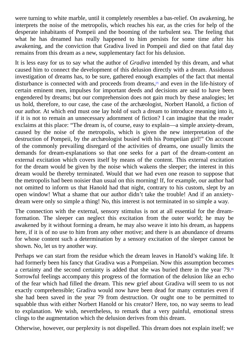were turning to white marble, until it completely resembles a bas-relief. On awakening, he interprets the noise of the metropolis, which reaches his ear, as the cries for help of the desperate inhabitants of Pompeii and the booming of the turbulent sea. The feeling that what he has dreamed has really happened to him persists for some time after his awakening, and the conviction that Gradiva lived in Pompeii and died on that fatal day remains from this dream as a new, supplementary fact for his delusion.

<span id="page-77-0"></span>It is less easy for us to say what the author of *Gradiva* intended by this dream, and what caused him to connect the development of this delusion directly with a dream. Assiduous investigation of dreams has, to be sure, gathered enough examples of the fact that mental disturbance is connected with and proceeds from dreams,<sup>n</sup> and even in the life-history of certain eminent men, impulses for important deeds and decisions are said to have been engendered by dreams; but our comprehension does not gain much by these analogies; let us hold, therefore, to our case, the case of the archæolog[is](#page-99-4)t, Norbert Hanold, a fiction of our author. At which end must one lay hold of such a dream to introduce meaning into it, if it is not to remain an unnecessary adornment of fiction? I can imagine that the reader exclaims at this place: "The dream is, of course, easy to explain—a simple anxiety-dream, caused by the noise of the metropolis, which is given the new interpretation of the destruction of Pompeii, by the archæologist busied with his Pompeiian girl!" On account of the commonly prevailing disregard of the activities of dreams, one usually limits the demands for dream-explanations so that one seeks for a part of the dream-content an external excitation which covers itself by means of the content. This external excitation for the dream would be given by the noise which wakens the sleeper; the interest in this dream would be thereby terminated. Would that we had even one reason to suppose that the metropolis had been noisier than usual on this morning! If, for example, our author had not omitted to inform us that Hanold had that night, contrary to his custom, slept by an open window! What a shame that our author didn't take the trouble! And if an anxietydream were only so simple a thing! No, this interest is not terminated in so simple a way.

The connection with the external, sensory stimulus is not at all essential for the dreamformation. The sleeper can neglect this excitation from the outer world; he may be awakened by it without forming a dream, he may also weave it into his dream, as happens here, if it is of no use to him from any other motive; and there is an abundance of dreams for whose content such a determination by a sensory excitation of the sleeper cannot be shown. No, let us try another way.

Perhaps we can start from the residue which the dream leaves in Hanold's waking life. It had formerly been his fancy that Gradiva was a Pompeiian. Now this assumption becomes a certainty and the second certainty is added that she was buried there in the year 79.<sup>89</sup> Sorrowful feelings accompany this progress of the formation of the delusion like an echo of the fear which had filled the dream. This new grief about Gradiva will seem to us not exactly comprehensible; Gradiva would now have been dead for many centuries even [if](#page-99-5) she had been saved in the year 79 from destruction. Or ought one to be permitted to squabble thus with either Norbert Hanold or his creator? Here, too, no way seems to lead to explanation. We wish, nevertheless, to remark that a very painful, emotional stress clings to the augmentation which the delusion derives from this dream.

<span id="page-77-1"></span>Otherwise, however, our perplexity is not dispelled. This dream does not explain itself; we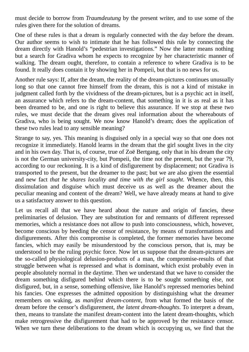must decide to borrow from *Traumdeutung* by the present writer, and to use some of the rules given there for the solution of dreams.

One of these rules is that a dream is regularly connected with the day before the dream. Our author seems to wish to intimate that he has followed this rule by connecting the dream directly with Hanold's "pedestrian investigations." Now the latter means nothing but a search for Gradiva whom he expects to recognize by her characteristic manner of walking. The dream ought, therefore, to contain a reference to where Gradiva is to be found. It really does contain it by showing her in Pompeii, but that is no news for us.

Another rule says: If, after the dream, the reality of the dream-pictures continues unusually long so that one cannot free himself from the dream, this is not a kind of mistake in judgment called forth by the vividness of the dream-pictures, but is a psychic act in itself, an assurance which refers to the dream-content, that something in it is as real as it has been dreamed to be, and one is right to believe this assurance. If we stop at these two rules, we must decide that the dream gives real information about the whereabouts of Gradiva, who is being sought. We now know Hanold's dream; does the application of these two rules lead to any sensible meaning?

Strange to say, yes. This meaning is disguised only in a special way so that one does not recognize it immediately. Hanold learns in the dream that the girl sought lives in the city and in his own day. That is, of course, true of Zoë Bertgang, only that in his dream the city is not the German university-city, but Pompeii, the time not the present, but the year 79, according to our reckoning. It is a kind of disfigurement by displacement; not Gradiva is transported to the present, but the dreamer to the past; but we are also given the essential and new fact *that he shares locality and time with the girl sought*. Whence, then, this dissimulation and disguise which must deceive us as well as the dreamer about the peculiar meaning and content of the dream? Well, we have already means at hand to give us a satisfactory answer to this question.

Let us recall all that we have heard about the nature and origin of fancies, these preliminaries of delusion. They are substitution for and remnants of different repressed memories, which a resistance does not allow to push into consciousness, which, however, become conscious by heeding the censor of resistance, by means of transformations and disfigurements. After this compromise is completed, the former memories have become fancies, which may easily be misunderstood by the conscious person, that is, may be understood to be the ruling psychic force. Now let us suppose that the dream-pictures are the so-called physiological delusion-products of a man, the compromise-results of that struggle between what is repressed and what is dominant, which exist probably even in people absolutely normal in the daytime. Then we understand that we have to consider the dream something disfigured behind which there is to be sought something else, not disfigured, but, in a sense, something offensive, like Hanold's repressed memories behind his fancies. One expresses the admitted opposition by distinguishing what the dreamer remembers on waking, as *manifest dream-content*, from what formed the basis of the dream before the censor's disfigurement, *the latent dream-thoughts*. To interpret a dream, then, means to translate the manifest dream-content into the latent dream-thoughts, which make retrogressive the disfigurement that had to be approved by the resistance censor. When we turn these deliberations to the dream which is occupying us, we find that the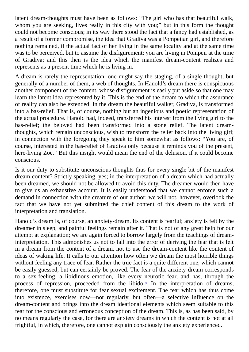latent dream-thoughts must have been as follows: "The girl who has that beautiful walk, whom you are seeking, lives really in this city with you;" but in this form the thought could not become conscious; in its way there stood the fact that a fancy had established, as a result of a former compromise, the idea that Gradiva was a Pompeiian girl, and therefore nothing remained, if the actual fact of her living in the same locality and at the same time was to be perceived, but to assume the disfigurement: you are living in Pompeii at the time of Gradiva; and this then is the idea which the manifest dream-content realizes and represents as a present time which he is living in.

A dream is rarely the representation, one might say the staging, of a single thought, but generally of a number of them, a web of thoughts. In Hanold's dream there is conspicuous another component of the content, whose disfigurement is easily put aside so that one may learn the latent idea represented by it. This is the end of the dream to which the assurance of reality can also be extended. In the dream the beautiful walker, Gradiva, is transformed into a bas-relief. That is, of course, nothing but an ingenious and poetic representation of the actual procedure. Hanold had, indeed, transferred his interest from the living girl to the bas-relief; the beloved had been transformed into a stone relief. The latent dreamthoughts, which remain unconscious, wish to transform the relief back into the living girl; in connection with the foregoing they speak to him somewhat as follows: "You are, of course, interested in the bas-relief of Gradiva only because it reminds you of the present, here-living Zoë." But this insight would mean the end of the delusion, if it could become conscious.

Is it our duty to substitute unconscious thoughts thus for every single bit of the manifest dream-content? Strictly speaking, yes; in the interpretation of a dream which had actually been dreamed, we should not be allowed to avoid this duty. The dreamer would then have to give us an exhaustive account. It is easily understood that we cannot enforce such a demand in connection with the creature of our author; we will not, however, overlook the fact that we have not yet submitted the chief content of this dream to the work of interpretation and translation.

Hanold's dream is, of course, an anxiety-dream. Its content is fearful; anxiety is felt by the dreamer in sleep, and painful feelings remain after it. That is not of any great help for our attempt at explanation; we are again forced to borrow largely from the teachings of dreaminterpretation. This admonishes us not to fall into the error of deriving the fear that is felt in a dream from the content of a dream, not to use the dream-content like the content of ideas of waking life. It calls to our attention how often we dream the most horrible things without feeling any trace of fear. Rather the true fact is a quite different one, which cannot be easily guessed, but can certainly be proved. The fear of the anxiety-dream corresponds to a sex-feeling, a libidinous emotion, like every neurotic fear, and has, through the process of repression, proceeded from the libido.<sup>[9]</sup> In the interpretation of dreams, therefore, one must substitute for fear sexual excitement. The fear which has thus come into existence, exercises now—not regularly, but often—a selective influence on the dream-content and brings into the dream ideational [ele](#page-99-6)ments which seem suitable to this fear for the conscious and erroneous conception of the dream. This is, as has been said, by no means regularly the case, for there are anxiety dreams in which the content is not at all frightful, in which, therefore, one cannot explain consciously the anxiety experienced.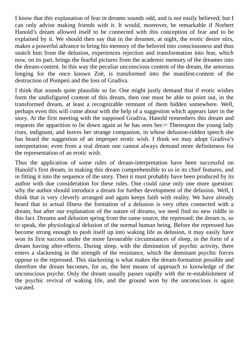I know that this explanation of fear in dreams sounds of fear in dreams sounds of  $\mu$ can only advise making friends with it. It would, moreover, be remarkable if Norbert Hanold's dream allowed itself to be connected with this conception of fear and to be explained by it. We should then say that in the dreamer, at night, the erotic desire stirs, makes a powerful advance to bring his memory of the beloved into consciousness and thus snatch him from the delusion, experiences rejection and transformation into fear, which now, on its part, brings the fearful pictures from the academic memory of the dreamer into the dream-content. In this way the peculiar unconscious content of the dream, the amorous longing for the once known Zoë, is transformed into the manifest-content of the destruction of Pompeii and the loss of Gradiva.

I think that sounds quite plausible so far. One might justly demand that if erotic wishes form the undisfigured content of this dream, then one must be able to point out, in the transformed dream, at least a recognizable remnant of them hidden somewhere. Well, perhaps even this will come about with the help of a suggestion which appears later in the story. At the first meeting with the supposed Gradiva, Hanold remembers this dream and requests the apparition to lie down again as he has seen her. [10] Thereupon the young lady rises, indignant, and leaves her strange companion, in whose delusion-ridden speech she has heard the suggestion of an improper erotic wish. I think we may adopt Gradiva's interpretation; even from a real dream one cannot always d[em](#page-99-7)and more definiteness for the representation of an erotic wish.

Thus the application of some rules of dream-interpretation have been successful on Hanold's first dream, in making this dream comprehensible to us in its chief features, and in fitting it into the sequence of the story. Then it must probably have been produced by its author with due consideration for these rules. One could raise only one more question: why the author should introduce a dream for further development of the delusion. Well, I think that is very cleverly arranged and again keeps faith with reality. We have already heard that in actual illness the formation of a delusion is very often connected with a dream, but after our explanation of the nature of dreams, we need find no new riddle in this fact. Dreams and delusion spring from the same source, the repressed; the dream is, so to speak, the physiological delusion of the normal human being. Before the repressed has become strong enough to push itself up into waking life as delusion, it may easily have won its first success under the more favourable circumstances of sleep, in the form of a dream having after-effects. During sleep, with the diminution of psychic activity, there enters a slackening in the strength of the resistance, which the dominant psychic forces oppose to the repressed. This slackening is what makes the dream-formation possible and therefore the dream becomes, for us, the best means of approach to knowledge of the unconscious psyche. Only the dream usually passes rapidly with the re-establishment of the psychic revival of waking life, and the ground won by the unconscious is again vacated.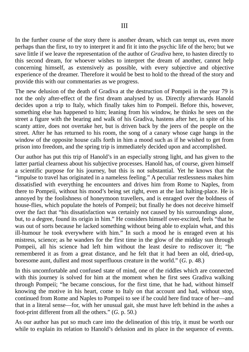In the further course of the story there is another dream, which can tempt us, even more perhaps than the first, to try to interpret it and fit it into the psychic life of the hero; but we save little if we leave the representation of the author of *Gradiva* here, to hasten directly to this second dream, for whoever wishes to interpret the dream of another, cannot help concerning himself, as extensively as possible, with every subjective and objective experience of the dreamer. Therefore it would be best to hold to the thread of the story and provide this with our commentaries as we progress.

The new delusion of the death of Gradiva at the destruction of Pompeii in the year 79 is not the only after-effect of the first dream analysed by us. Directly afterwards Hanold decides upon a trip to Italy, which finally takes him to Pompeii. Before this, however, something else has happened to him; leaning from his window, he thinks he sees on the street a figure with the bearing and walk of his Gradiva, hastens after her, in spite of his scanty attire, does not overtake her, but is driven back by the jeers of the people on the street. After he has returned to his room, the song of a canary whose cage hangs in the window of the opposite house calls forth in him a mood such as if he wished to get from prison into freedom, and the spring trip is immediately decided upon and accomplished.

Our author has put this trip of Hanold's in an especially strong light, and has given to the latter partial clearness about his subjective processes. Hanold has, of course, given himself a scientific purpose for his journey, but this is not substantial. Yet he knows that the "impulse to travel has originated in a nameless feeling." A peculiar restlessness makes him dissatisfied with everything he encounters and drives him from Rome to Naples, from there to Pompeii, without his mood's being set right, even at the last halting-place. He is annoyed by the foolishness of honeymoon travellers, and is enraged over the boldness of house-flies, which populate the hotels of Pompeii; but finally he does not deceive himself over the fact that "his dissatisfaction was certainly not caused by his surroundings alone, but, to a degree, found its origin in him." He considers himself over-excited, feels "that he was out of sorts because he lacked something without being able to explain what, and this ill-humour he took everywhere with him." In such a mood he is enraged even at his mistress, science; as he wanders for the first time in the glow of the midday sun through Pompeii, all his science had left him without the least desire to rediscover it; "he remembered it as from a great distance, and he felt that it had been an old, dried-up, boresome aunt, dullest and most superfluous creature in the world." (*G.* p. 48.)

In this uncomfortable and confused state of mind, one of the riddles which are connected with this journey is solved for him at the moment when he first sees Gradiva walking through Pompeii; "he became conscious, for the first time, that he had, without himself knowing the motive in his heart, come to Italy on that account and had, without stop, continued from Rome and Naples to Pompeii to see if he could here find trace of her—and that in a literal sense—for, with her unusual gait, she must have left behind in the ashes a foot-print different from all the others." (*G.* p. 50.)

As our author has put so much care into the delineation of this trip, it must be worth our while to explain its relation to Hanold's delusion and its place in the sequence of events.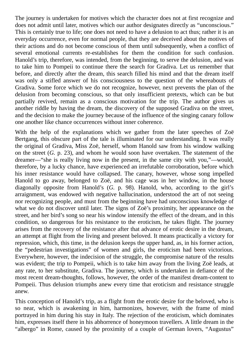The journey is undertaken for motives which the character does not at first recognize and does not admit until later, motives which our author designates directly as "unconscious." This is certainly true to life; one does not need to have a delusion to act thus; rather it is an everyday occurrence, even for normal people, that they are deceived about the motives of their actions and do not become conscious of them until subsequently, when a conflict of several emotional currents re-establishes for them the condition for such confusion. Hanold's trip, therefore, was intended, from the beginning, to serve the delusion, and was to take him to Pompeii to continue there the search for Gradiva. Let us remember that before, and directly after the dream, this search filled his mind and that the dream itself was only a stifled answer of his consciousness to the question of the whereabouts of Gradiva. Some force which we do not recognize, however, next prevents the plan of the delusion from becoming conscious, so that only insufficient pretexts, which can be but partially revived, remain as a conscious motivation for the trip. The author gives us another riddle by having the dream, the discovery of the supposed Gradiva on the street, and the decision to make the journey because of the influence of the singing canary follow one another like chance occurrences without inner coherence.

With the help of the explanations which we gather from the later speeches of Zoë Bertgang, this obscure part of the tale is illuminated for our understanding. It was really the original of Gradiva, Miss Zoë, herself, whom Hanold saw from his window walking on the street (*G.* p. 23), and whom he would soon have overtaken. The statement of the dreamer—"she is really living now in the present, in the same city with you,"—would, therefore, by a lucky chance, have experienced an irrefutable corroboration, before which his inner resistance would have collapsed. The canary, however, whose song impelled Hanold to go away, belonged to Zoë, and his cage was in her window, in the house diagonally opposite from Hanold's (*G.* p. 98). Hanold, who, according to the girl's arraignment, was endowed with negative hallucination, understood the art of not seeing nor recognizing people, and must from the beginning have had unconscious knowledge of what we do not discover until later. The signs of Zoë's proximity, her appearance on the street, and her bird's song so near his window intensify the effect of the dream, and in this condition, so dangerous for his resistance to the eroticism, he takes flight. The journey arises from the recovery of the resistance after that advance of erotic desire in the dream, an attempt at flight from the living and present beloved. It means practically a victory for repression, which, this time, in the delusion keeps the upper hand, as, in his former action, the "pedestrian investigations" of women and girls, the eroticism had been victorious. Everywhere, however, the indecision of the struggle, the compromise nature of the results was evident; the trip to Pompeii, which is to take him away from the living Zoë leads, at any rate, to her substitute, Gradiva. The journey, which is undertaken in defiance of the most recent dream-thoughts, follows, however, the order of the manifest dream-content to Pompeii. Thus delusion triumphs anew every time that eroticism and resistance struggle anew.

This conception of Hanold's trip, as a flight from the erotic desire for the beloved, who is so near, which is awakening in him, harmonizes, however, with the frame of mind portrayed in him during his stay in Italy. The rejection of the eroticism, which dominates him, expresses itself there in his abhorrence of honeymoon travellers. A little dream in the "albergo" in Rome, caused by the proximity of a couple of German lovers, "Augustus"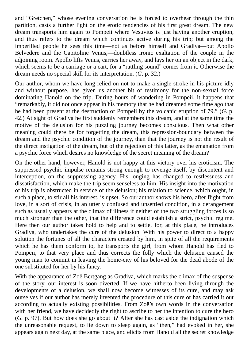and "Gretchen," whose evening conversation he is forced to overhear through the thin partition, casts a further light on the erotic tendencies of his first great dream. The new dream transports him again to Pompeii where Vesuvius is just having another eruption, and thus refers to the dream which continues active during his trip; but among the imperilled people he sees this time—not as before himself and Gradiva—but Apollo Belvedere and the Capitoline Venus,—doubtless ironic exaltation of the couple in the adjoining room. Apollo lifts Venus, carries her away, and lays her on an object in the dark, which seems to be a carriage or a cart, for a "rattling sound" comes from it. Otherwise the dream needs no special skill for its interpretation. (*G.* p. 32.)

Our author, whom we have long relied on not to make a single stroke in his picture idly and without purpose, has given us another bit of testimony for the non-sexual force dominating Hanold on the trip. During hours of wandering in Pompeii, it happens that "remarkably, it did not once appear in his memory that he had dreamed some time ago that he had been present at the destruction of Pompeii by the volcanic eruption of 79." (*G.* p. 42.) At sight of Gradiva he first suddenly remembers this dream, and at the same time the motive of the delusion for his puzzling journey becomes conscious. Then what other meaning could there be for forgetting the dream, this repression-boundary between the dream and the psychic condition of the journey, than that the journey is not the result of the direct instigation of the dream, but of the rejection of this latter, as the emanation from a psychic force which desires no knowledge of the secret meaning of the dream?

On the other hand, however, Hanold is not happy at this victory over his eroticism. The suppressed psychic impulse remains strong enough to revenge itself, by discontent and interception, on the suppressing agency. His longing has changed to restlessness and dissatisfaction, which make the trip seem senseless to him. His insight into the motivation of his trip is obstructed in service of the delusion; his relation to science, which ought, in such a place, to stir all his interest, is upset. So our author shows his hero, after flight from love, in a sort of crisis, in an utterly confused and unsettled condition, in a derangement such as usually appears at the climax of illness if neither of the two struggling forces is so much stronger than the other, that the difference could establish a strict, psychic régime. Here then our author takes hold to help and to settle, for, at this place, he introduces Gradiva, who undertakes the cure of the delusion. With his power to direct to a happy solution the fortunes of all the characters created by him, in spite of all the requirements which he has them conform to, he transports the girl, from whom Hanold has fled to Pompeii, to that very place and thus corrects the folly which the delusion caused the young man to commit in leaving the home-city of his beloved for the dead abode of the one substituted for her by his fancy.

With the appearance of Zoë Bertgang as Gradiva, which marks the climax of the suspense of the story, our interest is soon diverted. If we have hitherto been living through the developments of a delusion, we shall now become witnesses of its cure, and may ask ourselves if our author has merely invented the procedure of this cure or has carried it out according to actually existing possibilities. From Zoë's own words in the conversation with her friend, we have decidedly the right to ascribe to her the intention to cure the hero (*G.* p. 97). But how does she go about it? After she has cast aside the indignation which the unreasonable request, to lie down to sleep again, as "then," had evoked in her, she appears again next day, at the same place, and elicits from Hanold all the secret knowledge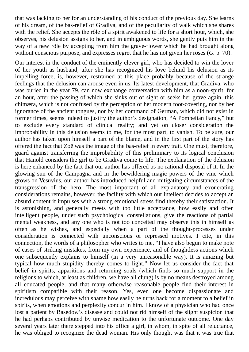that was lacking to her for an understanding of his conduct of the previous day. She learns of his dream, of the bas-relief of Gradiva, and of the peculiarity of walk which she shares with the relief. She accepts the rôle of a spirit awakened to life for a short hour, which, she observes, his delusion assigns to her, and in ambiguous words, she gently puts him in the way of a new rôle by accepting from him the grave-flower which he had brought along without conscious purpose, and expresses regret that he has not given her roses (*G.* p. 70).

Our interest in the conduct of the eminently clever girl, who has decided to win the lover of her youth as husband, after she has recognized his love behind his delusion as its impelling force, is, however, restrained at this place probably because of the strange feelings that the delusion can arouse even in us. Its latest development, that Gradiva, who was buried in the year 79, can now exchange conversation with him as a noon-spirit, for an hour, after the passing of which she sinks out of sight or seeks her grave again, this chimæra, which is not confused by the perception of her modern foot-covering, nor by her ignorance of the ancient tongues, nor by her command of German, which did not exist in former times, seems indeed to justify the author's designation, "A Pompeiian Fancy," but to exclude every standard of clinical reality; and yet on closer consideration the improbability in this delusion seems to me, for the most part, to vanish. To be sure, our author has taken upon himself a part of the blame, and in the first part of the story has offered the fact that Zoë was the image of the bas-relief in every trait. One must, therefore, guard against transferring the improbability of this preliminary to its logical conclusion that Hanold considers the girl to be Gradiva come to life. The explanation of the delusion is here enhanced by the fact that our author has offered us no rational disposal of it. In the glowing sun of the Campagna and in the bewildering magic powers of the vine which grows on Vesuvius, our author has introduced helpful and mitigating circumstances of the transgression of the hero. The most important of all explanatory and exonerating considerations remains, however, the facility with which our intellect decides to accept an absurd content if impulses with a strong emotional stress find thereby their satisfaction. It is astonishing, and generally meets with too little acceptance, how easily and often intelligent people, under such psychological constellations, give the reactions of partial mental weakness, and any one who is not too conceited may observe this in himself as often as he wishes, and especially when a part of the thought-processes under consideration is connected with unconscious or repressed motives. I cite, in this connection, the words of a philosopher who writes to me, "I have also begun to make note of cases of striking mistakes, from my own experience, and of thoughtless actions which one subsequently explains to himself (in a very unreasonable way). It is amazing but typical how much stupidity thereby comes to light." Now let us consider the fact that belief in spirits, apparitions and returning souls (which finds so much support in the religions to which, at least as children, we have all clung) is by no means destroyed among all educated people, and that many otherwise reasonable people find their interest in spiritism compatible with their reason. Yes, even one become dispassionate and incredulous may perceive with shame how easily he turns back for a moment to a belief in spirits, when emotions and perplexity concur in him. I know of a physician who had once lost a patient by Basedow's disease and could not rid himself of the slight suspicion that he had perhaps contributed by unwise medication to the unfortunate outcome. One day several years later there stepped into his office a girl, in whom, in spite of all reluctance, he was obliged to recognize the dead woman. His only thought was that it was true that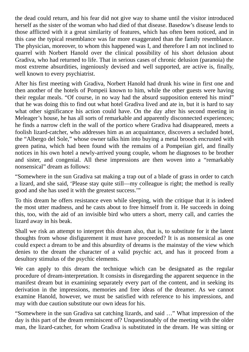the dead could return, and his fear did not give way to shame until the visitor introduced herself as the sister of the woman who had died of that disease. Basedow's disease lends to those afflicted with it a great similarity of features, which has often been noticed, and in this case the typical resemblance was far more exaggerated than the family resemblance. The physician, moreover, to whom this happened was I, and therefore I am not inclined to quarrel with Norbert Hanold over the clinical possibility of his short delusion about Gradiva, who had returned to life. That in serious cases of chronic delusion (paranoia) the most extreme absurdities, ingeniously devised and well supported, are active is, finally, well known to every psychiatrist.

After his first meeting with Gradiva, Norbert Hanold had drunk his wine in first one and then another of the hotels of Pompeii known to him, while the other guests were having their regular meals. "Of course, in no way had the absurd supposition entered his mind" that he was doing this to find out what hotel Gradiva lived and ate in, but it is hard to say what other significance his action could have. On the day after his second meeting in Meleager's house, he has all sorts of remarkable and apparently disconnected experiences; he finds a narrow cleft in the wall of the portico where Gradiva had disappeared, meets a foolish lizard-catcher, who addresses him as an acquaintance, discovers a secluded hotel, the "Albergo del Sole," whose owner talks him into buying a metal brooch encrusted with green patina, which had been found with the remains of a Pompeiian girl, and finally notices in his own hotel a newly-arrived young couple, whom he diagnoses to be brother and sister, and congenial. All these impressions are then woven into a "remarkably nonsensical" dream as follows:

"Somewhere in the sun Gradiva sat making a trap out of a blade of grass in order to catch a lizard, and she said, 'Please stay quite still—my colleague is right; the method is really good and she has used it with the greatest success.'"

To this dream he offers resistance even while sleeping, with the critique that it is indeed the most utter madness, and he casts about to free himself from it. He succeeds in doing this, too, with the aid of an invisible bird who utters a short, merry call, and carries the lizard away in his beak.

Shall we risk an attempt to interpret this dream also, that is, to substitute for it the latent thoughts from whose disfigurement it must have proceeded? It is as nonsensical as one could expect a dream to be and this absurdity of dreams is the mainstay of the view which denies to the dream the character of a valid psychic act, and has it proceed from a desultory stimulus of the psychic elements.

We can apply to this dream the technique which can be designated as the regular procedure of dream-interpretation. It consists in disregarding the apparent sequence in the manifest dream but in examining separately every part of the content, and in seeking its derivation in the impressions, memories and free ideas of the dreamer. As we cannot examine Hanold, however, we must be satisfied with reference to his impressions, and may with due caution substitute our own ideas for his.

"Somewhere in the sun Gradiva sat catching lizards, and said …" What impression of the day is this part of the dream reminiscent of? Unquestionably of the meeting with the older man, the lizard-catcher, for whom Gradiva is substituted in the dream. He was sitting or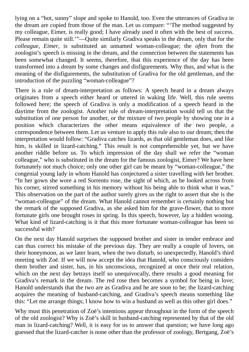lying on a "hot, sunny" slope and spoke to Hanold, too. Even the utterances of Gradiva in the dream are copied from those of the man. Let us compare: "'The method suggested by my colleague, Eimer, is really good; I have already used it often with the best of success. Please remain quite still.'"—Quite similarly Gradiva speaks in the dream, only that for the *colleague, Eimer*, is substituted an unnamed woman-colleague; the *often* from the zoologist's speech is missing in the dream, and the connection between the statements has been somewhat changed. It seems, therefore, that this experience of the day has been transformed into a dream by some changes and disfigurements. Why thus, and what is the meaning of the disfigurements, the substitution of Gradiva for the old gentleman, and the introduction of the puzzling "woman-colleague"?

There is a rule of dream-interpretation as follows: A speech heard in a dream always originates from a speech either heard or uttered in waking life. Well, this rule seems followed here; the speech of Gradiva is only a modification of a speech heard in the daytime from the zoologist. Another rule of dream-interpretation would tell us that the substitution of one person for another, or the mixture of two people by showing one in a position which characterizes the other means equivalence of the two people, a correspondence between them. Let us venture to apply this rule also to our dream; then the interpretation would follow: "Gradiva catches lizards, as that old gentleman does, and like him, is skilled in lizard-catching." This result is not comprehensible yet, but we have another riddle before us. To which impression of the day shall we refer the "woman colleague," who is substituted in the dream for the famous zoologist, Eimer? We have here fortunately not much choice; only one other girl can be meant by "woman-colleague," the congenial young lady in whom Hanold has conjectured a sister travelling with her brother. "In her gown she wore a red Sorrento rose, the sight of which, as he looked across from his corner, stirred something in his memory without his being able to think what it was." This observation on the part of the author surely gives us the right to assert that she is the "woman-colleague" of the dream. What Hanold cannot remember is certainly nothing but the remark of the supposed Gradiva, as she asked him for the grave-flower, that to more fortunate girls one brought roses in spring. In this speech, however, lay a hidden wooing. What kind of lizard-catching is it that this more fortunate woman-colleague has been so successful with?

On the next day Hanold surprises the supposed brother and sister in tender embrace and can thus correct his mistake of the previous day. They are really a couple of lovers, on their honeymoon, as we later learn, when the two disturb, so unexpectedly, Hanold's third meeting with Zoë. If we will now accept the idea that Hanold, who consciously considers them brother and sister, has, in his unconscious, recognized at once their real relation, which on the next day betrays itself so unequivocally, there results a good meaning for Gradiva's remark in the dream. The red rose then becomes a symbol for being in love; Hanold understands that the two are as Gradiva and he are soon to be; the lizard-catching acquires the meaning of husband-catching, and Gradiva's speech means something like this: "Let me arrange things; I know how to win a husband as well as this other girl does."

Why must this penetration of Zoë's intentions appear throughout in the form of the speech of the old zoologist? Why is Zoë's skill in husband-catching represented by that of the old man in lizard-catching? Well, it is easy for us to answer that question; we have long ago guessed that the lizard-catcher is none other than the professor of zoology, Bertgang, Zoë's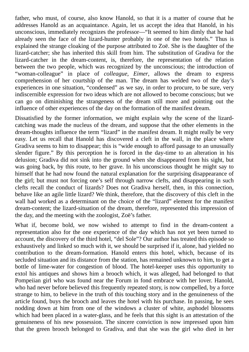father, who must, of course, also know Hanold, so that it is a matter of course that he addresses Hanold as an acquaintance. Again, let us accept the idea that Hanold, in his unconscious, immediately recognizes the professor—"It seemed to him dimly that he had already seen the face of the lizard-hunter probably in one of the two hotels." Thus is explained the strange cloaking of the purpose attributed to Zoë. She is the daughter of the lizard-catcher; she has inherited this skill from him. The substitution of Gradiva for the lizard-catcher in the dream-content, is, therefore, the representation of the relation between the two people, which was recognized by the unconscious; the introduction of "woman-colleague" in place of *colleague, Eimer*, allows the dream to express comprehension of her courtship of the man. The dream has welded two of the day's experiences in one situation, "condensed" as we say, in order to procure, to be sure, very indiscernible expression for two ideas which are not allowed to become conscious; but we can go on diminishing the strangeness of the dream still more and pointing out the influence of other experiences of the day on the formation of the manifest dream.

Dissatisfied by the former information, we might explain why the scene of the lizardcatching was made the nucleus of the dream, and suppose that the other elements in the dream-thoughts influence the term "lizard" in the manifest dream. It might really be very easy. Let us recall that Hanold has discovered a cleft in the wall, in the place where Gradiva seems to him to disappear; this is "wide enough to afford passage to an unusually slender figure." By this perception he is forced in the day-time to an alteration in his delusion; Gradiva did not sink into the ground when she disappeared from his sight, but was going back, by this route, to her grave. In his unconscious thought he might say to himself that he had now found the natural explanation for the surprising disappearance of the girl; but must not forcing one's self through narrow clefts, and disappearing in such clefts recall the conduct of lizards? Does not Gradiva herself, then, in this connection, behave like an agile little lizard? We think, therefore, that the discovery of this cleft in the wall had worked as a determinant on the choice of the "lizard" element for the manifest dream-content; the lizard-situation of the dream, therefore, represented this impression of the day, and the meeting with the zoologist, Zoë's father.

What if, become bold, we now wished to attempt to find in the dream-content a representation also for the one experience of the day which has not yet been turned to account, the discovery of the third hotel, "del Sole"? Our author has treated this episode so exhaustively and linked so much with it, we should be surprised if it, alone, had yielded no contribution to the dream-formation. Hanold enters this hotel, which, because of its secluded situation and its distance from the station, has remained unknown to him, to get a bottle of lime-water for congestion of blood. The hotel-keeper uses this opportunity to extol his antiques and shows him a brooch which, it was alleged, had belonged to that Pompeiian girl who was found near the Forum in fond embrace with her lover. Hanold, who had never before believed this frequently repeated story, is now compelled, by a force strange to him, to believe in the truth of this touching story and in the genuineness of the article found, buys the brooch and leaves the hotel with his purchase. In passing, he sees nodding down at him from one of the windows a cluster of white, asphodel blossoms which had been placed in a water-glass, and he feels that this sight is an attestation of the genuineness of his new possession. The sincere conviction is now impressed upon him that the green brooch belonged to Gradiva, and that she was the girl who died in her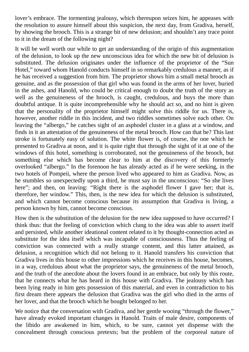lover's embrace. The tormenting jealousy, which thereupon seizes him, he appeases with the resolution to assure himself about this suspicion, the next day, from Gradiva, herself, by showing the brooch. This is a strange bit of new delusion; and shouldn't any trace point to it in the dream of the following night?

It will be well worth our while to get an understanding of the origin of this augmentation of the delusion, to look up the new unconscious idea for which the new bit of delusion is substituted. The delusion originates under the influence of the proprietor of the "Sun Hotel," toward whom Hanold conducts himself in so remarkably credulous a manner, as if he has received a suggestion from him. The proprietor shows him a small metal brooch as genuine, and as the possession of that girl who was found in the arms of her lover, buried in the ashes, and Hanold, who could be critical enough to doubt the truth of the story as well as the genuineness of the brooch, is caught, credulous, and buys the more than doubtful antique. It is quite incomprehensible why he should act so, and no hint is given that the personality of the proprietor himself might solve this riddle for us. There is, however, another riddle in this incident, and two riddles sometimes solve each other. On leaving the "albergo," he catches sight of an asphodel cluster in a glass at a window, and finds in it an attestation of the genuineness of the metal brooch. How can that be? This last stroke is fortunately easy of solution. The white flower is, of course, the one which he presented to Gradiva at noon, and it is quite right that through the sight of it at one of the windows of this hotel, something is corroborated, not the genuineness of the brooch, but something else which has become clear to him at the discovery of this formerly overlooked "albergo." In the forenoon he has already acted as if he were seeking, in the two hotels of Pompeii, where the person lived who appeared to him as Gradiva. Now, as he stumbles so unexpectedly upon a third, he must say in the unconscious: "So she lives here"; and then, on leaving: "Right there is the asphodel flower I gave her; that is, therefore, her window." This, then, is the new idea for which the delusion is substituted, and which cannot become conscious because its assumption that Gradiva is living, a person known by him, cannot become conscious.

How then is the substitution of the delusion for the new idea supposed to have occurred? I think thus: that the feeling of conviction which clung to the idea was able to assert itself and persisted, while another ideational content related to it by thought-connection acted as substitute for the idea itself which was incapable of consciousness. Thus the feeling of conviction was connected with a really strange content, and this latter attained, as delusion, a recognition which did not belong to it. Hanold transfers his conviction that Gradiva lives in this house to other impressions which he receives in this house, becomes, in a way, credulous about what the proprietor says, the genuineness of the metal brooch, and the truth of the anecdote about the lovers found in an embrace, but only by this route, that he connects what he has heard in this house with Gradiva. The jealousy which has been lying ready in him gets possession of this material, and even in contradiction to his first dream there appears the delusion that Gradiva was the girl who died in the arms of her lover, and that the brooch which he bought belonged to her.

We notice that the conversation with Gradiva, and her gentle wooing "through the flower," have already evoked important changes in Hanold. Traits of male desire, components of the libido are awakened in him, which, to be sure, cannot yet dispense with the concealment through conscious pretexts; but the problem of the corporeal nature of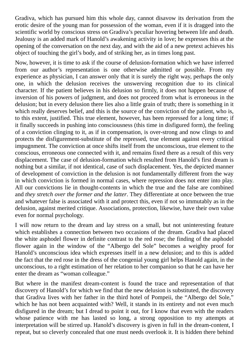Gradiva, which has pursued him this whole day, cannot disavow its derivation from the erotic desire of the young man for possession of the woman, even if it is dragged into the scientific world by conscious stress on Gradiva's peculiar hovering between life and death. Jealousy is an added mark of Hanold's awakening activity in love; he expresses this at the opening of the conversation on the next day, and with the aid of a new pretext achieves his object of touching the girl's body, and of striking her, as in times long past.

Now, however, it is time to ask if the course of delusion-formation which we have inferred from our author's representation is one otherwise admitted or possible. From my experience as physician, I can answer only that it is surely the right way, perhaps the only one, in which the delusion receives the unswerving recognition due to its clinical character. If the patient believes in his delusion so firmly, it does not happen because of inversion of his powers of judgment, and does not proceed from what is erroneous in the delusion; but in every delusion there lies also a little grain of truth; there is something in it which really deserves belief, and this is the source of the conviction of the patient, who is, to this extent, justified. This true element, however, has been repressed for a long time; if it finally succeeds in pushing into consciousness (this time in disfigured form), the feeling of a conviction clinging to it, as if in compensation, is over-strong and now clings to and protects the disfigurement-substitute of the repressed, true element against every critical impugnment. The conviction at once shifts itself from the unconscious, true element to the conscious, erroneous one connected with it, and remains fixed there as a result of this very displacement. The case of delusion-formation which resulted from Hanold's first dream is nothing but a similar, if not identical, case of such displacement. Yes, the depicted manner of development of conviction in the delusion is not fundamentally different from the way in which conviction is formed in normal cases, where repression does not enter into play. All our convictions lie in thought-contents in which the true and the false are combined and *they stretch over the former and the latter*. They differentiate at once between the true and whatever false is associated with it and protect this, even if not so immutably as in the delusion, against merited critique. Associations, protection, likewise, have their own value even for normal psychology.

I will now return to the dream and lay stress on a small, but not uninteresting feature which establishes a connection between two occasions of the dream. Gradiva had placed the white asphodel flower in definite contrast to the red rose; the finding of the asphodel flower again in the window of the "Albergo del Sole" becomes a weighty proof for Hanold's unconscious idea which expresses itself in a new delusion; and to this is added the fact that the red rose in the dress of the congenial young girl helps Hanold again, in the unconscious, to a right estimation of her relation to her companion so that he can have her enter the dream as "woman colleague."

But where in the manifest dream-content is found the trace and representation of that discovery of Hanold's for which we find that the new delusion is substituted, the discovery that Gradiva lives with her father in the third hotel of Pompeii, the "Albergo del Sole," which he has not been acquainted with? Well, it stands in its entirety and not even much disfigured in the dream; but I dread to point it out, for I know that even with the readers whose patience with me has lasted so long, a strong opposition to my attempts at interpretation will be stirred up. Hanold's discovery is given in full in the dream-content, I repeat, but so cleverly concealed that one must needs overlook it. It is hidden there behind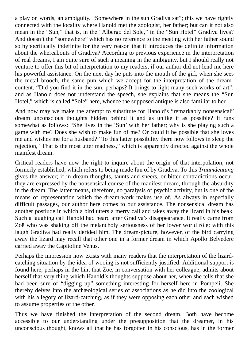a play on words, an ambiguity. "Somewhere in the sun Gradiva sat"; this we have rightly connected with the locality where Hanold met the zoologist, her father; but can it not also mean in the "Sun," that is, in the "Albergo del Sole," in the "Sun Hotel" Gradiva lives? And doesn't the "somewhere" which has no reference to the meeting with her father sound so hypocritically indefinite for the very reason that it introduces the definite information about the whereabouts of Gradiva? According to previous experience in the interpretation of real dreams, I am quite sure of such a meaning in the ambiguity, but I should really not venture to offer this bit of interpretation to my readers, if our author did not lend me here his powerful assistance. On the next day he puts into the mouth of the girl, when she sees the metal brooch, the same pun which we accept for the interpretation of the dreamcontent. "Did you find it in the sun, perhaps? It brings to light many such works of art"; and as Hanold does not understand the speech, she explains that she means the "Sun Hotel," which is called "Sole" here, whence the supposed antique is also familiar to her.

And now may we make the attempt to substitute for Hanold's "remarkably nonsensical" dream unconscious thoughts hidden behind it and as unlike it as possible? It runs somewhat as follows: "She lives in the 'Sun' with her father; why is she playing such a game with me? Does she wish to make fun of me? Or could it be possible that she loves me and wishes me for a husband?" To this latter possibility there now follows in sleep the rejection, "That is the most utter madness," which is apparently directed against the whole manifest dream.

Critical readers have now the right to inquire about the origin of that interpolation, not formerly established, which refers to being made fun of by Gradiva. To this *Traumdeutung* gives the answer; if in dream-thoughts, taunts and sneers, or bitter contradictions occur, they are expressed by the nonsensical course of the manifest dream, through the absurdity in the dream. The latter means, therefore, no paralysis of psychic activity, but is one of the means of representation which the dream-work makes use of. As always in especially difficult passages, our author here comes to our assistance. The nonsensical dream has another postlude in which a bird utters a merry call and takes away the lizard in his beak. Such a laughing call Hanold had heard after Gradiva's disappearance. It really came from Zoë who was shaking off the melancholy seriousness of her lower world rôle; with this laugh Gradiva had really derided him. The dream-picture, however, of the bird carrying away the lizard may recall that other one in a former dream in which Apollo Belvedere carried away the Capitoline Venus.

Perhaps the impression now exists with many readers that the interpretation of the lizardcatching situation by the idea of wooing is not sufficiently justified. Additional support is found here, perhaps in the hint that Zoë, in conversation with her colleague, admits about herself that very thing which Hanold's thoughts suppose about her, when she tells that she had been sure of "digging up" something interesting for herself here in Pompeii. She thereby delves into the archæological series of associations as he did into the zoological with his allegory of lizard-catching, as if they were opposing each other and each wished to assume properties of the other.

Thus we have finished the interpretation of the second dream. Both have become accessible to our understanding under the presupposition that the dreamer, in his unconscious thought, knows all that he has forgotten in his conscious, has in the former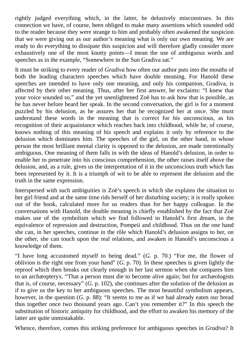rightly judged everything which, in the latter, he delusively misconstrues. In this connection we have, of course, been obliged to make many assertions which sounded odd to the reader because they were strange to him and probably often awakened the suspicion that we were giving out as our author's meaning what is only our own meaning. We are ready to do everything to dissipate this suspicion and will therefore gladly consider more exhaustively one of the most knotty points—I mean the use of ambiguous words and speeches as in the example, "Somewhere in the Sun Gradiva sat."

It must be striking to every reader of *Gradiva* how often our author puts into the mouths of both the leading characters speeches which have double meaning. For Hanold these speeches are intended to have only one meaning, and only his companion, Gradiva, is affected by their other meaning. Thus, after her first answer, he exclaims: "I knew that your voice sounded so," and the yet unenlightened Zoë has to ask how that is possible, as he has never before heard her speak. In the second conversation, the girl is for a moment puzzled by his delusion, as he assures her that he recognized her at once. She must understand these words in the meaning that is correct for his unconscious, as his recognition of their acquaintance which reaches back into childhood, while he, of course, knows nothing of this meaning of his speech and explains it only by reference to the delusion which dominates him. The speeches of the girl, on the other hand, in whose person the most brilliant mental clarity is opposed to the delusion, are made intentionally ambiguous. One meaning of them falls in with the ideas of Hanold's delusion, in order to enable her to penetrate into his conscious comprehension, the other raises itself above the delusion, and, as a rule, gives us the interpretation of it in the unconscious truth which has been represented by it. It is a triumph of wit to be able to represent the delusion and the truth in the same expression.

Interspersed with such ambiguities is Zoë's speech in which she explains the situation to her girl friend and at the same time rids herself of her disturbing society; it is really spoken out of the book, calculated more for us readers than for her happy colleague. In the conversations with Hanold, the double meaning is chiefly established by the fact that Zoë makes use of the symbolism which we find followed in Hanold's first dream, in the equivalence of repression and destruction, Pompeii and childhood. Thus on the one hand she can, in her speeches, continue in the rôle which Hanold's delusion assigns to her, on the other, she can touch upon the real relations, and awaken in Hanold's unconscious a knowledge of them.

"I have long accustomed myself to being dead." (*G.* p. 70.) "For me, the flower of oblivion is the right one from your hand" (*G.* p. 70). In these speeches is given lightly the reproof which then breaks out clearly enough in her last sermon when she compares him to an archæopteryx. "That a person must die to become alive again; but for archæologists that is, of course, necessary" (*G.* p. 102), she continues after the solution of the delusion as if to give us the key to her ambiguous speeches. The most beautiful symbolism appears, however, in the question (*G*. p. 88): "It seems to me as if we had already eaten our bread thus together once two thousand years ago. Can't you remember it?" In this speech the substitution of historic antiquity for childhood, and the effort to awaken his memory of the latter are quite unmistakable.

Whence, therefore, comes this striking preference for ambiguous speeches in *Gradiva*? It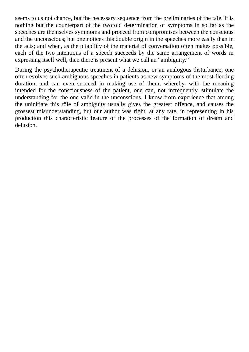seems to us not chance, but the necessary sequence from the preliminaries of the tale. It is nothing but the counterpart of the twofold determination of symptoms in so far as the speeches are themselves symptoms and proceed from compromises between the conscious and the unconscious; but one notices this double origin in the speeches more easily than in the acts; and when, as the pliability of the material of conversation often makes possible, each of the two intentions of a speech succeeds by the same arrangement of words in expressing itself well, then there is present what we call an "ambiguity."

During the psychotherapeutic treatment of a delusion, or an analogous disturbance, one often evolves such ambiguous speeches in patients as new symptoms of the most fleeting duration, and can even succeed in making use of them, whereby, with the meaning intended for the consciousness of the patient, one can, not infrequently, stimulate the understanding for the one valid in the unconscious. I know from experience that among the uninitiate this rôle of ambiguity usually gives the greatest offence, and causes the grossest misunderstanding, but our author was right, at any rate, in representing in his production this characteristic feature of the processes of the formation of dream and delusion.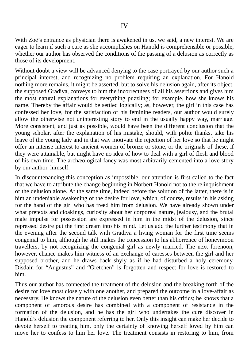With Zoë's entrance as physician there is awakened in us, we said, a new interest. We are eager to learn if such a cure as she accomplishes on Hanold is comprehensible or possible, whether our author has observed the conditions of the passing of a delusion as correctly as those of its development.

Without doubt a view will be advanced denying to the case portrayed by our author such a principal interest, and recognizing no problem requiring an explanation. For Hanold nothing more remains, it might be asserted, but to solve his delusion again, after its object, the supposed Gradiva, conveys to him the incorrectness of all his assertions and gives him the most natural explanations for everything puzzling; for example, how she knows his name. Thereby the affair would be settled logically; as, however, the girl in this case has confessed her love, for the satisfaction of his feminine readers, our author would surely allow the otherwise not uninteresting story to end in the usually happy way, marriage. More consistent, and just as possible, would have been the different conclusion that the young scholar, after the explanation of his mistake, should, with polite thanks, take his leave of the young lady and in that way motivate the rejection of her love so that he might offer an intense interest to ancient women of bronze or stone, or the originals of these, if they were attainable, but might have no idea of how to deal with a girl of flesh and blood of his own time. The archæological fancy was most arbitrarily cemented into a love-story by our author, himself.

In discountenancing this conception as impossible, our attention is first called to the fact that we have to attribute the change beginning in Norbert Hanold not to the relinquishment of the delusion alone. At the same time, indeed before the solution of the latter, there is in him an undeniable awakening of the desire for love, which, of course, results in his asking for the hand of the girl who has freed him from delusion. We have already shown under what pretexts and cloakings, curiosity about her corporeal nature, jealousy, and the brutal male impulse for possession are expressed in him in the midst of the delusion, since repressed desire put the first dream into his mind. Let us add the further testimony that in the evening after the second talk with Gradiva a living woman for the first time seems congenial to him, although he still makes the concession to his abhorrence of honeymoon travellers, by not recognizing the congenial girl as newly married. The next forenoon, however, chance makes him witness of an exchange of caresses between the girl and her supposed brother, and he draws back shyly as if he had disturbed a holy ceremony. Disdain for "Augustus" and "Gretchen" is forgotten and respect for love is restored to him.

Thus our author has connected the treatment of the delusion and the breaking forth of the desire for love most closely with one another, and prepared the outcome in a love-affair as necessary. He knows the nature of the delusion even better than his critics; he knows that a component of amorous desire has combined with a component of resistance in the formation of the delusion, and he has the girl who undertakes the cure discover in Hanold's delusion the component referring to her. Only this insight can make her decide to devote herself to treating him, only the certainty of knowing herself loved by him can move her to confess to him her love. The treatment consists in restoring to him, from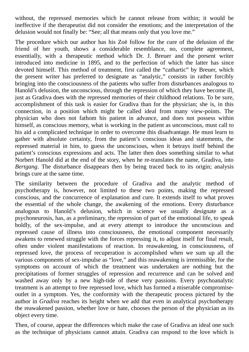without, the repressed memories which he cannot release from within; it would be ineffective if the therapeutist did not consider the emotions; and the interpretation of the delusion would not finally be: "See; all that means only that you love me."

The procedure which our author has his Zoë follow for the cure of the delusion of the friend of her youth, shows a considerable resemblance, no, complete agreement, essentially, with a therapeutic method which Dr. J. Breuer and the present writer introduced into medicine in 1895, and to the perfection of which the latter has since devoted himself. This method of treatment, first called the "cathartic" by Breuer, which the present writer has preferred to designate as "analytic," consists in rather forcibly bringing into the consciousness of the patients who suffer from disturbances analogous to Hanold's delusion, the unconscious, through the repression of which they have become ill, just as Gradiva does with the repressed memories of their childhood relations. To be sure, accomplishment of this task is easier for Gradiva than for the physician; she is, in this connection, in a position which might be called ideal from many view-points. The physician who does not fathom his patient in advance, and does not possess within himself, as conscious memory, what is working in the patient as unconscious, must call to his aid a complicated technique in order to overcome this disadvantage. He must learn to gather with absolute certainty, from the patient's conscious ideas and statements, the repressed material in him, to guess the unconscious, when it betrays itself behind the patient's conscious expressions and acts. The latter then does something similar to what Norbert Hanold did at the end of the story, when he re-translates the name, Gradiva, into *Bertgang*. The disturbance disappears then by being traced back to its origin; analysis brings cure at the same time.

The similarity between the procedure of Gradiva and the analytic method of psychotherapy is, however, not limited to these two points, making the repressed conscious, and the concurrence of explanation and cure. It extends itself to what proves the essential of the whole change, the awakening of the emotions. Every disturbance analogous to Hanold's delusion, which in science we usually designate as a psychoneurosis, has, as a preliminary, the repression of part of the emotional life, to speak boldly, of the sex-impulse, and at every attempt to introduce the unconscious and repressed cause of illness into consciousness, the emotional component necessarily awakens to renewed struggle with the forces repressing it, to adjust itself for final result, often under violent manifestations of reaction. In reawakening, in consciousness, of repressed love, the process of recuperation is accomplished when we sum up all the various components of sex-impulse as "love," and this reawakening is irremissible, for the symptoms on account of which the treatment was undertaken are nothing but the precipitations of former struggles of repression and recurrence and can be solved and washed away only by a new high-tide of these very passions. Every psychoanalytic treatment is an attempt to free repressed love, which has formed a miserable compromiseoutlet in a symptom. Yes, the conformity with the therapeutic process pictured by the author in *Gradiva* reaches its height when we add that even in analytical psychotherapy the reawakened passion, whether love or hate, chooses the person of the physician as its object every time.

Then, of course, appear the differences which make the case of Gradiva an ideal one such as the technique of physicians cannot attain. Gradiva can respond to the love which is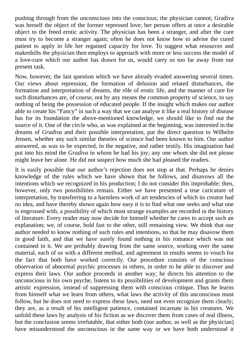pushing through from the unconscious into the conscious; the physician cannot; Gradiva was herself the object of the former repressed love; her person offers at once a desirable object to the freed erotic activity. The physician has been a stranger, and after the cure must try to become a stranger again; often he does not know how to advise the cured patient to apply in life her regained capacity for love. To suggest what resources and makeshifts the physician then employs to approach with more or less success the model of a love-cure which our author has drawn for us, would carry us too far away from our present task.

Now, however, the last question which we have already evaded answering several times. Our views about repression, the formation of delusion and related disturbances, the formation and interpretation of dreams, the rôle of erotic life, and the manner of cure for such disturbances are, of course, not by any means the common property of science, to say nothing of being the possession of educated people. If the insight which makes our author able to create his "Fancy" in such a way that we can analyse it like a real history of disease has for its foundation the above-mentioned knowledge, we should like to find out the source of it. One of the circle who, as was explained at the beginning, was interested in the dreams of *Gradiva* and their possible interpretation, put the direct question to Wilhelm Jensen, whether any such similar theories of science had been known to him. Our author answered, as was to be expected, in the negative, and rather testily. His imagination had put into his mind the *Gradiva* in whom he had his joy; any one whom she did not please might leave her alone. He did not suspect how much she had pleased the readers.

It is easily possible that our author's rejection does not stop at that. Perhaps he denies knowledge of the rules which we have shown that he follows, and disavows all the intentions which we recognized in his production; I do not consider this improbable; then, however, only two possibilities remain. Either we have presented a true caricature of interpretation, by transferring to a harmless work of art tendencies of which its creator had no idea, and have thereby shown again how easy it is to find what one seeks and what one is engrossed with, a possibility of which most strange examples are recorded in the history of literature. Every reader may now decide for himself whether he cares to accept such an explanation; we, of course, hold fast to the other, still remaining view. We think that our author needed to know nothing of such rules and intentions, so that he may disavow them in good faith, and that we have surely found nothing in his romance which was not contained in it. We are probably drawing from the same source, working over the same material, each of us with a different method, and agreement in results seems to vouch for the fact that both have worked correctly. Our procedure consists of the conscious observation of abnormal psychic processes in others, in order to be able to discover and express their laws. Our author proceeds in another way; he directs his attention to the unconscious in his own psyche, listens to its possibilities of development and grants them artistic expression, instead of suppressing them with conscious critique. Thus he learns from himself what we learn from others, what laws the activity of this unconscious must follow, but he does not need to express these laws, need not even recognize them clearly; they are, as a result of his intelligent patience, contained incarnate in his creatures. We unfold these laws by analysis of his fiction as we discover them from cases of real illness, but the conclusion seems irrefutable, that either both (our author, as well as the physician) have misunderstood the unconscious in the same way or we have both understood it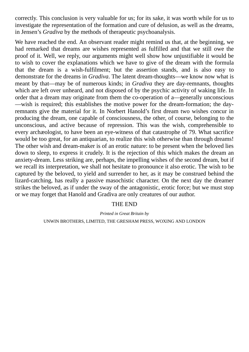correctly. This conclusion is very valuable for us; for its sake, it was worth while for us to investigate the representation of the formation and cure of delusion, as well as the dreams, in Jensen's *Gradiva* by the methods of therapeutic psychoanalysis.

We have reached the end. An observant reader might remind us that, at the beginning, we had remarked that dreams are wishes represented as fulfilled and that we still owe the proof of it. Well, we reply, our arguments might well show how unjustifiable it would be to wish to cover the explanations which we have to give of the dream with the formula that the dream is a wish-fulfilment; but the assertion stands, and is also easy to demonstrate for the dreams in *Gradiva*. The latent dream-thoughts—we know now what is meant by that—may be of numerous kinds; in *Gradiva* they are day-remnants, thoughts which are left over unheard, and not disposed of by the psychic activity of waking life. In order that a dream may originate from them the co-operation of a—generally unconscious —wish is required; this establishes the motive power for the dream-formation; the dayremnants give the material for it. In Norbert Hanold's first dream two wishes concur in producing the dream, one capable of consciousness, the other, of course, belonging to the unconscious, and active because of repression. This was the wish, comprehensible to every archæologist, to have been an eye-witness of that catastrophe of 79. What sacrifice would be too great, for an antiquarian, to realize this wish otherwise than through dreams! The other wish and dream-maker is of an erotic nature: to be present when the beloved lies down to sleep, to express it crudely. It is the rejection of this which makes the dream an anxiety-dream. Less striking are, perhaps, the impelling wishes of the second dream, but if we recall its interpretation, we shall not hesitate to pronounce it also erotic. The wish to be captured by the beloved, to yield and surrender to her, as it may be construed behind the lizard-catching, has really a passive masochistic character. On the next day the dreamer strikes the beloved, as if under the sway of the antagonistic, erotic force; but we must stop or we may forget that Hanold and Gradiva are only creatures of our author.

## THE END

*Printed in Great Britain by* UNWIN BROTHERS, LIMITED, THE GRESHAM PRESS, WOXING AND LONDON